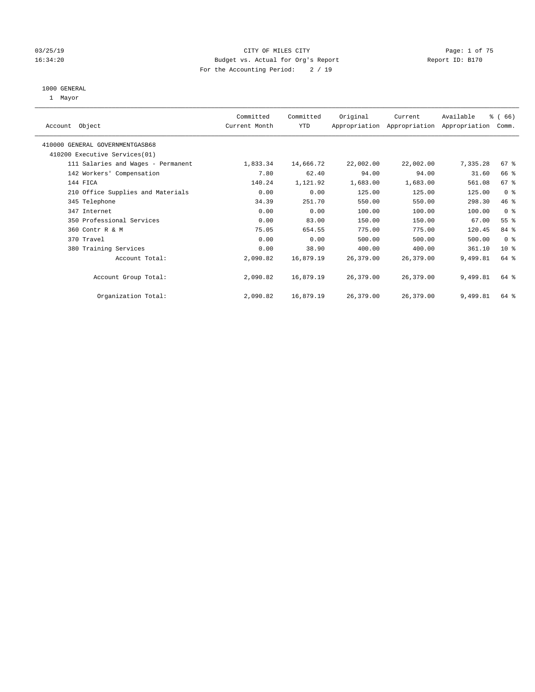### 03/25/19 **CITY OF MILES CITY CITY CITY Page: 1 of 75** 16:34:20 Budget vs. Actual for Org's Report Changer Report ID: B170 For the Accounting Period: 2 / 19

#### 1000 GENERAL

1 Mayor

| Account Object                     | Committed<br>Current Month | Committed<br>YTD | Original  | Current   | Available<br>Appropriation Appropriation Appropriation | $\frac{3}{6}$ (66)<br>Comm. |  |
|------------------------------------|----------------------------|------------------|-----------|-----------|--------------------------------------------------------|-----------------------------|--|
|                                    |                            |                  |           |           |                                                        |                             |  |
| 410000 GENERAL GOVERNMENTGASB68    |                            |                  |           |           |                                                        |                             |  |
| 410200 Executive Services (01)     |                            |                  |           |           |                                                        |                             |  |
| 111 Salaries and Wages - Permanent | 1,833.34                   | 14,666.72        | 22,002.00 | 22,002.00 | 7,335.28                                               | 67 %                        |  |
| 142 Workers' Compensation          | 7.80                       | 62.40            | 94.00     | 94.00     | 31.60                                                  | 66 %                        |  |
| 144 FICA                           | 140.24                     | 1,121.92         | 1,683.00  | 1,683.00  | 561.08                                                 | 67%                         |  |
| 210 Office Supplies and Materials  | 0.00                       | 0.00             | 125.00    | 125.00    | 125.00                                                 | 0 <sup>8</sup>              |  |
| 345 Telephone                      | 34.39                      | 251.70           | 550.00    | 550.00    | 298.30                                                 | 46 %                        |  |
| 347 Internet                       | 0.00                       | 0.00             | 100.00    | 100.00    | 100.00                                                 | 0 <sup>8</sup>              |  |
| 350 Professional Services          | 0.00                       | 83.00            | 150.00    | 150.00    | 67.00                                                  | $55$ $%$                    |  |
| 360 Contr R & M                    | 75.05                      | 654.55           | 775.00    | 775.00    | 120.45                                                 | 84 %                        |  |
| 370 Travel                         | 0.00                       | 0.00             | 500.00    | 500.00    | 500.00                                                 | 0 <sup>8</sup>              |  |
| 380 Training Services              | 0.00                       | 38.90            | 400.00    | 400.00    | 361.10                                                 | 10 <sup>8</sup>             |  |
| Account Total:                     | 2,090.82                   | 16,879.19        | 26,379.00 | 26,379.00 | 9,499.81                                               | 64 %                        |  |
|                                    |                            |                  |           |           |                                                        |                             |  |
| Account Group Total:               | 2,090.82                   | 16,879.19        | 26,379.00 | 26,379.00 | 9,499.81                                               | 64 %                        |  |
|                                    |                            |                  |           |           |                                                        |                             |  |
| Organization Total:                | 2,090.82                   | 16,879.19        | 26,379.00 | 26,379.00 | 9,499.81                                               | 64 %                        |  |
|                                    |                            |                  |           |           |                                                        |                             |  |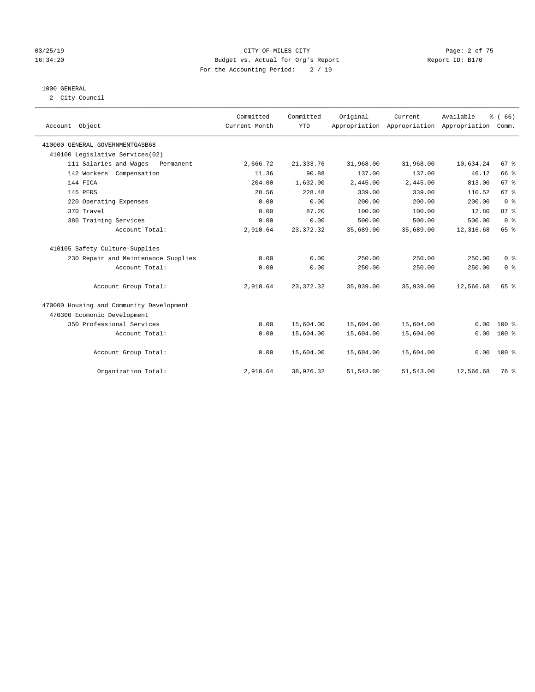### 03/25/19 Page: 2 of 75 16:34:20 Budget vs. Actual for Org's Report Changer Report ID: B170 For the Accounting Period: 2 / 19

### 1000 GENERAL

2 City Council

| Account Object                           | Committed<br>Current Month | Committed<br><b>YTD</b> | Original  | Current<br>Appropriation Appropriation Appropriation | Available | % (66)<br>Comm. |
|------------------------------------------|----------------------------|-------------------------|-----------|------------------------------------------------------|-----------|-----------------|
| 410000 GENERAL GOVERNMENTGASB68          |                            |                         |           |                                                      |           |                 |
| 410100 Legislative Services(02)          |                            |                         |           |                                                      |           |                 |
| 111 Salaries and Wages - Permanent       | 2,666.72                   | 21, 333.76              | 31,968.00 | 31,968.00                                            | 10,634.24 | 67 <sup>8</sup> |
| 142 Workers' Compensation                | 11.36                      | 90.88                   | 137.00    | 137.00                                               | 46.12     | 66 %            |
| 144 FICA                                 | 204.00                     | 1,632.00                | 2,445.00  | 2,445.00                                             | 813.00    | 67 <sup>°</sup> |
| 145 PERS                                 | 28.56                      | 228.48                  | 339.00    | 339.00                                               | 110.52    | 67%             |
| 220 Operating Expenses                   | 0.00                       | 0.00                    | 200.00    | 200.00                                               | 200.00    | 0 <sup>8</sup>  |
| 370 Travel                               | 0.00                       | 87.20                   | 100.00    | 100.00                                               | 12.80     | 87%             |
| 380 Training Services                    | 0.00                       | 0.00                    | 500.00    | 500.00                                               | 500.00    | 0 <sup>8</sup>  |
| Account Total:                           | 2,910.64                   | 23, 372. 32             | 35,689.00 | 35,689.00                                            | 12,316.68 | 65 %            |
| 410105 Safety Culture-Supplies           |                            |                         |           |                                                      |           |                 |
| 230 Repair and Maintenance Supplies      | 0.00                       | 0.00                    | 250.00    | 250.00                                               | 250.00    | 0 <sup>8</sup>  |
| Account Total:                           | 0.00                       | 0.00                    | 250.00    | 250.00                                               | 250.00    | 0 <sup>8</sup>  |
| Account Group Total:                     | 2,910.64                   | 23, 372. 32             | 35,939.00 | 35,939.00                                            | 12,566.68 | 65 %            |
| 470000 Housing and Community Development |                            |                         |           |                                                      |           |                 |
| 470300 Ecomonic Development              |                            |                         |           |                                                      |           |                 |
| 350 Professional Services                | 0.00                       | 15,604.00               | 15,604.00 | 15,604.00                                            | 0.00      | $100*$          |
| Account Total:                           | 0.00                       | 15,604.00               | 15,604.00 | 15,604.00                                            | 0.00      | $100*$          |
| Account Group Total:                     | 0.00                       | 15,604.00               | 15,604.00 | 15,604.00                                            |           | $0.00 100$ %    |
| Organization Total:                      | 2,910.64                   | 38,976.32               | 51,543.00 | 51,543.00                                            | 12,566.68 | 76 %            |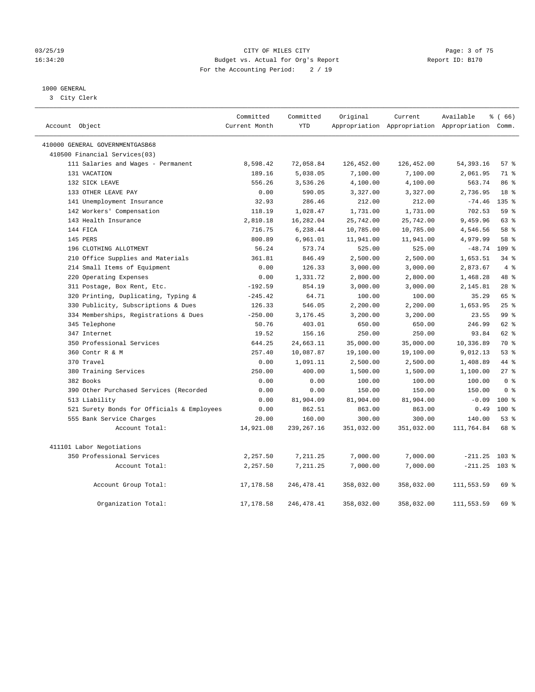### 03/25/19 CITY OF MILES CITY Page: 3 of 75 16:34:20 Budget vs. Actual for Org's Report Changer Report ID: B170 For the Accounting Period: 2 / 19

### 1000 GENERAL

3 City Clerk

| Account Object                             | Committed<br>Current Month | Committed<br><b>YTD</b> | Original   | Current    | Available<br>Appropriation Appropriation Appropriation Comm. | % (66)           |
|--------------------------------------------|----------------------------|-------------------------|------------|------------|--------------------------------------------------------------|------------------|
| 410000 GENERAL GOVERNMENTGASB68            |                            |                         |            |            |                                                              |                  |
| 410500 Financial Services(03)              |                            |                         |            |            |                                                              |                  |
| 111 Salaries and Wages - Permanent         | 8,598.42                   | 72,058.84               | 126,452.00 | 126,452.00 | 54, 393. 16                                                  | 57%              |
| 131 VACATION                               | 189.16                     | 5,038.05                | 7,100.00   | 7,100.00   | 2,061.95                                                     | 71 %             |
| 132 SICK LEAVE                             | 556.26                     | 3,536.26                | 4,100.00   | 4,100.00   | 563.74                                                       | 86%              |
| 133 OTHER LEAVE PAY                        | 0.00                       | 590.05                  | 3,327.00   | 3,327.00   | 2,736.95                                                     | 18 <sup>8</sup>  |
| 141 Unemployment Insurance                 | 32.93                      | 286.46                  | 212.00     | 212.00     | $-74.46$                                                     | 135 <sub>8</sub> |
| 142 Workers' Compensation                  | 118.19                     | 1,028.47                | 1,731.00   | 1,731.00   | 702.53                                                       | 59 %             |
| 143 Health Insurance                       | 2,810.18                   | 16,282.04               | 25,742.00  | 25,742.00  | 9,459.96                                                     | 63%              |
| 144 FICA                                   | 716.75                     | 6,238.44                | 10,785.00  | 10,785.00  | 4,546.56                                                     | 58 %             |
| 145 PERS                                   | 800.89                     | 6,961.01                | 11,941.00  | 11,941.00  | 4,979.99                                                     | 58 %             |
| 196 CLOTHING ALLOTMENT                     | 56.24                      | 573.74                  | 525.00     | 525.00     | $-48.74$                                                     | 109 <sub>8</sub> |
| 210 Office Supplies and Materials          | 361.81                     | 846.49                  | 2,500.00   | 2,500.00   | 1,653.51                                                     | 34%              |
| 214 Small Items of Equipment               | 0.00                       | 126.33                  | 3,000.00   | 3,000.00   | 2,873.67                                                     | $4\degree$       |
| 220 Operating Expenses                     | 0.00                       | 1,331.72                | 2,800.00   | 2,800.00   | 1,468.28                                                     | 48 %             |
| 311 Postage, Box Rent, Etc.                | $-192.59$                  | 854.19                  | 3,000.00   | 3,000.00   | 2,145.81                                                     | $28$ %           |
| 320 Printing, Duplicating, Typing &        | $-245.42$                  | 64.71                   | 100.00     | 100.00     | 35.29                                                        | 65 %             |
| 330 Publicity, Subscriptions & Dues        | 126.33                     | 546.05                  | 2,200.00   | 2,200.00   | 1,653.95                                                     | 25%              |
| 334 Memberships, Registrations & Dues      | $-250.00$                  | 3,176.45                | 3,200.00   | 3,200.00   | 23.55                                                        | 99 <sup>8</sup>  |
| 345 Telephone                              | 50.76                      | 403.01                  | 650.00     | 650.00     | 246.99                                                       | $62$ $%$         |
| 347 Internet                               | 19.52                      | 156.16                  | 250.00     | 250.00     | 93.84                                                        | $62$ $%$         |
| 350 Professional Services                  | 644.25                     | 24,663.11               | 35,000.00  | 35,000.00  | 10,336.89                                                    | 70 %             |
| 360 Contr R & M                            | 257.40                     | 10,087.87               | 19,100.00  | 19,100.00  | 9,012.13                                                     | $53$ $%$         |
| 370 Travel                                 | 0.00                       | 1,091.11                | 2,500.00   | 2,500.00   | 1,408.89                                                     | 44 %             |
| 380 Training Services                      | 250.00                     | 400.00                  | 1,500.00   | 1,500.00   | 1,100.00                                                     | 27%              |
| 382 Books                                  | 0.00                       | 0.00                    | 100.00     | 100.00     | 100.00                                                       | 0 <sup>8</sup>   |
| 390 Other Purchased Services (Recorded     | 0.00                       | 0.00                    | 150.00     | 150.00     | 150.00                                                       | 0 <sup>8</sup>   |
| 513 Liability                              | 0.00                       | 81,904.09               | 81,904.00  | 81,904.00  | $-0.09$                                                      | 100 <sub>8</sub> |
| 521 Surety Bonds for Officials & Employees | 0.00                       | 862.51                  | 863.00     | 863.00     | 0.49                                                         | $100*$           |
| 555 Bank Service Charges                   | 20.00                      | 160.00                  | 300.00     | 300.00     | 140.00                                                       | 53%              |
| Account Total:                             | 14,921.08                  | 239, 267. 16            | 351,032.00 | 351,032.00 | 111,764.84                                                   | 68 %             |
| 411101 Labor Negotiations                  |                            |                         |            |            |                                                              |                  |
| 350 Professional Services                  | 2,257.50                   | 7,211.25                | 7,000.00   | 7,000.00   | $-211.25$                                                    | $103$ %          |
| Account Total:                             | 2,257.50                   | 7,211.25                | 7,000.00   | 7,000.00   | $-211.25$                                                    | $103$ %          |
| Account Group Total:                       | 17,178.58                  | 246, 478.41             | 358,032.00 | 358,032.00 | 111,553.59                                                   | 69 %             |
| Organization Total:                        | 17, 178.58                 | 246, 478. 41            | 358,032.00 | 358,032.00 | 111,553.59                                                   | 69 %             |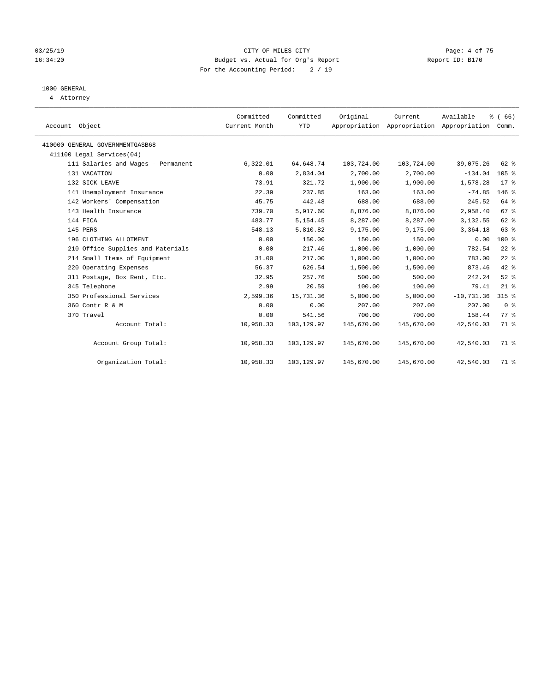### 03/25/19 CITY OF MILES CITY Page: 4 of 75 16:34:20 Budget vs. Actual for Org's Report Changer Report ID: B170 For the Accounting Period: 2 / 19

### 1000 GENERAL

4 Attorney

| Account Object                     | Committed<br>Current Month | Committed<br><b>YTD</b> | Original   | Current<br>Appropriation Appropriation Appropriation | Available    | % (66)<br>Comm. |
|------------------------------------|----------------------------|-------------------------|------------|------------------------------------------------------|--------------|-----------------|
| 410000 GENERAL GOVERNMENTGASB68    |                            |                         |            |                                                      |              |                 |
| 411100 Legal Services(04)          |                            |                         |            |                                                      |              |                 |
| 111 Salaries and Wages - Permanent | 6,322.01                   | 64,648.74               | 103,724.00 | 103,724.00                                           | 39,075.26    | 62 %            |
| 131 VACATION                       | 0.00                       | 2,834.04                | 2,700.00   | 2,700.00                                             | $-134.04$    | 105%            |
| 132 SICK LEAVE                     | 73.91                      | 321.72                  | 1,900.00   | 1,900.00                                             | 1,578.28     | $17$ %          |
| 141 Unemployment Insurance         | 22.39                      | 237.85                  | 163.00     | 163.00                                               | $-74.85$     | $146$ %         |
| 142 Workers' Compensation          | 45.75                      | 442.48                  | 688.00     | 688.00                                               | 245.52       | 64 %            |
| 143 Health Insurance               | 739.70                     | 5,917.60                | 8,876.00   | 8,876.00                                             | 2,958.40     | 67%             |
| 144 FICA                           | 483.77                     | 5, 154.45               | 8,287.00   | 8,287.00                                             | 3,132.55     | 62 %            |
| 145 PERS                           | 548.13                     | 5,810.82                | 9,175.00   | 9,175.00                                             | 3,364.18     | 63 %            |
| 196 CLOTHING ALLOTMENT             | 0.00                       | 150.00                  | 150.00     | 150.00                                               | 0.00         | 100 %           |
| 210 Office Supplies and Materials  | 0.00                       | 217.46                  | 1,000.00   | 1,000.00                                             | 782.54       | $22$ %          |
| 214 Small Items of Equipment       | 31.00                      | 217.00                  | 1,000.00   | 1,000.00                                             | 783.00       | $22$ $%$        |
| 220 Operating Expenses             | 56.37                      | 626.54                  | 1,500.00   | 1,500.00                                             | 873.46       | $42$ %          |
| 311 Postage, Box Rent, Etc.        | 32.95                      | 257.76                  | 500.00     | 500.00                                               | 242.24       | $52$ $%$        |
| 345 Telephone                      | 2.99                       | 20.59                   | 100.00     | 100.00                                               | 79.41        | $21$ %          |
| 350 Professional Services          | 2,599.36                   | 15,731.36               | 5,000.00   | 5,000.00                                             | $-10,731.36$ | $315$ %         |
| 360 Contr R & M                    | 0.00                       | 0.00                    | 207.00     | 207.00                                               | 207.00       | 0 <sup>8</sup>  |
| 370 Travel                         | 0.00                       | 541.56                  | 700.00     | 700.00                                               | 158.44       | 77 %            |
| Account Total:                     | 10,958.33                  | 103,129.97              | 145,670.00 | 145,670.00                                           | 42,540.03    | 71.8            |
| Account Group Total:               | 10,958.33                  | 103,129.97              | 145,670.00 | 145,670.00                                           | 42,540.03    | 71 %            |
| Organization Total:                | 10,958.33                  | 103, 129.97             | 145,670.00 | 145,670.00                                           | 42,540.03    | 71 %            |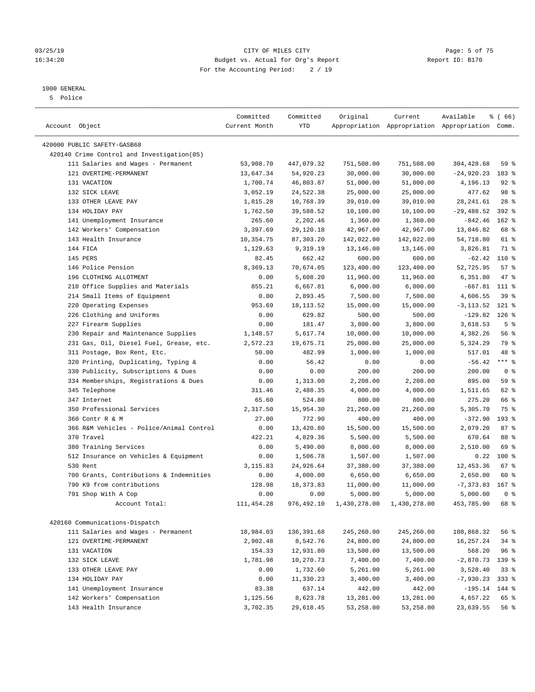### 03/25/19 Page: 5 of 75 16:34:20 Budget vs. Actual for Org's Report Changer Report ID: B170 For the Accounting Period: 2 / 19

————————————————————————————————————————————————————————————————————————————————————————————————————————————————————————————————————

### 1000 GENERAL

5 Police

|                                            | Committed     | Committed  | Original   | Current                   | Available                                       | <sub>ර</sub> ි (66) |
|--------------------------------------------|---------------|------------|------------|---------------------------|-------------------------------------------------|---------------------|
| Account Object                             | Current Month | YTD        |            |                           | Appropriation Appropriation Appropriation Comm. |                     |
| 420000 PUBLIC SAFETY-GASB68                |               |            |            |                           |                                                 |                     |
| 420140 Crime Control and Investigation(05) |               |            |            |                           |                                                 |                     |
| 111 Salaries and Wages - Permanent         | 53,908.70     | 447,079.32 | 751,508.00 | 751,508.00                | 304,428.68                                      | 59 %                |
| 121 OVERTIME-PERMANENT                     | 13,647.34     | 54,920.23  | 30,000.00  | 30,000.00                 | $-24,920.23$                                    | 183 %               |
| 131 VACATION                               | 1,700.74      | 46,803.87  | 51,000.00  | 51,000.00                 | 4,196.13                                        | $92$ $%$            |
| 132 SICK LEAVE                             | 3,052.19      | 24,522.38  | 25,000.00  | 25,000.00                 | 477.62                                          | 98 %                |
| 133 OTHER LEAVE PAY                        | 1,815.28      | 10,768.39  | 39,010.00  | 39,010.00                 | 28, 241.61                                      | $28$ %              |
| 134 HOLIDAY PAY                            | 1,762.50      | 39,588.52  | 10,100.00  | 10,100.00                 | $-29,488.52$                                    | $392$ $%$           |
| 141 Unemployment Insurance                 | 265.60        | 2,202.46   | 1,360.00   | 1,360.00                  | $-842.46$                                       | 162 %               |
| 142 Workers' Compensation                  | 3,397.69      | 29,120.18  | 42,967.00  | 42,967.00                 | 13,846.82                                       | 68 %                |
| 143 Health Insurance                       | 10,354.75     | 87,303.20  | 142,022.00 | 142,022.00                | 54,718.80                                       | 61 %                |
| 144 FICA                                   | 1,129.63      | 9,319.19   | 13,146.00  | 13,146.00                 | 3,826.81                                        | 71 %                |
| 145 PERS                                   | 82.45         | 662.42     | 600.00     | 600.00                    | $-62.42$                                        | 110 %               |
| 146 Police Pension                         | 8,369.13      | 70,674.05  | 123,400.00 | 123,400.00                | 52,725.95                                       | 57%                 |
| 196 CLOTHING ALLOTMENT                     | 0.00          | 5,608.20   | 11,960.00  | 11,960.00                 | 6,351.80                                        | 47 %                |
| 210 Office Supplies and Materials          | 855.21        | 6,667.81   | 6,000.00   | 6,000.00                  | $-667.81$                                       | 111 %               |
| 214 Small Items of Equipment               | 0.00          | 2,893.45   | 7,500.00   | 7,500.00                  | 4,606.55                                        | 39%                 |
| 220 Operating Expenses                     | 953.69        | 18, 113.52 | 15,000.00  | 15,000.00                 | $-3, 113.52$                                    | 121 %               |
| 226 Clothing and Uniforms                  | 0.00          | 629.82     | 500.00     | 500.00                    | $-129.82$                                       | $126$ %             |
| 227 Firearm Supplies                       | 0.00          | 181.47     | 3,800.00   | 3,800.00                  | 3,618.53                                        | 5 <sup>°</sup>      |
| 230 Repair and Maintenance Supplies        | 1,148.57      | 5,617.74   | 10,000.00  | 10,000.00                 | 4,382.26                                        | 56%                 |
| 231 Gas, Oil, Diesel Fuel, Grease, etc.    | 2,572.23      | 19,675.71  | 25,000.00  | 25,000.00                 | 5,324.29                                        | 79 %                |
| 311 Postage, Box Rent, Etc.                | 50.00         | 482.99     | 1,000.00   | 1,000.00                  | 517.01                                          | 48 %                |
| 320 Printing, Duplicating, Typing &        | 0.00          | 56.42      | 0.00       | 0.00                      | $-56.42$                                        | $***$ $-$           |
| 330 Publicity, Subscriptions & Dues        | 0.00          | 0.00       | 200.00     | 200.00                    | 200.00                                          | 0 <sup>8</sup>      |
| 334 Memberships, Registrations & Dues      | 0.00          | 1,313.00   | 2,208.00   | 2,208.00                  | 895.00                                          | 59 %                |
| 345 Telephone                              | 311.46        | 2,488.35   | 4,000.00   | 4,000.00                  | 1,511.65                                        | 62 %                |
| 347 Internet                               | 65.60         | 524.80     | 800.00     | 800.00                    | 275.20                                          | 66 %                |
| 350 Professional Services                  | 2,317.50      | 15,954.30  | 21,260.00  | 21,260.00                 | 5,305.70                                        | 75 %                |
| 360 Contr R & M                            | 27.00         | 772.90     | 400.00     | 400.00                    | $-372.90$                                       | $193$ %             |
| 366 R&M Vehicles - Police/Animal Control   | 0.00          | 13,420.80  | 15,500.00  | 15,500.00                 | 2,079.20                                        | 87%                 |
| 370 Travel                                 | 422.21        | 4,829.36   | 5,500.00   | 5,500.00                  | 670.64                                          | 88 %                |
| 380 Training Services                      | 0.00          | 5,490.00   | 8,000.00   | 8,000.00                  | 2,510.00                                        | 69 %                |
| 512 Insurance on Vehicles & Equipment      | 0.00          | 1,506.78   | 1,507.00   | 1,507.00                  | 0.22                                            | $100*$              |
| 530 Rent                                   | 3,115.83      | 24,926.64  | 37,380.00  | 37,380.00                 | 12,453.36                                       | $67$ %              |
| 700 Grants, Contributions & Indemnities    | 0.00          | 4,000.00   | 6,650.00   | 6,650.00                  | 2,650.00                                        | 60 %                |
| 790 K9 from contributions                  | 128.98        | 18, 373.83 | 11,000.00  | 11,000.00                 | $-7,373.83$ 167 %                               |                     |
| 791 Shop With A Cop                        | 0.00          | 0.00       | 5,000.00   | 5,000.00                  | 5,000.00                                        | 0 <sup>8</sup>      |
| Account Total:                             | 111, 454.28   | 976,492.10 |            | 1,430,278.00 1,430,278.00 | 453,785.90                                      | 68 %                |
|                                            |               |            |            |                           |                                                 |                     |
| 420160 Communications-Dispatch             |               |            |            |                           |                                                 |                     |
| 111 Salaries and Wages - Permanent         | 18,984.03     | 136,391.68 | 245,260.00 | 245,260.00                | 108,868.32                                      | 56%                 |
| 121 OVERTIME-PERMANENT                     | 2,902.48      | 8,542.76   | 24,800.00  | 24,800.00                 | 16,257.24                                       | $34$ $%$            |
| 131 VACATION                               | 154.33        | 12,931.80  | 13,500.00  | 13,500.00                 | 568.20                                          | 96%                 |
| 132 SICK LEAVE                             | 1,781.98      | 10,270.73  | 7,400.00   | 7,400.00                  | $-2,870.73$                                     | 139 %               |
| 133 OTHER LEAVE PAY                        | 0.00          | 1,732.60   | 5,261.00   | 5,261.00                  | 3,528.40                                        | 33%                 |
| 134 HOLIDAY PAY                            | 0.00          | 11,330.23  | 3,400.00   | 3,400.00                  | $-7,930.23$                                     | $333$ $%$           |
| 141 Unemployment Insurance                 | 83.38         | 637.14     | 442.00     | 442.00                    | $-195.14$                                       | 144 %               |
| 142 Workers' Compensation                  | 1,125.56      | 8,623.78   | 13,281.00  | 13,281.00                 | 4,657.22                                        | 65 %                |
| 143 Health Insurance                       | 3,702.35      | 29,618.45  | 53,258.00  | 53,258.00                 | 23,639.55                                       | 56%                 |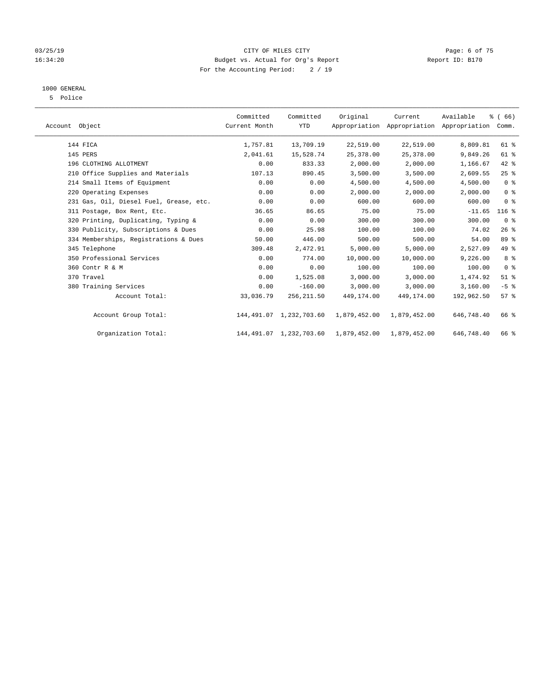### 03/25/19 Page: 6 of 75 16:34:20 Budget vs. Actual for Org's Report Changer Report ID: B170 For the Accounting Period: 2 / 19

### 1000 GENERAL

5 Police

| Account Object |                                         | Committed<br>Current Month | Committed<br><b>YTD</b> | Original     | Current<br>Appropriation Appropriation Appropriation | Available  | % (66)<br>Comm.    |  |
|----------------|-----------------------------------------|----------------------------|-------------------------|--------------|------------------------------------------------------|------------|--------------------|--|
|                | 144 FICA                                | 1,757.81                   | 13,709.19               | 22,519.00    | 22,519.00                                            | 8,809.81   | 61 %               |  |
|                | 145 PERS                                | 2,041.61                   | 15,528.74               | 25,378.00    | 25,378.00                                            | 9,849.26   | 61 %               |  |
|                | 196 CLOTHING ALLOTMENT                  | 0.00                       | 833.33                  | 2,000.00     | 2,000.00                                             | 1,166.67   | 42 %               |  |
|                | 210 Office Supplies and Materials       | 107.13                     | 890.45                  | 3,500.00     | 3,500.00                                             | 2,609.55   | 25%                |  |
|                | 214 Small Items of Equipment            | 0.00                       | 0.00                    | 4,500.00     | 4,500.00                                             | 4,500.00   | 0 <sup>8</sup>     |  |
|                | 220 Operating Expenses                  | 0.00                       | 0.00                    | 2,000.00     | 2,000.00                                             | 2,000.00   | 0 <sup>8</sup>     |  |
|                | 231 Gas, Oil, Diesel Fuel, Grease, etc. | 0.00                       | 0.00                    | 600.00       | 600.00                                               | 600.00     | 0 <sup>8</sup>     |  |
|                | 311 Postage, Box Rent, Etc.             | 36.65                      | 86.65                   | 75.00        | 75.00                                                | $-11.65$   | $116$ %            |  |
|                | 320 Printing, Duplicating, Typing &     | 0.00                       | 0.00                    | 300.00       | 300.00                                               | 300.00     | 0 <sup>8</sup>     |  |
|                | 330 Publicity, Subscriptions & Dues     | 0.00                       | 25.98                   | 100.00       | 100.00                                               | 74.02      | 26%                |  |
|                | 334 Memberships, Registrations & Dues   | 50.00                      | 446.00                  | 500.00       | 500.00                                               | 54.00      | 89 %               |  |
|                | 345 Telephone                           | 309.48                     | 2,472.91                | 5,000.00     | 5,000.00                                             | 2,527.09   | 49 %               |  |
|                | 350 Professional Services               | 0.00                       | 774.00                  | 10,000.00    | 10,000.00                                            | 9,226.00   | 8%                 |  |
|                | 360 Contr R & M                         | 0.00                       | 0.00                    | 100.00       | 100.00                                               | 100.00     | 0 <sup>8</sup>     |  |
|                | 370 Travel                              | 0.00                       | 1,525.08                | 3,000.00     | 3,000.00                                             | 1,474.92   | $51$ %             |  |
|                | 380 Training Services                   | 0.00                       | $-160.00$               | 3,000.00     | 3,000.00                                             | 3,160.00   | $-5$ %             |  |
|                | Account Total:                          | 33,036.79                  | 256, 211.50             | 449,174.00   | 449,174.00                                           | 192,962.50 | $57$ $\frac{6}{3}$ |  |
|                | Account Group Total:                    |                            | 144,491.07 1,232,703.60 | 1,879,452.00 | 1,879,452.00                                         | 646,748.40 | 66 %               |  |
|                | Organization Total:                     |                            | 144,491.07 1,232,703.60 | 1,879,452.00 | 1,879,452.00                                         | 646,748.40 | 66 %               |  |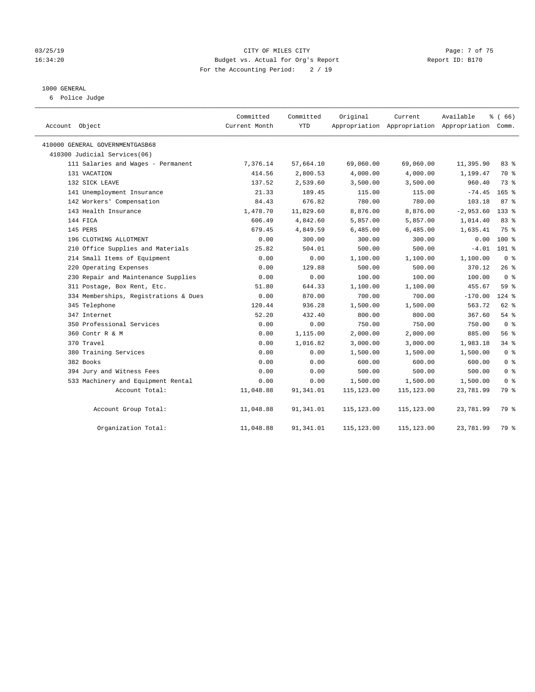### 03/25/19 Page: 7 of 75 16:34:20 Budget vs. Actual for Org's Report Changer Report ID: B170 For the Accounting Period: 2 / 19

### 1000 GENERAL

6 Police Judge

| Account Object                        | Committed<br>Current Month | Committed<br><b>YTD</b> | Original    | Current<br>Appropriation Appropriation Appropriation Comm. | Available   | % (66)           |
|---------------------------------------|----------------------------|-------------------------|-------------|------------------------------------------------------------|-------------|------------------|
| 410000 GENERAL GOVERNMENTGASB68       |                            |                         |             |                                                            |             |                  |
| 410300 Judicial Services(06)          |                            |                         |             |                                                            |             |                  |
| 111 Salaries and Wages - Permanent    | 7,376.14                   | 57,664.10               | 69,060.00   | 69,060.00                                                  | 11,395.90   | 83%              |
| 131 VACATION                          | 414.56                     | 2,800.53                | 4,000.00    | 4,000.00                                                   | 1,199.47    | 70 %             |
| 132 SICK LEAVE                        | 137.52                     | 2,539.60                | 3,500.00    | 3,500.00                                                   | 960.40      | 73.8             |
| 141 Unemployment Insurance            | 21.33                      | 189.45                  | 115.00      | 115.00                                                     | $-74.45$    | $165$ %          |
| 142 Workers' Compensation             | 84.43                      | 676.82                  | 780.00      | 780.00                                                     | 103.18      | 87 <sup>8</sup>  |
| 143 Health Insurance                  | 1,478.70                   | 11,829.60               | 8,876.00    | 8,876.00                                                   | $-2,953.60$ | 133 <sup>8</sup> |
| 144 FICA                              | 606.49                     | 4,842.60                | 5,857.00    | 5,857.00                                                   | 1,014.40    | 83 %             |
| 145 PERS                              | 679.45                     | 4,849.59                | 6,485.00    | 6,485.00                                                   | 1,635.41    | 75 %             |
| 196 CLOTHING ALLOTMENT                | 0.00                       | 300.00                  | 300.00      | 300.00                                                     | 0.00        | $100*$           |
| 210 Office Supplies and Materials     | 25.82                      | 504.01                  | 500.00      | 500.00                                                     | $-4.01$     | $101$ %          |
| 214 Small Items of Equipment          | 0.00                       | 0.00                    | 1,100.00    | 1,100.00                                                   | 1,100.00    | 0 <sup>8</sup>   |
| 220 Operating Expenses                | 0.00                       | 129.88                  | 500.00      | 500.00                                                     | 370.12      | 26%              |
| 230 Repair and Maintenance Supplies   | 0.00                       | 0.00                    | 100.00      | 100.00                                                     | 100.00      | 0 <sup>8</sup>   |
| 311 Postage, Box Rent, Etc.           | 51.80                      | 644.33                  | 1,100.00    | 1,100.00                                                   | 455.67      | 59 %             |
| 334 Memberships, Registrations & Dues | 0.00                       | 870.00                  | 700.00      | 700.00                                                     | $-170.00$   | $124$ %          |
| 345 Telephone                         | 120.44                     | 936.28                  | 1,500.00    | 1,500.00                                                   | 563.72      | 62 %             |
| 347 Internet                          | 52.20                      | 432.40                  | 800.00      | 800.00                                                     | 367.60      | 54 %             |
| 350 Professional Services             | 0.00                       | 0.00                    | 750.00      | 750.00                                                     | 750.00      | 0 <sup>8</sup>   |
| 360 Contr R & M                       | 0.00                       | 1,115.00                | 2,000.00    | 2,000.00                                                   | 885.00      | 56%              |
| 370 Travel                            | 0.00                       | 1,016.82                | 3,000.00    | 3,000.00                                                   | 1,983.18    | 34%              |
| 380 Training Services                 | 0.00                       | 0.00                    | 1,500.00    | 1,500.00                                                   | 1,500.00    | 0 <sup>8</sup>   |
| 382 Books                             | 0.00                       | 0.00                    | 600.00      | 600.00                                                     | 600.00      | 0 <sup>8</sup>   |
| 394 Jury and Witness Fees             | 0.00                       | 0.00                    | 500.00      | 500.00                                                     | 500.00      | 0 <sup>8</sup>   |
| 533 Machinery and Equipment Rental    | 0.00                       | 0.00                    | 1,500.00    | 1,500.00                                                   | 1,500.00    | 0 <sup>8</sup>   |
| Account Total:                        | 11,048.88                  | 91,341.01               | 115, 123.00 | 115,123.00                                                 | 23,781.99   | 79 %             |
| Account Group Total:                  | 11,048.88                  | 91,341.01               | 115,123.00  | 115,123.00                                                 | 23,781.99   | 79 %             |
| Organization Total:                   | 11,048.88                  | 91,341.01               | 115,123.00  | 115,123.00                                                 | 23,781.99   | 79 %             |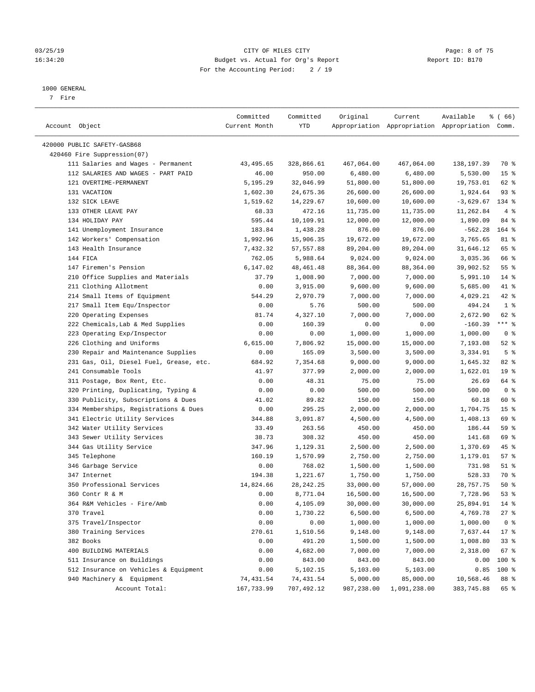### 03/25/19 CITY OF MILES CITY Page: 8 of 75 16:34:20 Budget vs. Actual for Org's Report Changer Report ID: B170 For the Accounting Period: 2 / 19

————————————————————————————————————————————————————————————————————————————————————————————————————————————————————————————————————

#### 1000 GENERAL

7 Fire

|                                         | Committed     | Committed   | Original   | Current                                         | Available   | <sub>ර</sub> ි (66) |
|-----------------------------------------|---------------|-------------|------------|-------------------------------------------------|-------------|---------------------|
| Account Object                          | Current Month | YTD         |            | Appropriation Appropriation Appropriation Comm. |             |                     |
|                                         |               |             |            |                                                 |             |                     |
| 420000 PUBLIC SAFETY-GASB68             |               |             |            |                                                 |             |                     |
| 420460 Fire Suppression(07)             |               |             |            |                                                 |             |                     |
| 111 Salaries and Wages - Permanent      | 43,495.65     | 328,866.61  | 467,064.00 | 467,064.00                                      | 138,197.39  | 70 %                |
| 112 SALARIES AND WAGES - PART PAID      | 46.00         | 950.00      | 6,480.00   | 6,480.00                                        | 5,530.00    | 15 <sup>8</sup>     |
| 121 OVERTIME-PERMANENT                  | 5,195.29      | 32,046.99   | 51,800.00  | 51,800.00                                       | 19,753.01   | 62 %                |
| 131 VACATION                            | 1,602.30      | 24,675.36   | 26,600.00  | 26,600.00                                       | 1,924.64    | $93$ $%$            |
| 132 SICK LEAVE                          | 1,519.62      | 14,229.67   | 10,600.00  | 10,600.00                                       | $-3,629.67$ | 134 %               |
| 133 OTHER LEAVE PAY                     | 68.33         | 472.16      | 11,735.00  | 11,735.00                                       | 11,262.84   | 4%                  |
| 134 HOLIDAY PAY                         | 595.44        | 10,109.91   | 12,000.00  | 12,000.00                                       | 1,890.09    | 84 %                |
| 141 Unemployment Insurance              | 183.84        | 1,438.28    | 876.00     | 876.00                                          | $-562.28$   | 164 %               |
| 142 Workers' Compensation               | 1,992.96      | 15,906.35   | 19,672.00  | 19,672.00                                       | 3,765.65    | 81 %                |
| 143 Health Insurance                    | 7,432.32      | 57,557.88   | 89,204.00  | 89,204.00                                       | 31,646.12   | 65 %                |
| 144 FICA                                | 762.05        | 5,988.64    | 9,024.00   | 9,024.00                                        | 3,035.36    | 66 %                |
| 147 Firemen's Pension                   | 6,147.02      | 48, 461. 48 | 88,364.00  | 88,364.00                                       | 39,902.52   | $55$ $%$            |
| 210 Office Supplies and Materials       | 37.79         | 1,008.90    | 7,000.00   | 7,000.00                                        | 5,991.10    | $14*$               |
| 211 Clothing Allotment                  | 0.00          | 3,915.00    | 9,600.00   | 9,600.00                                        | 5,685.00    | 41 %                |
| 214 Small Items of Equipment            | 544.29        | 2,970.79    | 7,000.00   | 7,000.00                                        | 4,029.21    | $42$ %              |
| 217 Small Item Equ/Inspector            | 0.00          | 5.76        | 500.00     | 500.00                                          | 494.24      | 1 <sup>°</sup>      |
| 220 Operating Expenses                  | 81.74         | 4,327.10    | 7,000.00   | 7,000.00                                        | 2,672.90    | 62 %                |
| 222 Chemicals, Lab & Med Supplies       | 0.00          | 160.39      | 0.00       | 0.00                                            | $-160.39$   | *** %               |
| 223 Operating Exp/Inspector             | 0.00          | 0.00        | 1,000.00   | 1,000.00                                        | 1,000.00    | 0 <sup>8</sup>      |
| 226 Clothing and Uniforms               | 6,615.00      | 7,806.92    | 15,000.00  | 15,000.00                                       | 7,193.08    | $52$ $%$            |
| 230 Repair and Maintenance Supplies     | 0.00          | 165.09      | 3,500.00   | 3,500.00                                        | 3,334.91    | 5 <sup>°</sup>      |
| 231 Gas, Oil, Diesel Fuel, Grease, etc. | 684.92        | 7,354.68    | 9,000.00   | 9,000.00                                        | 1,645.32    | 82 %                |
| 241 Consumable Tools                    | 41.97         | 377.99      | 2,000.00   | 2,000.00                                        | 1,622.01    | 19 <sup>°</sup>     |
| 311 Postage, Box Rent, Etc.             | 0.00          | 48.31       | 75.00      | 75.00                                           | 26.69       | 64 %                |
| 320 Printing, Duplicating, Typing &     | 0.00          | 0.00        | 500.00     | 500.00                                          | 500.00      | 0 <sup>8</sup>      |
| 330 Publicity, Subscriptions & Dues     | 41.02         | 89.82       | 150.00     | 150.00                                          | 60.18       | 60 %                |
| 334 Memberships, Registrations & Dues   | 0.00          | 295.25      | 2,000.00   | 2,000.00                                        | 1,704.75    | 15 <sup>8</sup>     |
| 341 Electric Utility Services           | 344.88        | 3,091.87    | 4,500.00   | 4,500.00                                        | 1,408.13    | 69 %                |
| 342 Water Utility Services              | 33.49         | 263.56      | 450.00     | 450.00                                          | 186.44      | 59 %                |
| 343 Sewer Utility Services              | 38.73         | 308.32      | 450.00     | 450.00                                          | 141.68      | 69 %                |
| 344 Gas Utility Service                 | 347.96        | 1,129.31    | 2,500.00   | 2,500.00                                        | 1,370.69    | 45 %                |
| 345 Telephone                           | 160.19        | 1,570.99    | 2,750.00   | 2,750.00                                        | 1,179.01    | 57%                 |
| 346 Garbage Service                     | 0.00          | 768.02      | 1,500.00   | 1,500.00                                        | 731.98      | $51$ %              |
| 347 Internet                            | 194.38        | 1,221.67    | 1,750.00   | 1,750.00                                        | 528.33      | 70 %                |
| 350 Professional Services               | 14,824.66     | 28, 242. 25 | 33,000.00  | 57,000.00                                       | 28,757.75   | 50%                 |
| 360 Contr R & M                         | 0.00          | 8,771.04    | 16,500.00  | 16,500.00                                       | 7,728.96    | 53%                 |
| 364 R&M Vehicles - Fire/Amb             | 0.00          | 4,105.09    | 30,000.00  | 30,000.00                                       | 25,894.91   | $14*$               |
| 370 Travel                              | 0.00          | 1,730.22    | 6,500.00   | 6,500.00                                        | 4,769.78    | 27%                 |
| 375 Travel/Inspector                    | 0.00          | 0.00        | 1,000.00   | 1,000.00                                        | 1,000.00    | 0 <sup>8</sup>      |
| 380 Training Services                   | 270.61        | 1,510.56    | 9,148.00   | 9,148.00                                        | 7,637.44    | $17 - 8$            |
| 382 Books                               | 0.00          | 491.20      | 1,500.00   | 1,500.00                                        | 1,008.80    | 33%                 |
| 400 BUILDING MATERIALS                  | 0.00          | 4,682.00    | 7,000.00   | 7,000.00                                        | 2,318.00    | 67 %                |
| 511 Insurance on Buildings              | 0.00          | 843.00      | 843.00     | 843.00                                          | 0.00        | 100 %               |
| 512 Insurance on Vehicles & Equipment   | 0.00          | 5,102.15    | 5,103.00   | 5,103.00                                        | 0.85        | 100 %               |
| 940 Machinery & Equipment               | 74,431.54     | 74,431.54   | 5,000.00   | 85,000.00                                       | 10,568.46   | 88 %                |
| Account Total:                          | 167,733.99    | 707,492.12  | 987,238.00 | 1,091,238.00                                    | 383,745.88  | 65 %                |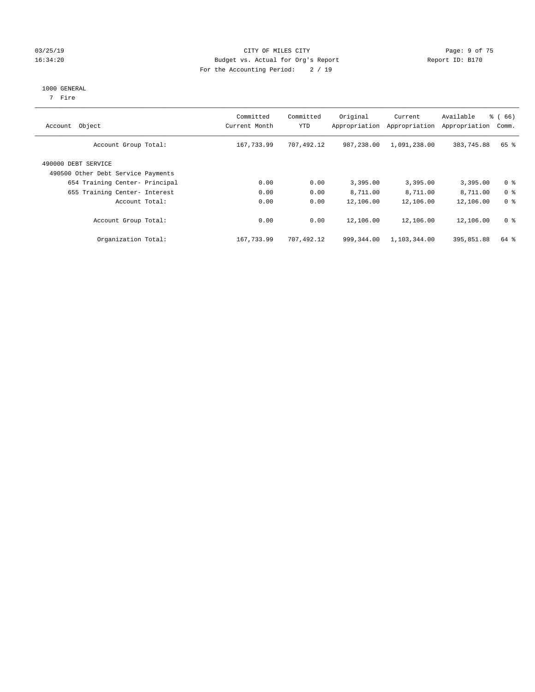### 03/25/19 Page: 9 of 75 16:34:20 Budget vs. Actual for Org's Report Changer Report ID: B170 For the Accounting Period: 2 / 19

#### 1000 GENERAL

7 Fire

| Account Object                                            | Committed<br>Current Month | Committed<br>YTD | Original<br>Appropriation | Current<br>Appropriation | Available<br>Appropriation | % (66)<br>Comm. |
|-----------------------------------------------------------|----------------------------|------------------|---------------------------|--------------------------|----------------------------|-----------------|
| Account Group Total:                                      | 167,733.99                 | 707,492.12       | 987,238.00                | 1,091,238.00             | 383,745.88                 | 65 %            |
| 490000 DEBT SERVICE<br>490500 Other Debt Service Payments |                            |                  |                           |                          |                            |                 |
| 654 Training Center- Principal                            | 0.00                       | 0.00             | 3,395.00                  | 3,395.00                 | 3,395.00                   | 0 <sup>8</sup>  |
| 655 Training Center- Interest                             | 0.00                       | 0.00             | 8,711.00                  | 8,711.00                 | 8,711.00                   | 0 <sup>8</sup>  |
| Account Total:                                            | 0.00                       | 0.00             | 12,106.00                 | 12,106.00                | 12,106.00                  | 0 <sup>8</sup>  |
| Account Group Total:                                      | 0.00                       | 0.00             | 12,106.00                 | 12,106.00                | 12,106.00                  | 0 <sup>8</sup>  |
| Organization Total:                                       | 167,733.99                 | 707,492.12       | 999,344.00                | 1,103,344.00             | 395,851.88                 | 64 %            |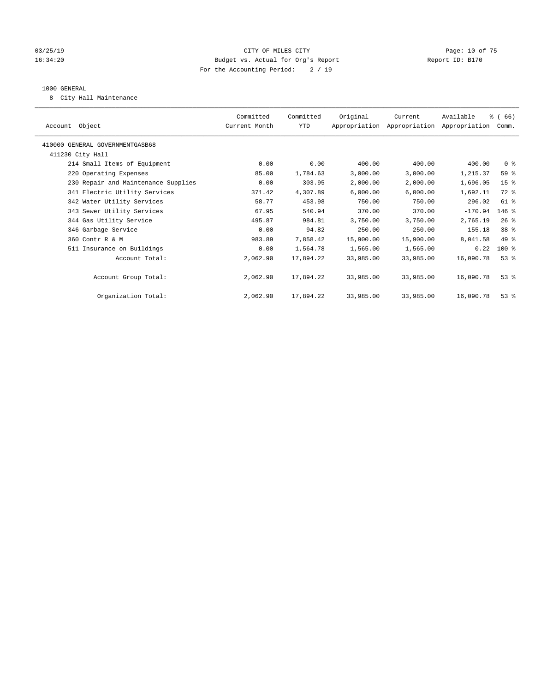### 03/25/19 Page: 10 of 75 16:34:20 Budget vs. Actual for Org's Report Changer Report ID: B170 For the Accounting Period: 2 / 19

### 1000 GENERAL

8 City Hall Maintenance

| Account Object                      | Committed<br>Current Month | Committed<br>YTD | Original  | Current<br>Appropriation Appropriation Appropriation | Available | % (66)<br>Comm. |
|-------------------------------------|----------------------------|------------------|-----------|------------------------------------------------------|-----------|-----------------|
| 410000 GENERAL GOVERNMENTGASB68     |                            |                  |           |                                                      |           |                 |
| 411230 City Hall                    |                            |                  |           |                                                      |           |                 |
| 214 Small Items of Equipment        | 0.00                       | 0.00             | 400.00    | 400.00                                               | 400.00    | 0 <sup>8</sup>  |
| 220 Operating Expenses              | 85.00                      | 1,784.63         | 3,000.00  | 3,000.00                                             | 1,215.37  | 59 %            |
| 230 Repair and Maintenance Supplies | 0.00                       | 303.95           | 2,000.00  | 2,000.00                                             | 1,696.05  | 15 <sup>8</sup> |
| 341 Electric Utility Services       | 371.42                     | 4,307.89         | 6,000.00  | 6,000.00                                             | 1,692.11  | $72$ $%$        |
| 342 Water Utility Services          | 58.77                      | 453.98           | 750.00    | 750.00                                               | 296.02    | $61$ %          |
| 343 Sewer Utility Services          | 67.95                      | 540.94           | 370.00    | 370.00                                               | $-170.94$ | $146$ %         |
| 344 Gas Utility Service             | 495.87                     | 984.81           | 3,750.00  | 3,750.00                                             | 2,765.19  | $26$ %          |
| 346 Garbage Service                 | 0.00                       | 94.82            | 250.00    | 250.00                                               | 155.18    | 38 %            |
| 360 Contr R & M                     | 983.89                     | 7,858.42         | 15,900.00 | 15,900.00                                            | 8,041.58  | 49 %            |
| 511 Insurance on Buildings          | 0.00                       | 1,564.78         | 1,565.00  | 1,565.00                                             | 0.22      | $100$ %         |
| Account Total:                      | 2,062.90                   | 17,894.22        | 33,985.00 | 33,985.00                                            | 16,090.78 | $53$ $%$        |
|                                     |                            |                  |           |                                                      |           |                 |
| Account Group Total:                | 2,062.90                   | 17,894.22        | 33,985.00 | 33,985.00                                            | 16,090.78 | $53$ $%$        |
|                                     |                            |                  |           |                                                      |           |                 |
| Organization Total:                 | 2,062.90                   | 17,894.22        | 33,985.00 | 33,985.00                                            | 16,090.78 | $53$ $%$        |
|                                     |                            |                  |           |                                                      |           |                 |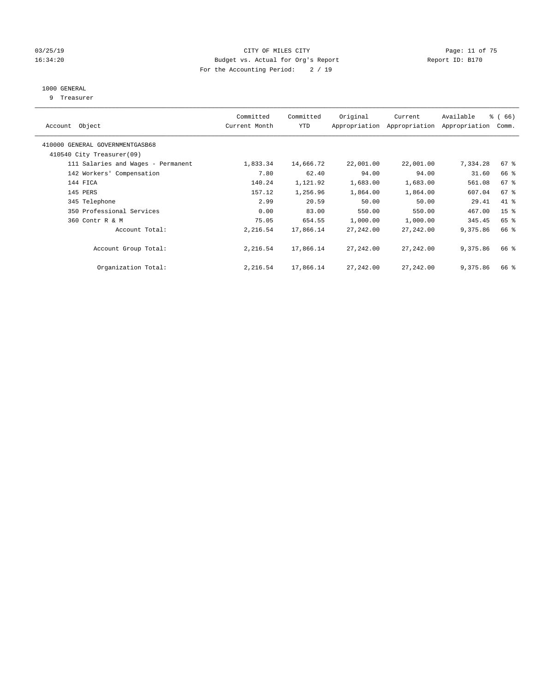### 03/25/19 Page: 11 of 75 16:34:20 Budget vs. Actual for Org's Report Changer Report ID: B170 For the Accounting Period: 2 / 19

### 1000 GENERAL

9 Treasurer

| Account Object                                               | Committed<br>Current Month | Committed<br><b>YTD</b> | Original  | Current<br>Appropriation Appropriation | Available<br>Appropriation | % (66)<br>Comm. |
|--------------------------------------------------------------|----------------------------|-------------------------|-----------|----------------------------------------|----------------------------|-----------------|
| 410000 GENERAL GOVERNMENTGASB68<br>410540 City Treasurer(09) |                            |                         |           |                                        |                            |                 |
|                                                              |                            |                         |           |                                        |                            |                 |
| 111 Salaries and Wages - Permanent                           | 1,833.34                   | 14,666.72               | 22,001.00 | 22,001.00                              | 7,334.28                   | $67$ $%$        |
| 142 Workers' Compensation                                    | 7.80                       | 62.40                   | 94.00     | 94.00                                  | 31.60                      | 66 %            |
| 144 FICA                                                     | 140.24                     | 1,121.92                | 1,683.00  | 1,683.00                               | 561.08                     | 67 <sup>°</sup> |
| 145 PERS                                                     | 157.12                     | 1,256.96                | 1,864.00  | 1,864.00                               | 607.04                     | 67%             |
| 345 Telephone                                                | 2.99                       | 20.59                   | 50.00     | 50.00                                  | 29.41                      | 41 %            |
| 350 Professional Services                                    | 0.00                       | 83.00                   | 550.00    | 550.00                                 | 467.00                     | 15 <sup>8</sup> |
| 360 Contr R & M                                              | 75.05                      | 654.55                  | 1,000.00  | 1,000.00                               | 345.45                     | 65 %            |
| Account Total:                                               | 2,216.54                   | 17,866.14               | 27,242.00 | 27,242.00                              | 9,375.86                   | 66 %            |
| Account Group Total:                                         | 2,216.54                   | 17,866.14               | 27,242.00 | 27,242.00                              | 9,375.86                   | 66 %            |
| Organization Total:                                          | 2,216.54                   | 17,866.14               | 27,242.00 | 27,242.00                              | 9,375.86                   | 66 %            |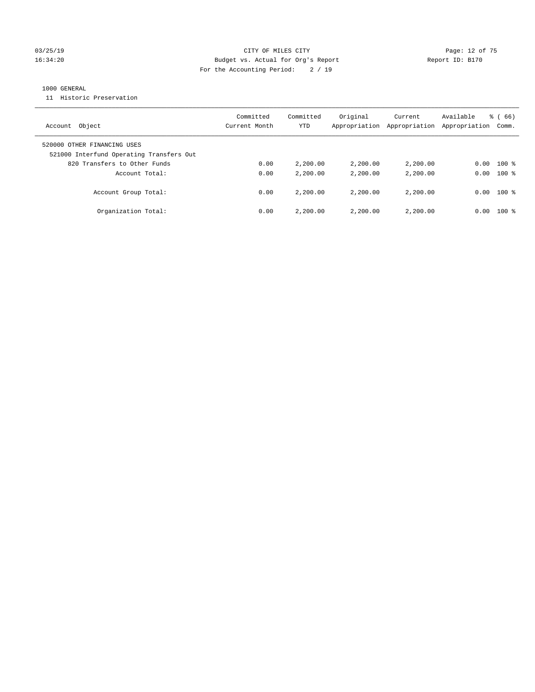### 03/25/19 Page: 12 of 75 16:34:20 Budget vs. Actual for Org's Report Changer Report ID: B170 For the Accounting Period: 2 / 19

### 1000 GENERAL

11 Historic Preservation

| Object<br>Account                                                       | Committed<br>Current Month | Committed<br>YTD | Original<br>Appropriation | Current<br>Appropriation | Available<br>Appropriation | $\frac{8}{6}$ (66)<br>Comm. |
|-------------------------------------------------------------------------|----------------------------|------------------|---------------------------|--------------------------|----------------------------|-----------------------------|
| 520000 OTHER FINANCING USES<br>521000 Interfund Operating Transfers Out |                            |                  |                           |                          |                            |                             |
| 820 Transfers to Other Funds                                            | 0.00                       | 2,200.00         | 2,200.00                  | 2,200.00                 | 0.00                       | $100$ %                     |
| Account Total:                                                          | 0.00                       | 2,200.00         | 2,200.00                  | 2,200.00                 | 0.00                       | $100*$                      |
| Account Group Total:                                                    | 0.00                       | 2,200.00         | 2,200.00                  | 2,200,00                 | 0.00                       | $100*$                      |
| Organization Total:                                                     | 0.00                       | 2,200.00         | 2,200.00                  | 2,200,00                 | 0.00                       | $100*$                      |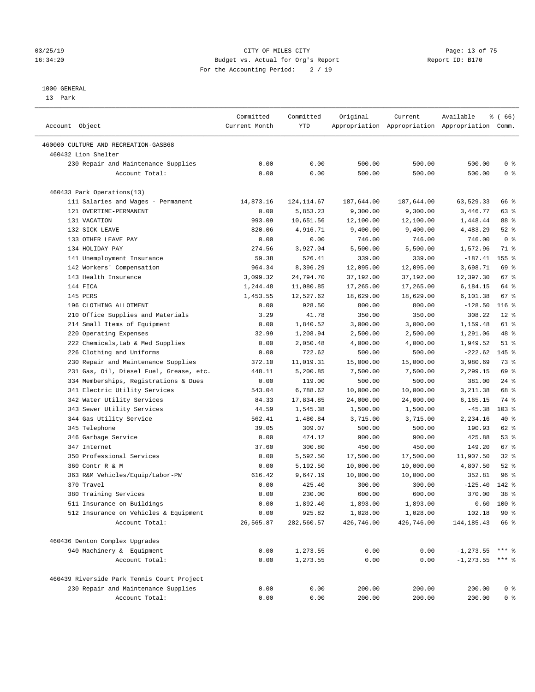### 03/25/19 Page: 13 of 75 16:34:20 Budget vs. Actual for Org's Report Changer Report ID: B170 For the Accounting Period: 2 / 19

————————————————————————————————————————————————————————————————————————————————————————————————————————————————————————————————————

#### 1000 GENERAL

13 Park

|                                            | Committed     | Committed  | Original   | Current    | Available                                       | <sub>ර</sub> ි (66) |
|--------------------------------------------|---------------|------------|------------|------------|-------------------------------------------------|---------------------|
| Account Object                             | Current Month | YTD        |            |            | Appropriation Appropriation Appropriation Comm. |                     |
| 460000 CULTURE AND RECREATION-GASB68       |               |            |            |            |                                                 |                     |
| 460432 Lion Shelter                        |               |            |            |            |                                                 |                     |
| 230 Repair and Maintenance Supplies        | 0.00          | 0.00       | 500.00     | 500.00     | 500.00                                          | 0 <sup>8</sup>      |
| Account Total:                             | 0.00          | 0.00       | 500.00     | 500.00     | 500.00                                          | 0 <sup>8</sup>      |
| 460433 Park Operations(13)                 |               |            |            |            |                                                 |                     |
| 111 Salaries and Wages - Permanent         | 14,873.16     | 124,114.67 | 187,644.00 | 187,644.00 | 63,529.33                                       | 66 %                |
| 121 OVERTIME-PERMANENT                     | 0.00          | 5,853.23   | 9,300.00   | 9,300.00   | 3,446.77                                        | 63 %                |
| 131 VACATION                               | 993.09        | 10,651.56  | 12,100.00  | 12,100.00  | 1,448.44                                        | 88 %                |
| 132 SICK LEAVE                             | 820.06        | 4,916.71   | 9,400.00   | 9,400.00   | 4,483.29                                        | $52$ $%$            |
| 133 OTHER LEAVE PAY                        | 0.00          | 0.00       | 746.00     | 746.00     | 746.00                                          | 0 <sup>8</sup>      |
| 134 HOLIDAY PAY                            | 274.56        | 3,927.04   | 5,500.00   | 5,500.00   | 1,572.96                                        | 71 %                |
| 141 Unemployment Insurance                 | 59.38         | 526.41     | 339.00     | 339.00     | $-187.41$                                       | 155 %               |
| 142 Workers' Compensation                  | 964.34        | 8,396.29   | 12,095.00  | 12,095.00  | 3,698.71                                        | 69 %                |
| 143 Health Insurance                       | 3,099.32      | 24,794.70  | 37,192.00  | 37,192.00  | 12,397.30                                       | 67%                 |
| 144 FICA                                   | 1,244.48      | 11,080.85  | 17,265.00  | 17,265.00  | 6,184.15                                        | 64 %                |
| 145 PERS                                   | 1,453.55      | 12,527.62  | 18,629.00  | 18,629.00  | 6,101.38                                        | $67$ %              |
| 196 CLOTHING ALLOTMENT                     | 0.00          | 928.50     | 800.00     | 800.00     | $-128.50$                                       | $116$ %             |
| 210 Office Supplies and Materials          | 3.29          | 41.78      | 350.00     | 350.00     | 308.22                                          | $12*$               |
| 214 Small Items of Equipment               | 0.00          | 1,840.52   | 3,000.00   | 3,000.00   | 1,159.48                                        | 61 %                |
| 220 Operating Expenses                     | 32.99         | 1,208.94   | 2,500.00   | 2,500.00   | 1,291.06                                        | 48 %                |
| 222 Chemicals, Lab & Med Supplies          | 0.00          | 2,050.48   | 4,000.00   | 4,000.00   | 1,949.52                                        | $51$ %              |
| 226 Clothing and Uniforms                  | 0.00          | 722.62     | 500.00     | 500.00     | $-222.62$                                       | $145$ %             |
| 230 Repair and Maintenance Supplies        | 372.10        | 11,019.31  | 15,000.00  | 15,000.00  | 3,980.69                                        | 73 %                |
| 231 Gas, Oil, Diesel Fuel, Grease, etc.    | 448.11        | 5,200.85   | 7,500.00   | 7,500.00   | 2,299.15                                        | 69 %                |
| 334 Memberships, Registrations & Dues      | 0.00          | 119.00     | 500.00     | 500.00     | 381.00                                          | $24$ %              |
| 341 Electric Utility Services              | 543.04        | 6,788.62   | 10,000.00  | 10,000.00  | 3,211.38                                        | 68 %                |
| 342 Water Utility Services                 | 84.33         | 17,834.85  | 24,000.00  | 24,000.00  | 6,165.15                                        | 74 %                |
| 343 Sewer Utility Services                 | 44.59         | 1,545.38   | 1,500.00   | 1,500.00   | $-45.38$                                        | $103$ %             |
| 344 Gas Utility Service                    | 562.41        | 1,480.84   | 3,715.00   | 3,715.00   | 2,234.16                                        | 40 %                |
| 345 Telephone                              | 39.05         | 309.07     | 500.00     | 500.00     | 190.93                                          | 62 %                |
| 346 Garbage Service                        | 0.00          | 474.12     | 900.00     | 900.00     | 425.88                                          | 53%                 |
| 347 Internet                               | 37.60         | 300.80     | 450.00     | 450.00     | 149.20                                          | 67 %                |
| 350 Professional Services                  | 0.00          | 5,592.50   | 17,500.00  | 17,500.00  | 11,907.50                                       | $32$ $%$            |
| 360 Contr R & M                            | 0.00          | 5,192.50   | 10,000.00  | 10,000.00  | 4,807.50                                        | $52$ $%$            |
| 363 R&M Vehicles/Equip/Labor-PW            | 616.42        | 9,647.19   | 10,000.00  | 10,000.00  | 352.81                                          | 96%                 |
| 370 Travel                                 | 0.00          | 425.40     | 300.00     | 300.00     | $-125.40$                                       | $142*$              |
| 380 Training Services                      | 0.00          | 230.00     | 600.00     | 600.00     | 370.00                                          | 38 <sup>8</sup>     |
| 511 Insurance on Buildings                 | 0.00          | 1,892.40   | 1,893.00   | 1,893.00   |                                                 | $0.60$ 100 %        |
| 512 Insurance on Vehicles & Equipment      | 0.00          | 925.82     | 1,028.00   | 1,028.00   | 102.18                                          | 90%                 |
| Account Total:                             | 26,565.87     | 282,560.57 | 426,746.00 | 426,746.00 | 144, 185. 43                                    | 66 %                |
| 460436 Denton Complex Upgrades             |               |            |            |            |                                                 |                     |
| 940 Machinery & Equipment                  | 0.00          | 1,273.55   | 0.00       | 0.00       | $-1, 273.55$ *** %                              |                     |
| Account Total:                             | 0.00          | 1,273.55   | 0.00       | 0.00       | $-1, 273.55$ *** %                              |                     |
| 460439 Riverside Park Tennis Court Project |               |            |            |            |                                                 |                     |
| 230 Repair and Maintenance Supplies        | 0.00          | 0.00       | 200.00     | 200.00     | 200.00                                          | 0 <sup>8</sup>      |
| Account Total:                             | 0.00          | 0.00       | 200.00     | 200.00     | 200.00                                          | 0 <sup>8</sup>      |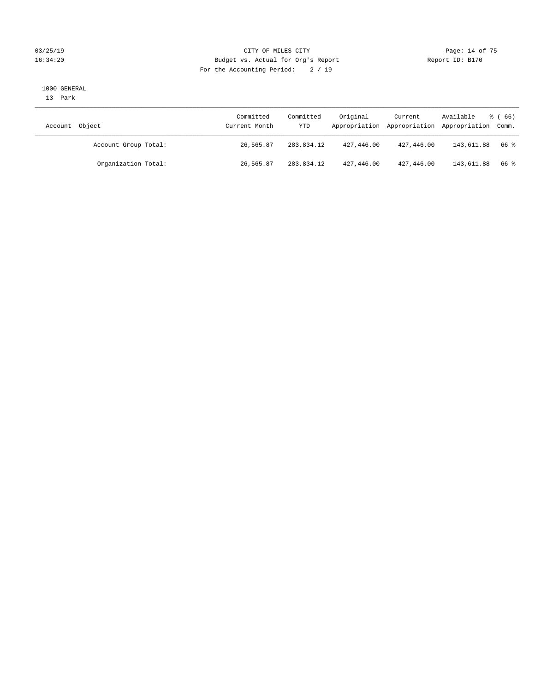### 03/25/19 Page: 14 of 75 16:34:20 Budget vs. Actual for Org's Report Changer Report ID: B170 For the Accounting Period: 2 / 19

#### 1000 GENERAL

13 Park

| Account Object       | Committed<br>Current Month | Committed<br>YTD | Original   | Current    | Available<br>Appropriation Appropriation Appropriation Comm. | $\frac{8}{6}$ (66) |
|----------------------|----------------------------|------------------|------------|------------|--------------------------------------------------------------|--------------------|
| Account Group Total: | 26,565.87                  | 283,834.12       | 427,446.00 | 427,446.00 | 143,611.88                                                   | 66 %               |
| Organization Total:  | 26,565.87                  | 283,834.12       | 427,446.00 | 427,446.00 | 143,611.88                                                   | 66 %               |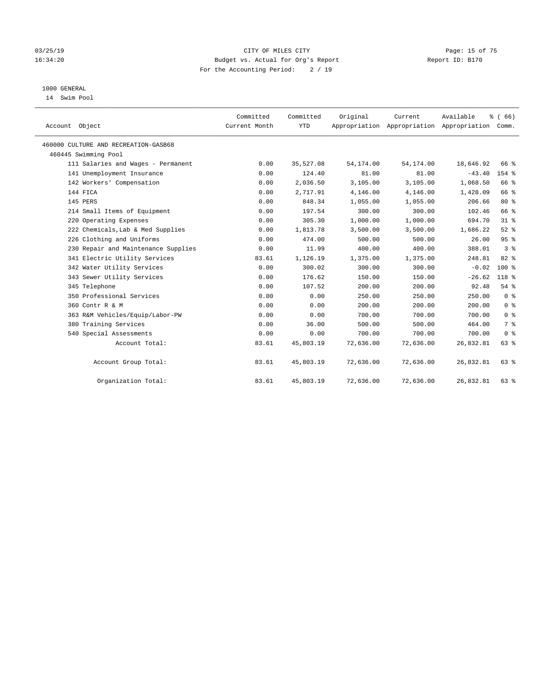### 03/25/19 Page: 15 of 75 16:34:20 Budget vs. Actual for Org's Report Changer Report ID: B170 For the Accounting Period: 2 / 19

### 1000 GENERAL

14 Swim Pool

| Account Object                       | Committed<br>Current Month | Committed<br><b>YTD</b> | Original  | Current<br>Appropriation Appropriation Appropriation Comm. | Available | % (66)          |
|--------------------------------------|----------------------------|-------------------------|-----------|------------------------------------------------------------|-----------|-----------------|
| 460000 CULTURE AND RECREATION-GASB68 |                            |                         |           |                                                            |           |                 |
| 460445 Swimming Pool                 |                            |                         |           |                                                            |           |                 |
| 111 Salaries and Wages - Permanent   | 0.00                       | 35,527.08               | 54,174.00 | 54,174.00                                                  | 18,646.92 | 66 %            |
| 141 Unemployment Insurance           | 0.00                       | 124.40                  | 81.00     | 81.00                                                      | $-43.40$  | 154 %           |
| 142 Workers' Compensation            | 0.00                       | 2,036.50                | 3,105.00  | 3,105.00                                                   | 1,068.50  | 66 %            |
| 144 FICA                             | 0.00                       | 2,717.91                | 4,146.00  | 4,146.00                                                   | 1,428.09  | 66 %            |
| 145 PERS                             | 0.00                       | 848.34                  | 1,055.00  | 1,055.00                                                   | 206.66    | $80*$           |
| 214 Small Items of Equipment         | 0.00                       | 197.54                  | 300.00    | 300.00                                                     | 102.46    | 66 %            |
| 220 Operating Expenses               | 0.00                       | 305.30                  | 1,000.00  | 1,000.00                                                   | 694.70    | 31 <sup>°</sup> |
| 222 Chemicals, Lab & Med Supplies    | 0.00                       | 1,813.78                | 3,500.00  | 3,500.00                                                   | 1,686.22  | $52$ $%$        |
| 226 Clothing and Uniforms            | 0.00                       | 474.00                  | 500.00    | 500.00                                                     | 26.00     | 95%             |
| 230 Repair and Maintenance Supplies  | 0.00                       | 11.99                   | 400.00    | 400.00                                                     | 388.01    | 3 <sup>8</sup>  |
| 341 Electric Utility Services        | 83.61                      | 1,126.19                | 1,375.00  | 1,375.00                                                   | 248.81    | 82%             |
| 342 Water Utility Services           | 0.00                       | 300.02                  | 300.00    | 300.00                                                     | $-0.02$   | $100*$          |
| 343 Sewer Utility Services           | 0.00                       | 176.62                  | 150.00    | 150.00                                                     | $-26.62$  | 118 %           |
| 345 Telephone                        | 0.00                       | 107.52                  | 200.00    | 200.00                                                     | 92.48     | 54%             |
| 350 Professional Services            | 0.00                       | 0.00                    | 250.00    | 250.00                                                     | 250.00    | 0 <sup>8</sup>  |
| 360 Contr R & M                      | 0.00                       | 0.00                    | 200.00    | 200.00                                                     | 200.00    | 0 <sup>8</sup>  |
| 363 R&M Vehicles/Equip/Labor-PW      | 0.00                       | 0.00                    | 700.00    | 700.00                                                     | 700.00    | 0 <sup>8</sup>  |
| 380 Training Services                | 0.00                       | 36.00                   | 500.00    | 500.00                                                     | 464.00    | 7 <sup>°</sup>  |
| 540 Special Assessments              | 0.00                       | 0.00                    | 700.00    | 700.00                                                     | 700.00    | 0 <sup>8</sup>  |
| Account Total:                       | 83.61                      | 45,803.19               | 72,636.00 | 72,636.00                                                  | 26,832.81 | 63%             |
| Account Group Total:                 | 83.61                      | 45,803.19               | 72,636.00 | 72,636.00                                                  | 26,832.81 | 63 %            |
| Organization Total:                  | 83.61                      | 45,803.19               | 72,636.00 | 72,636.00                                                  | 26,832.81 | 63 %            |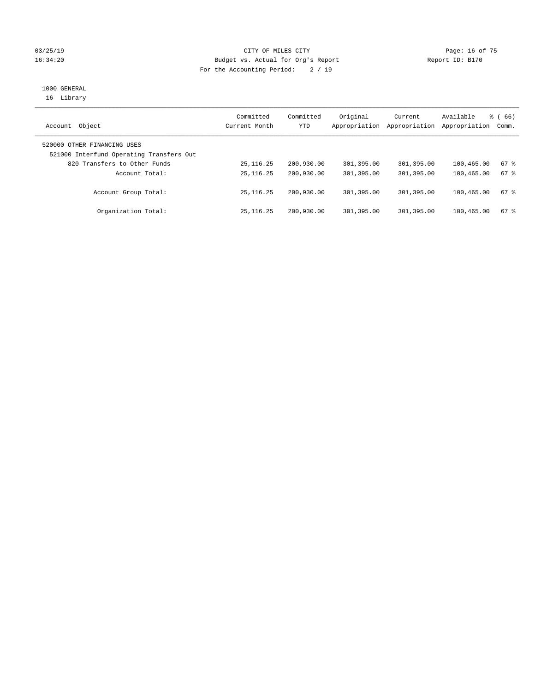### $CITY$  OF MILES  $CITY$  and the contract of  $T5$ 16:34:20 Budget vs. Actual for Org's Report Changer Report ID: B170 For the Accounting Period: 2 / 19

## 1000 GENERAL

16 Library

| Object<br>Account                                                       | Committed<br>Current Month | Committed<br>YTD | Original<br>Appropriation | Current<br>Appropriation | Available<br>Appropriation | $\frac{3}{6}$ (66)<br>Comm. |
|-------------------------------------------------------------------------|----------------------------|------------------|---------------------------|--------------------------|----------------------------|-----------------------------|
| 520000 OTHER FINANCING USES<br>521000 Interfund Operating Transfers Out |                            |                  |                           |                          |                            |                             |
| 820 Transfers to Other Funds                                            | 25, 116. 25                | 200,930.00       | 301,395.00                | 301,395.00               | 100,465.00                 | 67 %                        |
| Account Total:                                                          | 25, 116. 25                | 200,930.00       | 301,395.00                | 301,395.00               | 100,465.00                 | 67 %                        |
| Account Group Total:                                                    | 25, 116, 25                | 200,930.00       | 301,395.00                | 301,395.00               | 100,465.00                 | $67$ $\frac{6}{3}$          |
| Organization Total:                                                     | 25, 116, 25                | 200,930.00       | 301,395.00                | 301,395.00               | 100,465.00                 | $67$ $%$                    |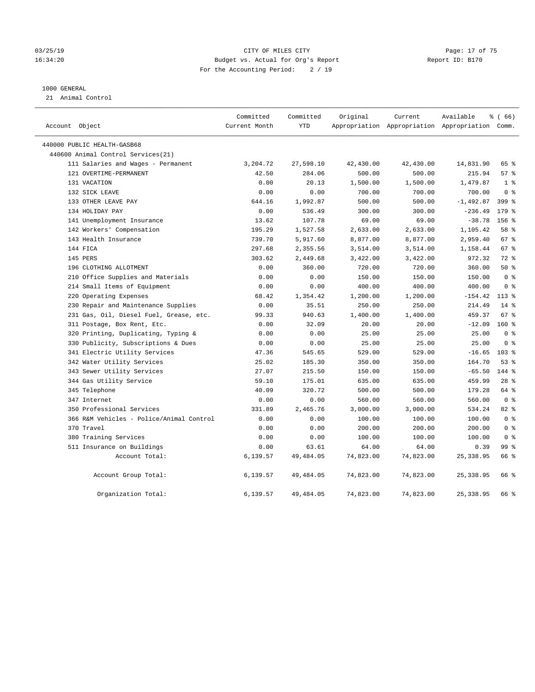### 03/25/19 Page: 17 of 75 16:34:20 Budget vs. Actual for Org's Report Report ID: B170 For the Accounting Period: 2 / 19

### 1000 GENERAL

21 Animal Control

| Account Object                           | Committed<br>Current Month | Committed<br><b>YTD</b> | Original  | Current   | Available<br>Appropriation Appropriation Appropriation Comm. | % (66)           |
|------------------------------------------|----------------------------|-------------------------|-----------|-----------|--------------------------------------------------------------|------------------|
| 440000 PUBLIC HEALTH-GASB68              |                            |                         |           |           |                                                              |                  |
| 440600 Animal Control Services (21)      |                            |                         |           |           |                                                              |                  |
| 111 Salaries and Wages - Permanent       | 3,204.72                   | 27,598.10               | 42,430.00 | 42,430.00 | 14,831.90                                                    | 65 %             |
| 121 OVERTIME-PERMANENT                   | 42.50                      | 284.06                  | 500.00    | 500.00    | 215.94                                                       | 57%              |
| 131 VACATION                             | 0.00                       | 20.13                   | 1,500.00  | 1,500.00  | 1,479.87                                                     | 1 <sup>°</sup>   |
| 132 SICK LEAVE                           | 0.00                       | 0.00                    | 700.00    | 700.00    | 700.00                                                       | 0 <sup>8</sup>   |
| 133 OTHER LEAVE PAY                      | 644.16                     | 1,992.87                | 500.00    | 500.00    | $-1,492.87$                                                  | $399$ $%$        |
| 134 HOLIDAY PAY                          | 0.00                       | 536.49                  | 300.00    | 300.00    | $-236.49$                                                    | $179$ $%$        |
| 141 Unemployment Insurance               | 13.62                      | 107.78                  | 69.00     | 69.00     | $-38.78$                                                     | 156 %            |
| 142 Workers' Compensation                | 195.29                     | 1,527.58                | 2,633.00  | 2,633.00  | 1,105.42                                                     | 58 %             |
| 143 Health Insurance                     | 739.70                     | 5,917.60                | 8,877.00  | 8,877.00  | 2,959.40                                                     | 67 %             |
| 144 FICA                                 | 297.68                     | 2,355.56                | 3,514.00  | 3,514.00  | 1,158.44                                                     | 67 %             |
| 145 PERS                                 | 303.62                     | 2,449.68                | 3,422.00  | 3,422.00  | 972.32                                                       | $72$ $%$         |
| 196 CLOTHING ALLOTMENT                   | 0.00                       | 360.00                  | 720.00    | 720.00    | 360.00                                                       | 50%              |
| 210 Office Supplies and Materials        | 0.00                       | 0.00                    | 150.00    | 150.00    | 150.00                                                       | 0 <sup>8</sup>   |
| 214 Small Items of Equipment             | 0.00                       | 0.00                    | 400.00    | 400.00    | 400.00                                                       | 0 <sup>8</sup>   |
| 220 Operating Expenses                   | 68.42                      | 1,354.42                | 1,200.00  | 1,200.00  | $-154.42$                                                    | $113*$           |
| 230 Repair and Maintenance Supplies      | 0.00                       | 35.51                   | 250.00    | 250.00    | 214.49                                                       | $14*$            |
| 231 Gas, Oil, Diesel Fuel, Grease, etc.  | 99.33                      | 940.63                  | 1,400.00  | 1,400.00  | 459.37                                                       | 67 <sup>°</sup>  |
| 311 Postage, Box Rent, Etc.              | 0.00                       | 32.09                   | 20.00     | 20.00     | $-12.09$                                                     | $160*$           |
| 320 Printing, Duplicating, Typing &      | 0.00                       | 0.00                    | 25.00     | 25.00     | 25.00                                                        | 0 <sup>8</sup>   |
| 330 Publicity, Subscriptions & Dues      | 0.00                       | 0.00                    | 25.00     | 25.00     | 25.00                                                        | 0 <sup>8</sup>   |
| 341 Electric Utility Services            | 47.36                      | 545.65                  | 529.00    | 529.00    | $-16.65$                                                     | 103 <sub>8</sub> |
| 342 Water Utility Services               | 25.02                      | 185.30                  | 350.00    | 350.00    | 164.70                                                       | $53$ $%$         |
| 343 Sewer Utility Services               | 27.07                      | 215.50                  | 150.00    | 150.00    | $-65.50$                                                     | $144$ %          |
| 344 Gas Utility Service                  | 59.10                      | 175.01                  | 635.00    | 635.00    | 459.99                                                       | $28$ $%$         |
| 345 Telephone                            | 40.09                      | 320.72                  | 500.00    | 500.00    | 179.28                                                       | 64 %             |
| 347 Internet                             | 0.00                       | 0.00                    | 560.00    | 560.00    | 560.00                                                       | 0 <sup>8</sup>   |
| 350 Professional Services                | 331.89                     | 2,465.76                | 3,000.00  | 3,000.00  | 534.24                                                       | 82 %             |
| 366 R&M Vehicles - Police/Animal Control | 0.00                       | 0.00                    | 100.00    | 100.00    | 100.00                                                       | 0 <sup>8</sup>   |
| 370 Travel                               | 0.00                       | 0.00                    | 200.00    | 200.00    | 200.00                                                       | 0 <sup>8</sup>   |
| 380 Training Services                    | 0.00                       | 0.00                    | 100.00    | 100.00    | 100.00                                                       | 0 <sup>8</sup>   |
| 511 Insurance on Buildings               | 0.00                       | 63.61                   | 64.00     | 64.00     | 0.39                                                         | 99 <sub>8</sub>  |
| Account Total:                           | 6,139.57                   | 49,484.05               | 74,823.00 | 74,823.00 | 25, 338.95                                                   | 66 %             |
| Account Group Total:                     | 6,139.57                   | 49, 484.05              | 74,823.00 | 74,823.00 | 25, 338.95                                                   | 66 %             |
| Organization Total:                      | 6,139.57                   | 49, 484.05              | 74,823.00 | 74,823.00 | 25, 338.95                                                   | 66 %             |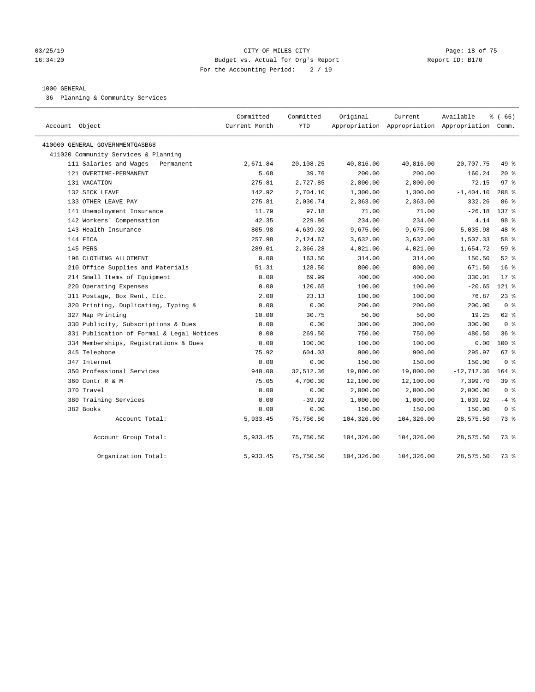### 03/25/19 Page: 18 of 75 16:34:20 Budget vs. Actual for Org's Report Changer Report ID: B170 For the Accounting Period: 2 / 19

### 1000 GENERAL

36 Planning & Community Services

| Account Object                            | Committed<br>Current Month | Committed<br><b>YTD</b> | Original   | Current    | Available<br>Appropriation Appropriation Appropriation Comm. | % (66)          |
|-------------------------------------------|----------------------------|-------------------------|------------|------------|--------------------------------------------------------------|-----------------|
| 410000 GENERAL GOVERNMENTGASB68           |                            |                         |            |            |                                                              |                 |
| 411020 Community Services & Planning      |                            |                         |            |            |                                                              |                 |
| 111 Salaries and Wages - Permanent        | 2,671.84                   | 20,108.25               | 40,816.00  | 40,816.00  | 20,707.75                                                    | 49 %            |
| 121 OVERTIME-PERMANENT                    | 5.68                       | 39.76                   | 200.00     | 200.00     | 160.24                                                       | $20*$           |
| 131 VACATION                              | 275.81                     | 2,727.85                | 2,800.00   | 2,800.00   | 72.15                                                        | 97%             |
| 132 SICK LEAVE                            | 142.92                     | 2,704.10                | 1,300.00   | 1,300.00   | $-1, 404.10$                                                 | $208$ %         |
| 133 OTHER LEAVE PAY                       | 275.81                     | 2,030.74                | 2,363.00   | 2,363.00   | 332.26                                                       | 86 %            |
| 141 Unemployment Insurance                | 11.79                      | 97.18                   | 71.00      | 71.00      | $-26.18$                                                     | 137 %           |
| 142 Workers' Compensation                 | 42.35                      | 229.86                  | 234.00     | 234.00     | 4.14                                                         | 98 %            |
| 143 Health Insurance                      | 805.98                     | 4,639.02                | 9,675.00   | 9,675.00   | 5,035.98                                                     | 48 %            |
| 144 FICA                                  | 257.98                     | 2,124.67                | 3,632.00   | 3,632.00   | 1,507.33                                                     | 58 %            |
| 145 PERS                                  | 289.01                     | 2,366.28                | 4,021.00   | 4,021.00   | 1,654.72                                                     | 59 %            |
| 196 CLOTHING ALLOTMENT                    | 0.00                       | 163.50                  | 314.00     | 314.00     | 150.50                                                       | $52$ $%$        |
| 210 Office Supplies and Materials         | 51.31                      | 128.50                  | 800.00     | 800.00     | 671.50                                                       | 16 <sup>8</sup> |
| 214 Small Items of Equipment              | 0.00                       | 69.99                   | 400.00     | 400.00     | 330.01                                                       | $17*$           |
| 220 Operating Expenses                    | 0.00                       | 120.65                  | 100.00     | 100.00     | $-20.65$                                                     | $121$ %         |
| 311 Postage, Box Rent, Etc.               | 2.00                       | 23.13                   | 100.00     | 100.00     | 76.87                                                        | $23$ $%$        |
| 320 Printing, Duplicating, Typing &       | 0.00                       | 0.00                    | 200.00     | 200.00     | 200.00                                                       | 0 <sup>8</sup>  |
| 327 Map Printing                          | 10.00                      | 30.75                   | 50.00      | 50.00      | 19.25                                                        | 62 %            |
| 330 Publicity, Subscriptions & Dues       | 0.00                       | 0.00                    | 300.00     | 300.00     | 300.00                                                       | 0 <sup>8</sup>  |
| 331 Publication of Formal & Legal Notices | 0.00                       | 269.50                  | 750.00     | 750.00     | 480.50                                                       | 36%             |
| 334 Memberships, Registrations & Dues     | 0.00                       | 100.00                  | 100.00     | 100.00     | 0.00                                                         | $100*$          |
| 345 Telephone                             | 75.92                      | 604.03                  | 900.00     | 900.00     | 295.97                                                       | 67%             |
| 347 Internet                              | 0.00                       | 0.00                    | 150.00     | 150.00     | 150.00                                                       | 0 <sup>8</sup>  |
| 350 Professional Services                 | 940.00                     | 32,512.36               | 19,800.00  | 19,800.00  | $-12, 712.36$                                                | $164$ %         |
| 360 Contr R & M                           | 75.05                      | 4,700.30                | 12,100.00  | 12,100.00  | 7,399.70                                                     | 39%             |
| 370 Travel                                | 0.00                       | 0.00                    | 2,000.00   | 2,000.00   | 2,000.00                                                     | 0 <sup>8</sup>  |
| 380 Training Services                     | 0.00                       | $-39.92$                | 1,000.00   | 1,000.00   | 1,039.92                                                     | $-4$ %          |
| 382 Books                                 | 0.00                       | 0.00                    | 150.00     | 150.00     | 150.00                                                       | 0 <sup>8</sup>  |
| Account Total:                            | 5,933.45                   | 75,750.50               | 104,326.00 | 104,326.00 | 28,575.50                                                    | 73 %            |
| Account Group Total:                      | 5,933.45                   | 75,750.50               | 104,326.00 | 104,326.00 | 28,575.50                                                    | 73 %            |
| Organization Total:                       | 5,933.45                   | 75,750.50               | 104,326.00 | 104,326.00 | 28,575.50                                                    | 73 %            |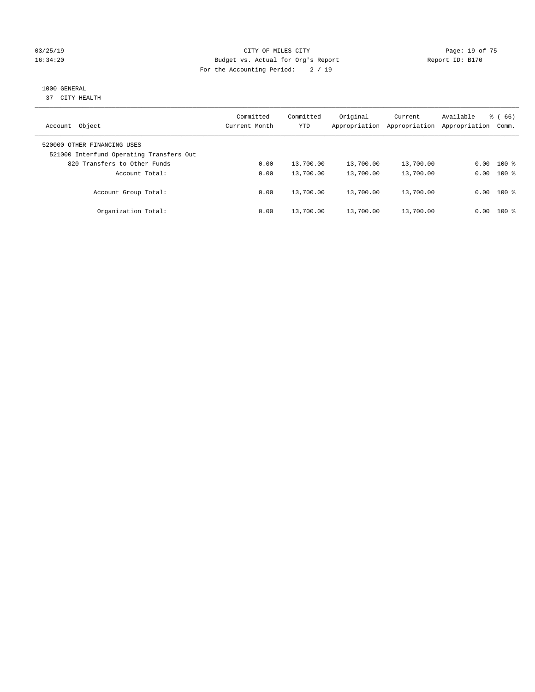### 03/25/19 Page: 19 of 75 16:34:20 Budget vs. Actual for Org's Report Changer Report ID: B170 For the Accounting Period: 2 / 19

### 1000 GENERAL

37 CITY HEALTH

| Object<br>Account                                                       | Committed<br>Current Month | Committed<br><b>YTD</b> | Original<br>Appropriation | Current<br>Appropriation | Available<br>Appropriation | $\frac{8}{6}$ (66)<br>Comm. |
|-------------------------------------------------------------------------|----------------------------|-------------------------|---------------------------|--------------------------|----------------------------|-----------------------------|
| 520000 OTHER FINANCING USES<br>521000 Interfund Operating Transfers Out |                            |                         |                           |                          |                            |                             |
| 820 Transfers to Other Funds                                            | 0.00                       | 13,700.00               | 13,700.00                 | 13,700.00                | 0.00                       | $100*$                      |
| Account Total:                                                          | 0.00                       | 13,700.00               | 13,700.00                 | 13,700.00                | 0.00                       | $100*$                      |
| Account Group Total:                                                    | 0.00                       | 13,700.00               | 13,700.00                 | 13,700.00                |                            | $0.00$ 100 %                |
| Organization Total:                                                     | 0.00                       | 13,700.00               | 13,700.00                 | 13,700.00                | 0.00                       | $100*$                      |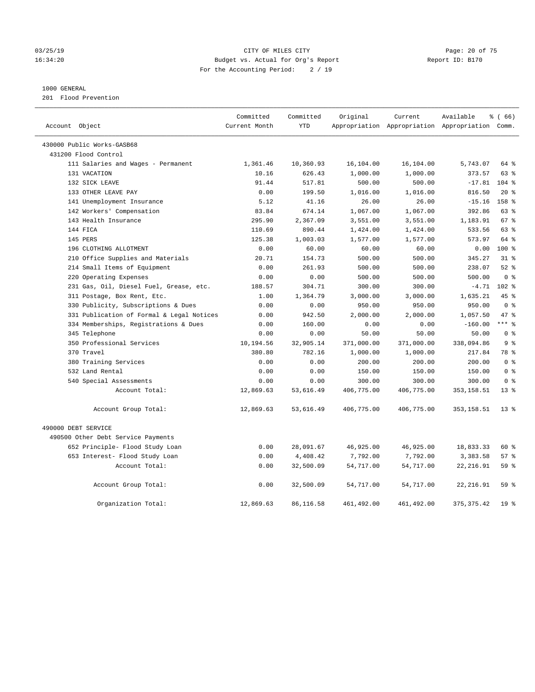### 03/25/19 Page: 20 of 75 16:34:20 Budget vs. Actual for Org's Report Changer Report ID: B170 For the Accounting Period: 2 / 19

### 1000 GENERAL

201 Flood Prevention

| Account Object                            | Committed<br>Current Month | Committed<br><b>YTD</b> | Original   | Current     | Available<br>Appropriation Appropriation Appropriation Comm. | % (66)           |
|-------------------------------------------|----------------------------|-------------------------|------------|-------------|--------------------------------------------------------------|------------------|
|                                           |                            |                         |            |             |                                                              |                  |
| 430000 Public Works-GASB68                |                            |                         |            |             |                                                              |                  |
| 431200 Flood Control                      |                            |                         |            |             |                                                              |                  |
| 111 Salaries and Wages - Permanent        | 1,361.46                   | 10,360.93               | 16,104.00  | 16,104.00   | 5,743.07                                                     | 64 %             |
| 131 VACATION                              | 10.16                      | 626.43                  | 1,000.00   | 1,000.00    | 373.57                                                       | $63$ $%$         |
| 132 SICK LEAVE                            | 91.44                      | 517.81                  | 500.00     | 500.00      | $-17.81$                                                     | $104$ %          |
| 133 OTHER LEAVE PAY                       | 0.00                       | 199.50                  | 1,016.00   | 1,016.00    | 816.50                                                       | $20*$            |
| 141 Unemployment Insurance                | 5.12                       | 41.16                   | 26.00      | 26.00       | $-15.16$                                                     | 158 <sup>8</sup> |
| 142 Workers' Compensation                 | 83.84                      | 674.14                  | 1,067.00   | 1,067.00    | 392.86                                                       | 63 %             |
| 143 Health Insurance                      | 295.90                     | 2,367.09                | 3,551.00   | 3,551.00    | 1,183.91                                                     | 67%              |
| 144 FICA                                  | 110.69                     | 890.44                  | 1,424.00   | 1,424.00    | 533.56                                                       | 63 %             |
| 145 PERS                                  | 125.38                     | 1,003.03                | 1,577.00   | 1,577.00    | 573.97                                                       | 64 %             |
| 196 CLOTHING ALLOTMENT                    | 0.00                       | 60.00                   | 60.00      | 60.00       | 0.00                                                         | $100*$           |
| 210 Office Supplies and Materials         | 20.71                      | 154.73                  | 500.00     | 500.00      | 345.27                                                       | 318              |
| 214 Small Items of Equipment              | 0.00                       | 261.93                  | 500.00     | 500.00      | 238.07                                                       | $52$ $%$         |
| 220 Operating Expenses                    | 0.00                       | 0.00                    | 500.00     | 500.00      | 500.00                                                       | 0 <sup>8</sup>   |
| 231 Gas, Oil, Diesel Fuel, Grease, etc.   | 188.57                     | 304.71                  | 300.00     | 300.00      | $-4.71$                                                      | $102$ %          |
| 311 Postage, Box Rent, Etc.               | 1.00                       | 1,364.79                | 3,000.00   | 3,000.00    | 1,635.21                                                     | 45%              |
| 330 Publicity, Subscriptions & Dues       | 0.00                       | 0.00                    | 950.00     | 950.00      | 950.00                                                       | 0 <sup>8</sup>   |
| 331 Publication of Formal & Legal Notices | 0.00                       | 942.50                  | 2,000.00   | 2,000.00    | 1,057.50                                                     | 47.8             |
| 334 Memberships, Registrations & Dues     | 0.00                       | 160.00                  | 0.00       | 0.00        | $-160.00$                                                    | $***$ %          |
| 345 Telephone                             | 0.00                       | 0.00                    | 50.00      | 50.00       | 50.00                                                        | 0 <sup>8</sup>   |
| 350 Professional Services                 | 10,194.56                  | 32,905.14               | 371,000.00 | 371,000.00  | 338,094.86                                                   | 9 <sub>8</sub>   |
| 370 Travel                                | 380.80                     | 782.16                  | 1,000.00   | 1,000.00    | 217.84                                                       | 78 %             |
| 380 Training Services                     | 0.00                       | 0.00                    | 200.00     | 200.00      | 200.00                                                       | 0 <sup>8</sup>   |
| 532 Land Rental                           | 0.00                       | 0.00                    | 150.00     | 150.00      | 150.00                                                       | 0 <sup>8</sup>   |
| 540 Special Assessments                   | 0.00                       | 0.00                    | 300.00     | 300.00      | 300.00                                                       | 0 <sup>8</sup>   |
| Account Total:                            | 12,869.63                  | 53,616.49               | 406,775.00 | 406,775.00  | 353, 158.51                                                  | 13 <sup>8</sup>  |
| Account Group Total:                      | 12,869.63                  | 53,616.49               | 406,775.00 | 406,775.00  | 353, 158.51                                                  | 13 <sup>8</sup>  |
| 490000 DEBT SERVICE                       |                            |                         |            |             |                                                              |                  |
| 490500 Other Debt Service Payments        |                            |                         |            |             |                                                              |                  |
| 652 Principle- Flood Study Loan           | 0.00                       | 28,091.67               | 46,925.00  | 46,925.00   | 18,833.33                                                    | 60 %             |
| 653 Interest- Flood Study Loan            | 0.00                       | 4,408.42                | 7,792.00   | 7,792.00    | 3,383.58                                                     | 57%              |
| Account Total:                            | 0.00                       | 32,500.09               | 54,717.00  | 54,717.00   | 22, 216.91                                                   | 59%              |
| Account Group Total:                      | 0.00                       | 32,500.09               | 54,717.00  | 54,717.00   | 22, 216.91                                                   | 59 %             |
| Organization Total:                       | 12,869.63                  | 86,116.58               | 461,492.00 | 461, 492.00 | 375, 375.42                                                  | 19 <sup>°</sup>  |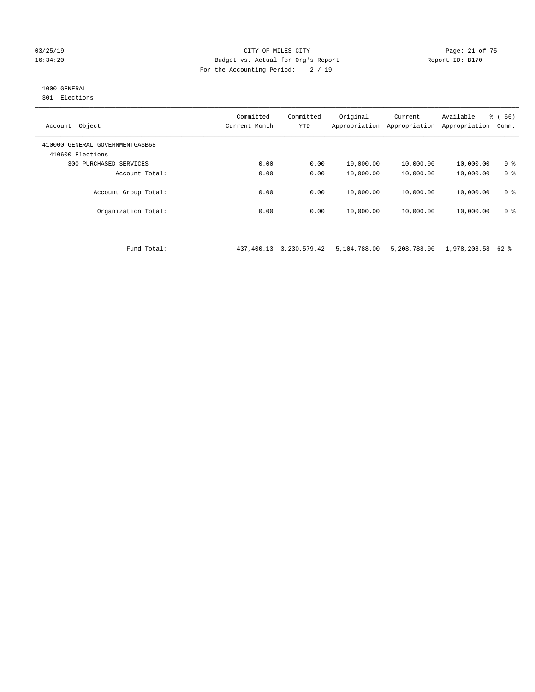### 03/25/19 Page: 21 of 75 16:34:20 Budget vs. Actual for Org's Report Report ID: B170 For the Accounting Period: 2 / 19

### 1000 GENERAL

301 Elections

| Object<br>Account                                   | Committed<br>Current Month | Committed<br><b>YTD</b> | Original<br>Appropriation | Current<br>Appropriation | Available<br>Appropriation | % (66)<br>Comm. |
|-----------------------------------------------------|----------------------------|-------------------------|---------------------------|--------------------------|----------------------------|-----------------|
| 410000 GENERAL GOVERNMENTGASB68<br>410600 Elections |                            |                         |                           |                          |                            |                 |
| PURCHASED SERVICES<br>300                           | 0.00                       | 0.00                    | 10,000.00                 | 10,000.00                | 10,000.00                  | 0 <sup>8</sup>  |
| Account Total:                                      | 0.00                       | 0.00                    | 10,000.00                 | 10,000.00                | 10,000.00                  | 0 <sup>8</sup>  |
| Account Group Total:                                | 0.00                       | 0.00                    | 10,000.00                 | 10,000.00                | 10,000.00                  | 0 <sup>8</sup>  |
| Organization Total:                                 | 0.00                       | 0.00                    | 10,000.00                 | 10,000.00                | 10,000.00                  | 0 <sup>8</sup>  |

Fund Total: 437,400.13 3,230,579.42 5,104,788.00 5,208,788.00 1,978,208.58 62 %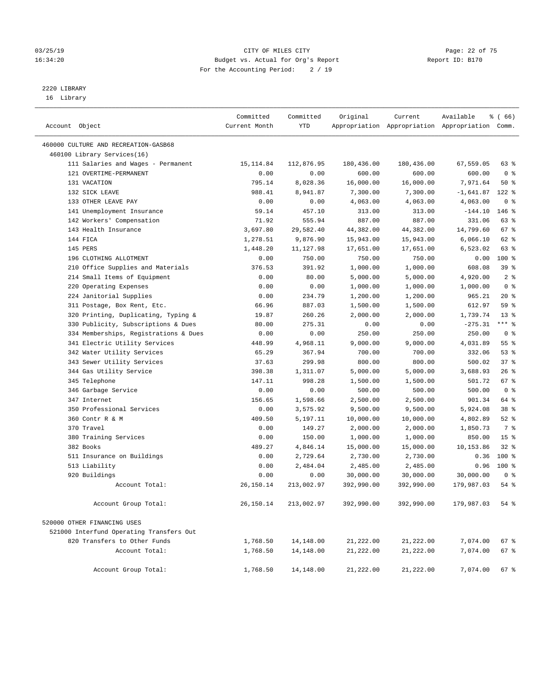### 03/25/19 Page: 22 of 75 16:34:20 Budget vs. Actual for Org's Report Changer Report ID: B170 For the Accounting Period: 2 / 19

————————————————————————————————————————————————————————————————————————————————————————————————————————————————————————————————————

## 2220 LIBRARY

16 Library

|                                          | Committed     | Committed          | Original              | Current               | Available                                       | <sub>ර</sub> ි (66) |  |
|------------------------------------------|---------------|--------------------|-----------------------|-----------------------|-------------------------------------------------|---------------------|--|
| Account Object                           | Current Month | YTD                |                       |                       | Appropriation Appropriation Appropriation Comm. |                     |  |
| 460000 CULTURE AND RECREATION-GASB68     |               |                    |                       |                       |                                                 |                     |  |
| 460100 Library Services(16)              |               |                    |                       |                       |                                                 |                     |  |
| 111 Salaries and Wages - Permanent       | 15, 114.84    | 112,876.95         | 180,436.00            | 180,436.00            | 67,559.05                                       | 63 %                |  |
| 121 OVERTIME-PERMANENT                   | 0.00          | 0.00               | 600.00                | 600.00                | 600.00                                          | 0 <sup>8</sup>      |  |
| 131 VACATION                             | 795.14        | 8,028.36           | 16,000.00             | 16,000.00             | 7,971.64                                        | 50%                 |  |
| 132 SICK LEAVE                           | 988.41        | 8,941.87           | 7,300.00              | 7,300.00              | $-1,641.87$                                     | $122$ %             |  |
| 133 OTHER LEAVE PAY                      | 0.00          | 0.00               | 4,063.00              | 4,063.00              | 4,063.00                                        | 0 <sup>8</sup>      |  |
| 141 Unemployment Insurance               | 59.14         | 457.10             | 313.00                | 313.00                | $-144.10$                                       | $146$ %             |  |
| 142 Workers' Compensation                | 71.92         | 555.94             | 887.00                | 887.00                | 331.06                                          | 63 %                |  |
| 143 Health Insurance                     | 3,697.80      | 29,582.40          | 44,382.00             | 44,382.00             | 14,799.60                                       | 67%                 |  |
| 144 FICA                                 | 1,278.51      | 9,876.90           | 15,943.00             | 15,943.00             | 6,066.10                                        | 62 %                |  |
| 145 PERS                                 | 1,448.20      | 11,127.98          | 17,651.00             | 17,651.00             | 6,523.02                                        | 63 %                |  |
| 196 CLOTHING ALLOTMENT                   | 0.00          | 750.00             | 750.00                | 750.00                | 0.00                                            | $100*$              |  |
| 210 Office Supplies and Materials        | 376.53        | 391.92             | 1,000.00              | 1,000.00              | 608.08                                          | 39%                 |  |
| 214 Small Items of Equipment             | 0.00          | 80.00              | 5,000.00              | 5,000.00              | 4,920.00                                        | 2 <sup>8</sup>      |  |
| 220 Operating Expenses                   | 0.00          | 0.00               | 1,000.00              | 1,000.00              | 1,000.00                                        | 0 <sup>8</sup>      |  |
| 224 Janitorial Supplies                  | 0.00          | 234.79             | 1,200.00              | 1,200.00              | 965.21                                          | $20*$               |  |
| 311 Postage, Box Rent, Etc.              | 66.96         | 887.03             | 1,500.00              | 1,500.00              | 612.97                                          | 59 %                |  |
| 320 Printing, Duplicating, Typing &      | 19.87         | 260.26             | 2,000.00              | 2,000.00              | 1,739.74                                        | $13*$               |  |
| 330 Publicity, Subscriptions & Dues      | 80.00         | 275.31             | 0.00                  | 0.00                  | $-275.31$                                       | $***$ $_{8}$        |  |
| 334 Memberships, Registrations & Dues    | 0.00          | 0.00               | 250.00                | 250.00                | 250.00                                          | 0 <sup>8</sup>      |  |
| 341 Electric Utility Services            | 448.99        | 4,968.11           | 9,000.00              | 9,000.00              | 4,031.89                                        | 55%                 |  |
| 342 Water Utility Services               | 65.29         | 367.94             | 700.00                | 700.00                | 332.06                                          | 53%                 |  |
| 343 Sewer Utility Services               | 37.63         | 299.98             | 800.00                | 800.00                | 500.02                                          | 37%                 |  |
| 344 Gas Utility Service                  | 398.38        | 1,311.07           | 5,000.00              | 5,000.00              | 3,688.93                                        | $26$ %              |  |
| 345 Telephone                            | 147.11        | 998.28             | 1,500.00              | 1,500.00              | 501.72                                          | $67$ %              |  |
| 346 Garbage Service                      | 0.00          | 0.00               | 500.00                | 500.00                | 500.00                                          | 0 <sup>8</sup>      |  |
| 347 Internet                             | 156.65        | 1,598.66           | 2,500.00              | 2,500.00              | 901.34                                          | 64 %                |  |
| 350 Professional Services                | 0.00          | 3,575.92           | 9,500.00              | 9,500.00              | 5,924.08                                        | 38 <sup>8</sup>     |  |
| 360 Contr R & M<br>370 Travel            | 409.50        | 5,197.11<br>149.27 | 10,000.00             | 10,000.00             | 4,802.89                                        | $52$ $%$<br>7 %     |  |
| 380 Training Services                    | 0.00<br>0.00  | 150.00             | 2,000.00              | 2,000.00              | 1,850.73<br>850.00                              | 15 <sup>°</sup>     |  |
| 382 Books                                | 489.27        | 4,846.14           | 1,000.00<br>15,000.00 | 1,000.00<br>15,000.00 | 10,153.86                                       | $32$ $%$            |  |
| 511 Insurance on Buildings               | 0.00          | 2,729.64           | 2,730.00              | 2,730.00              | 0.36                                            | $100*$              |  |
| 513 Liability                            | 0.00          | 2,484.04           | 2,485.00              | 2,485.00              | 0.96                                            | 100 %               |  |
| 920 Buildings                            | 0.00          | 0.00               | 30,000.00             | 30,000.00             | 30,000.00                                       | 0 <sup>8</sup>      |  |
| Account Total:                           | 26,150.14     | 213,002.97         | 392,990.00            | 392,990.00            | 179,987.03                                      | $54$ %              |  |
| Account Group Total:                     | 26,150.14     | 213,002.97         | 392,990.00            | 392,990.00            | 179,987.03                                      | 54 $%$              |  |
| 520000 OTHER FINANCING USES              |               |                    |                       |                       |                                                 |                     |  |
| 521000 Interfund Operating Transfers Out |               |                    |                       |                       |                                                 |                     |  |
| 820 Transfers to Other Funds             | 1,768.50      | 14,148.00          | 21,222.00             | 21,222.00             | 7,074.00                                        | 67 %                |  |
| Account Total:                           | 1,768.50      | 14,148.00          | 21,222.00             | 21,222.00             | 7,074.00                                        | 67 %                |  |
|                                          |               |                    |                       |                       |                                                 |                     |  |
| Account Group Total:                     | 1,768.50      | 14,148.00          | 21,222.00             | 21,222.00             | 7,074.00                                        | $67$ %              |  |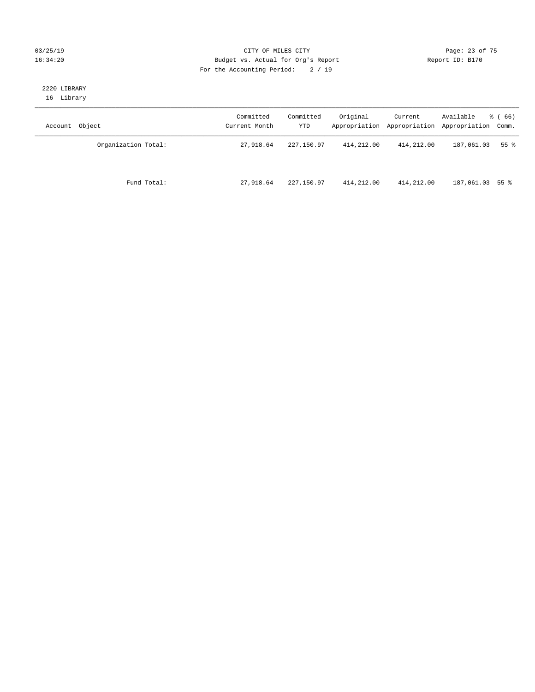### 03/25/19 Page: 23 of 75 16:34:20 Budget vs. Actual for Org's Report Changer Report ID: B170 For the Accounting Period: 2 / 19

### 2220 LIBRARY 16 Library

| Account Object      | Committed<br>Current Month | Committed<br>YTD | Original   | Current    | Available<br>Appropriation Appropriation Appropriation Comm. | <sub>ර</sub> ි (66) |
|---------------------|----------------------------|------------------|------------|------------|--------------------------------------------------------------|---------------------|
| Organization Total: | 27,918.64                  | 227,150.97       | 414,212.00 | 414,212.00 | 187,061.03                                                   | 55 %                |
| Fund Total:         | 27,918.64                  | 227,150.97       | 414,212.00 | 414,212.00 | 187,061.03 55 %                                              |                     |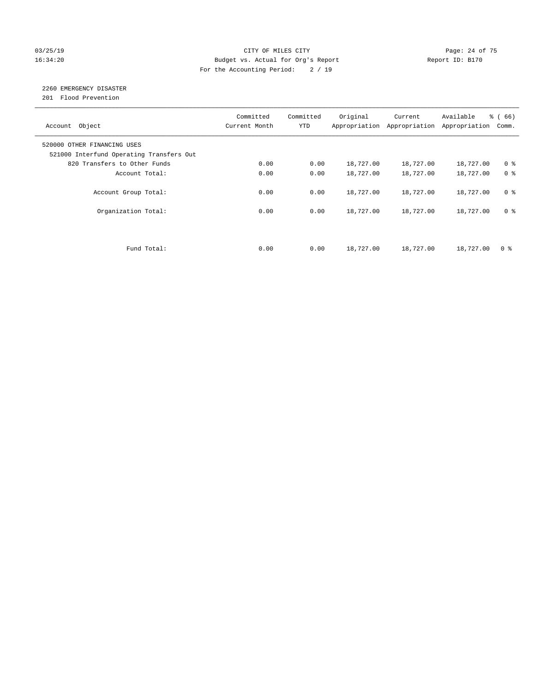### 03/25/19 Page: 24 of 75 16:34:20 Budget vs. Actual for Org's Report Changer Report ID: B170 For the Accounting Period: 2 / 19

### 2260 EMERGENCY DISASTER

201 Flood Prevention

| Account Object                                                          | Committed<br>Current Month | Committed<br><b>YTD</b> | Original  | Current<br>Appropriation Appropriation | Available<br>Appropriation | % (66)<br>Comm. |
|-------------------------------------------------------------------------|----------------------------|-------------------------|-----------|----------------------------------------|----------------------------|-----------------|
| 520000 OTHER FINANCING USES<br>521000 Interfund Operating Transfers Out |                            |                         |           |                                        |                            |                 |
| 820 Transfers to Other Funds                                            | 0.00                       | 0.00                    | 18,727.00 | 18,727.00                              | 18,727.00                  | 0 <sup>8</sup>  |
| Account Total:                                                          | 0.00                       | 0.00                    | 18,727.00 | 18,727.00                              | 18,727.00                  | 0 <sup>8</sup>  |
| Account Group Total:                                                    | 0.00                       | 0.00                    | 18,727.00 | 18,727.00                              | 18,727.00                  | 0 <sup>8</sup>  |
| Organization Total:                                                     | 0.00                       | 0.00                    | 18,727.00 | 18,727.00                              | 18,727.00                  | 0 <sup>8</sup>  |
|                                                                         |                            |                         |           |                                        |                            |                 |
| Fund Total:                                                             | 0.00                       | 0.00                    | 18,727.00 | 18,727.00                              | 18,727.00                  | 0 %             |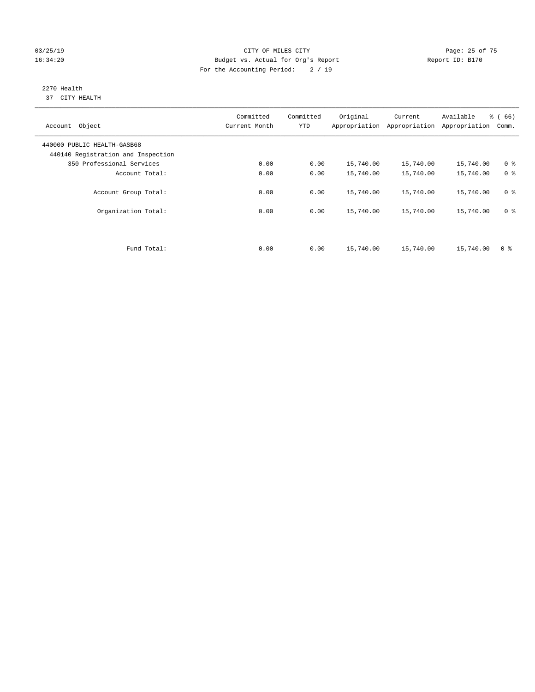### 03/25/19 Page: 25 of 75 16:34:20 Budget vs. Actual for Org's Report Changer Report ID: B170 For the Accounting Period: 2 / 19

### 2270 Health 37 CITY HEALTH

| Account Object                                                    | Committed<br>Current Month | Committed<br><b>YTD</b> | Original  | Current<br>Appropriation Appropriation | Available<br>Appropriation | % (66)<br>Comm. |
|-------------------------------------------------------------------|----------------------------|-------------------------|-----------|----------------------------------------|----------------------------|-----------------|
| 440000 PUBLIC HEALTH-GASB68<br>440140 Registration and Inspection |                            |                         |           |                                        |                            |                 |
| 350 Professional Services                                         | 0.00                       | 0.00                    | 15,740.00 | 15,740.00                              | 15,740.00                  | 0 <sup>8</sup>  |
| Account Total:                                                    | 0.00                       | 0.00                    | 15,740.00 | 15,740.00                              | 15,740.00                  | 0 <sup>8</sup>  |
| Account Group Total:                                              | 0.00                       | 0.00                    | 15,740.00 | 15,740.00                              | 15,740.00                  | 0 <sup>8</sup>  |
| Organization Total:                                               | 0.00                       | 0.00                    | 15,740.00 | 15,740.00                              | 15,740.00                  | 0 <sup>8</sup>  |
|                                                                   |                            |                         |           |                                        |                            |                 |
| Fund Total:                                                       | 0.00                       | 0.00                    | 15,740.00 | 15,740.00                              | 15,740.00                  | 0 %             |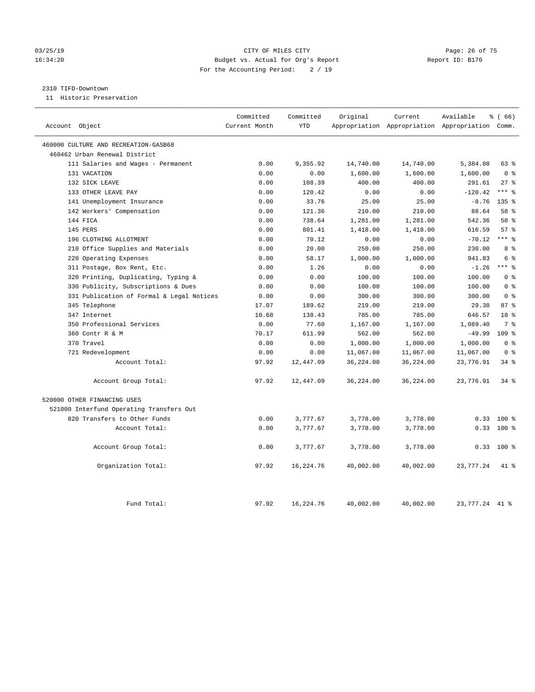### 03/25/19 Page: 26 of 75 16:34:20 Budget vs. Actual for Org's Report Changer Report ID: B170 For the Accounting Period: 2 / 19

### 2310 TIFD-Downtown

11 Historic Preservation

| Account Object                            | Committed<br>Current Month | Committed<br><b>YTD</b> | Original  | Current   | Available<br>Appropriation Appropriation Appropriation Comm. | % (66)           |
|-------------------------------------------|----------------------------|-------------------------|-----------|-----------|--------------------------------------------------------------|------------------|
| 460000 CULTURE AND RECREATION-GASB68      |                            |                         |           |           |                                                              |                  |
| 460462 Urban Renewal District             |                            |                         |           |           |                                                              |                  |
| 111 Salaries and Wages - Permanent        | 0.00                       | 9,355.92                | 14,740.00 | 14,740.00 | 5,384.08                                                     | 63%              |
| 131 VACATION                              | 0.00                       | 0.00                    | 1,600.00  | 1,600.00  | 1,600.00                                                     | 0 <sup>8</sup>   |
| 132 SICK LEAVE                            | 0.00                       | 108.39                  | 400.00    | 400.00    | 291.61                                                       | $27$ %           |
| 133 OTHER LEAVE PAY                       | 0.00                       | 120.42                  | 0.00      | 0.00      | $-120.42$                                                    | $***$ %          |
| 141 Unemployment Insurance                | 0.00                       | 33.76                   | 25.00     | 25.00     | $-8.76$                                                      | 135 <sub>8</sub> |
| 142 Workers' Compensation                 | 0.00                       | 121.36                  | 210.00    | 210.00    | 88.64                                                        | 58 %             |
| 144 FICA                                  | 0.00                       | 738.64                  | 1,281.00  | 1,281.00  | 542.36                                                       | 58 %             |
| 145 PERS                                  | 0.00                       | 801.41                  | 1,418.00  | 1,418.00  | 616.59                                                       | 57%              |
| 196 CLOTHING ALLOTMENT                    | 0.00                       | 70.12                   | 0.00      | 0.00      | $-70.12$                                                     | $***$ 8          |
| 210 Office Supplies and Materials         | 0.00                       | 20.00                   | 250.00    | 250.00    | 230.00                                                       | 8 %              |
| 220 Operating Expenses                    | 0.00                       | 58.17                   | 1,000.00  | 1,000.00  | 941.83                                                       | $6\degree$       |
| 311 Postage, Box Rent, Etc.               | 0.00                       | 1.26                    | 0.00      | 0.00      | $-1.26$                                                      | $***$ $%$        |
| 320 Printing, Duplicating, Typing &       | 0.00                       | 0.00                    | 100.00    | 100.00    | 100.00                                                       | 0 <sup>8</sup>   |
| 330 Publicity, Subscriptions & Dues       | 0.00                       | 0.00                    | 100.00    | 100.00    | 100.00                                                       | 0 <sup>8</sup>   |
| 331 Publication of Formal & Legal Notices | 0.00                       | 0.00                    | 300.00    | 300.00    | 300.00                                                       | 0 <sup>8</sup>   |
| 345 Telephone                             | 17.07                      | 189.62                  | 219.00    | 219.00    | 29.38                                                        | 87%              |
| 347 Internet                              | 10.68                      | 138.43                  | 785.00    | 785.00    | 646.57                                                       | 18 %             |
| 350 Professional Services                 | 0.00                       | 77.60                   | 1,167.00  | 1,167.00  | 1,089.40                                                     | 7 <sup>°</sup>   |
| 360 Contr R & M                           | 70.17                      | 611.99                  | 562.00    | 562.00    | $-49.99$                                                     | 109 <sub>8</sub> |
| 370 Travel                                | 0.00                       | 0.00                    | 1,000.00  | 1,000.00  | 1,000.00                                                     | 0 <sup>8</sup>   |
| 721 Redevelopment                         | 0.00                       | 0.00                    | 11,067.00 | 11,067.00 | 11,067.00                                                    | 0 <sup>8</sup>   |
| Account Total:                            | 97.92                      | 12,447.09               | 36,224.00 | 36,224.00 | 23,776.91                                                    | 34.8             |
| Account Group Total:                      | 97.92                      | 12,447.09               | 36,224.00 | 36,224.00 | 23,776.91                                                    | $34$ $%$         |
| 520000 OTHER FINANCING USES               |                            |                         |           |           |                                                              |                  |
| 521000 Interfund Operating Transfers Out  |                            |                         |           |           |                                                              |                  |
| 820 Transfers to Other Funds              | 0.00                       | 3,777.67                | 3,778.00  | 3,778.00  | 0.33                                                         | $100*$           |
| Account Total:                            | 0.00                       | 3,777.67                | 3,778.00  | 3,778.00  | 0.33                                                         | $100*$           |
| Account Group Total:                      | 0.00                       | 3,777.67                | 3,778.00  | 3,778.00  | 0.33                                                         | $100*$           |
| Organization Total:                       | 97.92                      | 16,224.76               | 40,002.00 | 40,002.00 | 23,777.24                                                    | 41 %             |
| Fund Total:                               | 97.92                      | 16,224.76               | 40,002.00 | 40,002.00 | 23,777.24 41 %                                               |                  |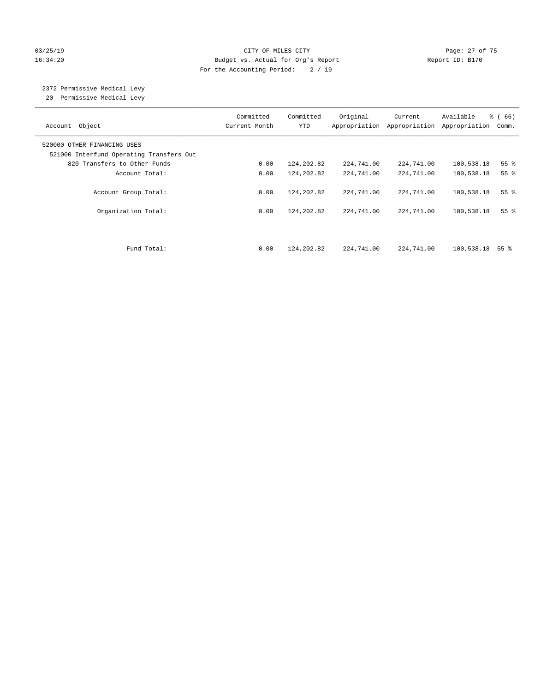### 03/25/19 Page: 27 of 75 16:34:20 Budget vs. Actual for Org's Report Changer Report ID: B170 For the Accounting Period: 2 / 19

# 2372 Permissive Medical Levy

20 Permissive Medical Levy

| Account Object                                                          | Committed<br>Current Month | Committed<br><b>YTD</b> | Original<br>Appropriation | Current<br>Appropriation | Available<br>Appropriation | % (66)<br>Comm. |
|-------------------------------------------------------------------------|----------------------------|-------------------------|---------------------------|--------------------------|----------------------------|-----------------|
| 520000 OTHER FINANCING USES<br>521000 Interfund Operating Transfers Out |                            |                         |                           |                          |                            |                 |
| 820 Transfers to Other Funds                                            | 0.00                       | 124,202.82              | 224,741.00                | 224,741.00               | 100,538.18                 | 55%             |
| Account Total:                                                          | 0.00                       | 124,202.82              | 224,741.00                | 224,741.00               | 100,538.18                 | 55 <sup>8</sup> |
| Account Group Total:                                                    | 0.00                       | 124,202.82              | 224,741.00                | 224,741.00               | 100,538.18                 | 55 <sup>8</sup> |
| Organization Total:                                                     | 0.00                       | 124,202.82              | 224,741.00                | 224,741.00               | 100,538.18                 | 55 <sup>8</sup> |
| Fund Total:                                                             | 0.00                       | 124,202.82              | 224,741.00                | 224,741.00               | 100,538.18                 | 55 %            |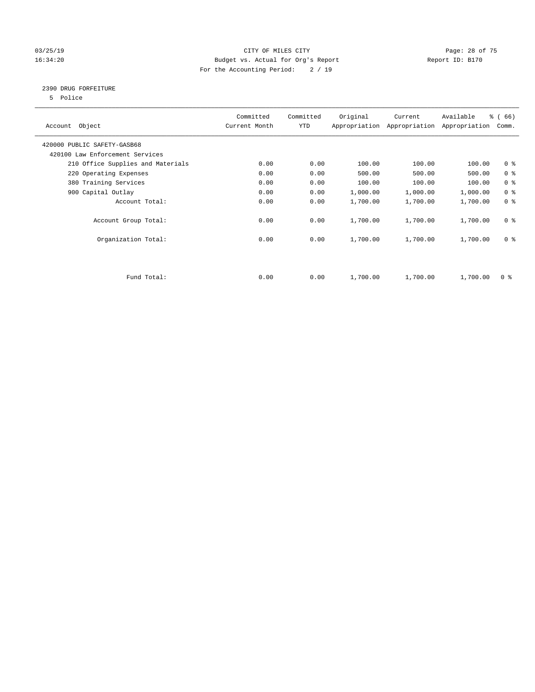### 03/25/19 Page: 28 of 75 16:34:20 Budget vs. Actual for Org's Report Changer Report ID: B170 For the Accounting Period: 2 / 19

### 2390 DRUG FORFEITURE

5 Police

| Account Object                    | Committed<br>Current Month | Committed<br>YTD | Original | Current<br>Appropriation Appropriation | Available<br>Appropriation | % (66)<br>Comm. |
|-----------------------------------|----------------------------|------------------|----------|----------------------------------------|----------------------------|-----------------|
| 420000 PUBLIC SAFETY-GASB68       |                            |                  |          |                                        |                            |                 |
| 420100 Law Enforcement Services   |                            |                  |          |                                        |                            |                 |
| 210 Office Supplies and Materials | 0.00                       | 0.00             | 100.00   | 100.00                                 | 100.00                     | 0 <sub>8</sub>  |
| 220 Operating Expenses            | 0.00                       | 0.00             | 500.00   | 500.00                                 | 500.00                     | 0 <sup>8</sup>  |
| 380 Training Services             | 0.00                       | 0.00             | 100.00   | 100.00                                 | 100.00                     | 0 <sup>8</sup>  |
| 900 Capital Outlay                | 0.00                       | 0.00             | 1,000.00 | 1,000.00                               | 1,000.00                   | 0 <sup>8</sup>  |
| Account Total:                    | 0.00                       | 0.00             | 1,700.00 | 1,700.00                               | 1,700.00                   | 0 <sup>8</sup>  |
| Account Group Total:              | 0.00                       | 0.00             | 1,700.00 | 1,700.00                               | 1,700.00                   | 0 <sup>8</sup>  |
| Organization Total:               | 0.00                       | 0.00             | 1,700.00 | 1,700.00                               | 1,700.00                   | 0 <sup>8</sup>  |
|                                   |                            |                  |          |                                        |                            |                 |
| Fund Total:                       | 0.00                       | 0.00             | 1,700.00 | 1,700.00                               | 1,700.00                   | 0 %             |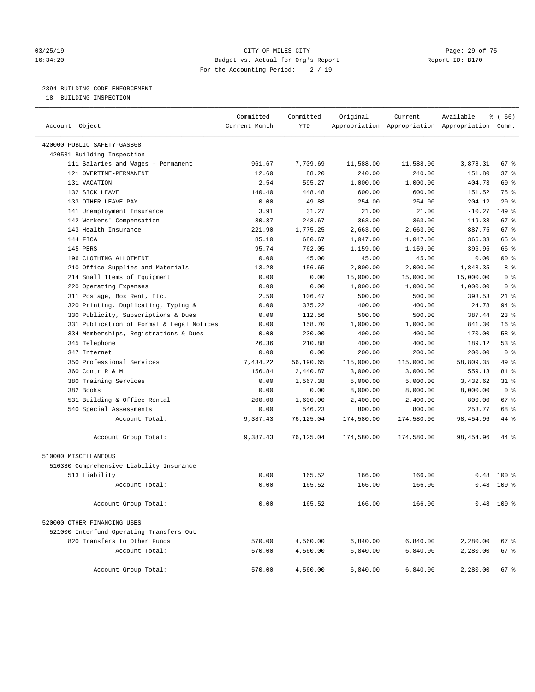### 03/25/19 Page: 29 of 75 16:34:20 Budget vs. Actual for Org's Report Changer Report ID: B170 For the Accounting Period: 2 / 19

### 2394 BUILDING CODE ENFORCEMENT

18 BUILDING INSPECTION

| Account Object                            | Committed<br>Current Month | Committed<br><b>YTD</b> | Original   | Current    | Available<br>Appropriation Appropriation Appropriation Comm. | 8 ( 66 )        |
|-------------------------------------------|----------------------------|-------------------------|------------|------------|--------------------------------------------------------------|-----------------|
| 420000 PUBLIC SAFETY-GASB68               |                            |                         |            |            |                                                              |                 |
| 420531 Building Inspection                |                            |                         |            |            |                                                              |                 |
| 111 Salaries and Wages - Permanent        | 961.67                     | 7.709.69                | 11,588.00  | 11,588.00  | 3,878.31                                                     | $67$ %          |
| 121 OVERTIME-PERMANENT                    | 12.60                      | 88.20                   | 240.00     | 240.00     | 151.80                                                       | 37%             |
| 131 VACATION                              | 2.54                       | 595.27                  | 1,000.00   | 1,000.00   | 404.73                                                       | 60 %            |
| 132 SICK LEAVE                            | 140.40                     | 448.48                  | 600.00     | 600.00     | 151.52                                                       | 75 %            |
| 133 OTHER LEAVE PAY                       | 0.00                       | 49.88                   | 254.00     | 254.00     | 204.12                                                       | $20*$           |
| 141 Unemployment Insurance                | 3.91                       | 31.27                   | 21.00      | 21.00      | $-10.27$                                                     | 149 %           |
| 142 Workers' Compensation                 | 30.37                      | 243.67                  | 363.00     | 363.00     | 119.33                                                       | 67 %            |
| 143 Health Insurance                      | 221.90                     | 1,775.25                | 2,663.00   | 2,663.00   | 887.75                                                       | 67 <sup>8</sup> |
| 144 FICA                                  | 85.10                      | 680.67                  | 1,047.00   | 1,047.00   | 366.33                                                       | 65 %            |
| 145 PERS                                  | 95.74                      | 762.05                  | 1,159.00   | 1,159.00   | 396.95                                                       | 66 %            |
| 196 CLOTHING ALLOTMENT                    | 0.00                       | 45.00                   | 45.00      | 45.00      | 0.00                                                         | 100 %           |
| 210 Office Supplies and Materials         | 13.28                      | 156.65                  | 2,000.00   | 2,000.00   | 1,843.35                                                     | 8 %             |
| 214 Small Items of Equipment              | 0.00                       | 0.00                    | 15,000.00  | 15,000.00  | 15,000.00                                                    | 0 <sup>8</sup>  |
| 220 Operating Expenses                    | 0.00                       | 0.00                    | 1,000.00   | 1,000.00   | 1,000.00                                                     | 0 <sup>8</sup>  |
| 311 Postage, Box Rent, Etc.               | 2.50                       | 106.47                  | 500.00     | 500.00     | 393.53                                                       | $21$ %          |
| 320 Printing, Duplicating, Typing &       | 0.00                       | 375.22                  | 400.00     | 400.00     | 24.78                                                        | 94%             |
| 330 Publicity, Subscriptions & Dues       | 0.00                       | 112.56                  | 500.00     | 500.00     | 387.44                                                       | 23%             |
| 331 Publication of Formal & Legal Notices | 0.00                       | 158.70                  | 1,000.00   | 1,000.00   | 841.30                                                       | 16 <sup>8</sup> |
| 334 Memberships, Registrations & Dues     | 0.00                       | 230.00                  | 400.00     | 400.00     | 170.00                                                       | 58 %            |
| 345 Telephone                             | 26.36                      | 210.88                  | 400.00     | 400.00     | 189.12                                                       | 53%             |
| 347 Internet                              | 0.00                       | 0.00                    | 200.00     | 200.00     | 200.00                                                       | 0 <sup>8</sup>  |
| 350 Professional Services                 | 7,434.22                   | 56,190.65               | 115,000.00 | 115,000.00 | 58,809.35                                                    | 49 %            |
| 360 Contr R & M                           | 156.84                     | 2,440.87                | 3,000.00   | 3,000.00   | 559.13                                                       | 81 %            |
| 380 Training Services                     | 0.00                       | 1,567.38                | 5,000.00   | 5,000.00   | 3,432.62                                                     | 31.8            |
| 382 Books                                 | 0.00                       | 0.00                    | 8,000.00   | 8,000.00   | 8,000.00                                                     | 0 <sup>8</sup>  |
| 531 Building & Office Rental              | 200.00                     | 1,600.00                | 2,400.00   | 2,400.00   | 800.00                                                       | 67 %            |
| 540 Special Assessments                   | 0.00                       | 546.23                  | 800.00     | 800.00     | 253.77                                                       | 68 %            |
| Account Total:                            | 9,387.43                   | 76,125.04               | 174,580.00 | 174,580.00 | 98,454.96                                                    | 44 %            |
| Account Group Total:                      | 9,387.43                   | 76,125.04               | 174,580.00 | 174,580.00 | 98,454.96                                                    | 44 %            |
| 510000 MISCELLANEOUS                      |                            |                         |            |            |                                                              |                 |
| 510330 Comprehensive Liability Insurance  |                            |                         |            |            |                                                              |                 |
| 513 Liability                             | 0.00                       | 165.52                  | 166.00     | 166.00     | 0.48                                                         | $100*$          |
| Account Total:                            | 0.00                       | 165.52                  | 166.00     | 166.00     | 0.48                                                         | $100*$          |
| Account Group Total:                      | 0.00                       | 165.52                  | 166.00     | 166.00     |                                                              | $0.48$ 100 %    |
| 520000 OTHER FINANCING USES               |                            |                         |            |            |                                                              |                 |
| 521000 Interfund Operating Transfers Out  |                            |                         |            |            |                                                              |                 |
| 820 Transfers to Other Funds              | 570.00                     | 4,560.00                | 6,840.00   | 6,840.00   | 2,280.00                                                     | 67 %            |
| Account Total:                            | 570.00                     | 4,560.00                | 6,840.00   | 6,840.00   | 2,280.00                                                     | 67 %            |
| Account Group Total:                      | 570.00                     | 4,560.00                | 6,840.00   | 6,840.00   | 2,280.00                                                     | 67 %            |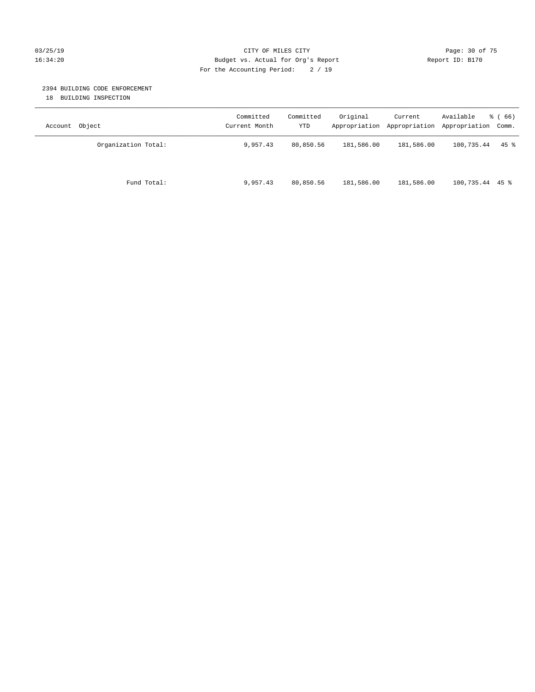### 03/25/19 Page: 30 of 75 16:34:20 Budget vs. Actual for Org's Report Changer Report ID: B170 For the Accounting Period: 2 / 19

### 2394 BUILDING CODE ENFORCEMENT

18 BUILDING INSPECTION

| Account Object      | Committed<br>Current Month | Committed<br>YTD | Original   | Current    | Available<br>Appropriation Appropriation Appropriation Comm. | <sub>ර</sub> ි (66) |
|---------------------|----------------------------|------------------|------------|------------|--------------------------------------------------------------|---------------------|
| Organization Total: | 9,957.43                   | 80,850.56        | 181,586.00 | 181,586.00 | 100,735.44                                                   | $45$ %              |
| Fund Total:         | 9,957.43                   | 80,850.56        | 181,586.00 | 181,586.00 | $100,735.44$ 45 %                                            |                     |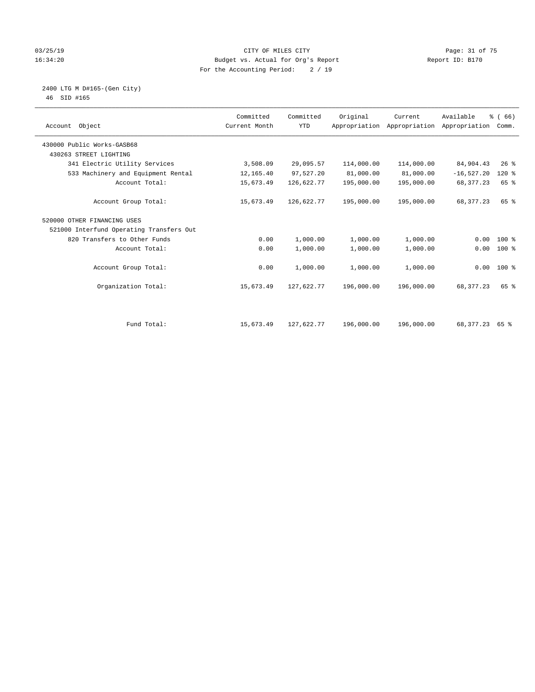### 03/25/19 Page: 31 of 75 16:34:20 Budget vs. Actual for Org's Report Changer Report ID: B170 For the Accounting Period: 2 / 19

### 2400 LTG M D#165-(Gen City) 46 SID #165

| Account Object                           | Committed<br>Current Month | Committed<br><b>YTD</b> | Original   | Current<br>Appropriation Appropriation | Available<br>Appropriation | % (66)<br>Comm. |  |
|------------------------------------------|----------------------------|-------------------------|------------|----------------------------------------|----------------------------|-----------------|--|
| 430000 Public Works-GASB68               |                            |                         |            |                                        |                            |                 |  |
| 430263 STREET LIGHTING                   |                            |                         |            |                                        |                            |                 |  |
| 341 Electric Utility Services            | 3,508.09                   | 29,095.57               | 114,000.00 | 114,000.00                             | 84,904.43                  | $26$ %          |  |
| 533 Machinery and Equipment Rental       | 12,165.40                  | 97,527.20               | 81,000.00  | 81,000.00                              | $-16,527.20$               | $120*$          |  |
| Account Total:                           | 15,673.49                  | 126,622.77              | 195,000.00 | 195,000.00                             | 68, 377. 23                | 65 %            |  |
| Account Group Total:                     | 15,673.49                  | 126,622.77              | 195,000.00 | 195,000.00                             | 68, 377. 23                | 65 %            |  |
| 520000 OTHER FINANCING USES              |                            |                         |            |                                        |                            |                 |  |
| 521000 Interfund Operating Transfers Out |                            |                         |            |                                        |                            |                 |  |
| 820 Transfers to Other Funds             | 0.00                       | 1,000.00                | 1,000.00   | 1,000.00                               | 0.00                       | $100*$          |  |
| Account Total:                           | 0.00                       | 1,000.00                | 1,000.00   | 1,000.00                               | 0.00                       | $100*$          |  |
| Account Group Total:                     | 0.00                       | 1,000.00                | 1,000.00   | 1,000.00                               |                            | $0.00$ 100 %    |  |
| Organization Total:                      | 15,673.49                  | 127,622.77              | 196,000.00 | 196,000.00                             | 68, 377. 23                | 65 %            |  |
|                                          |                            |                         |            |                                        |                            |                 |  |
| Fund Total:                              | 15,673.49                  | 127,622.77              | 196,000.00 | 196,000.00                             | 68, 377. 23 65 %           |                 |  |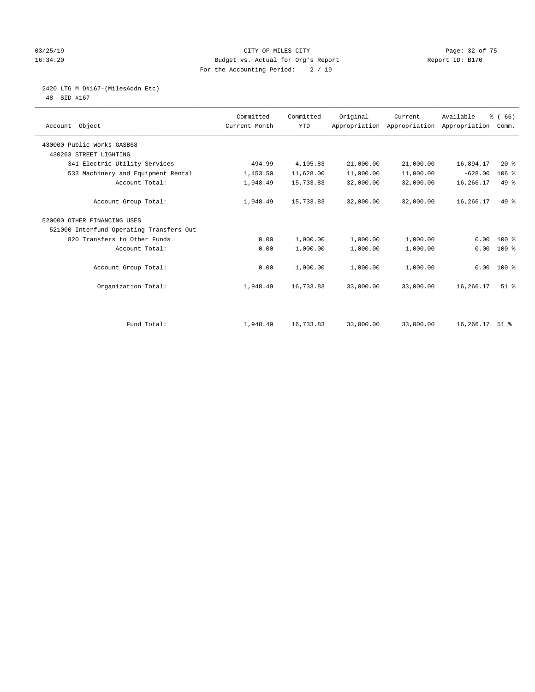### 03/25/19 Page: 32 of 75 16:34:20 Budget vs. Actual for Org's Report Changer Report ID: B170 For the Accounting Period: 2 / 19

2420 LTG M D#167-(MilesAddn Etc)

48 SID #167

| Object<br>Account                        | Committed<br>Current Month | Committed<br><b>YTD</b> | Original  | Current<br>Appropriation Appropriation | Available<br>Appropriation | % (66)<br>Comm.    |  |
|------------------------------------------|----------------------------|-------------------------|-----------|----------------------------------------|----------------------------|--------------------|--|
| 430000 Public Works-GASB68               |                            |                         |           |                                        |                            |                    |  |
| 430263 STREET LIGHTING                   |                            |                         |           |                                        |                            |                    |  |
| 341 Electric Utility Services            | 494.99                     | 4,105.83                | 21,000.00 | 21,000.00                              | 16,894.17                  | 20%                |  |
| 533 Machinery and Equipment Rental       | 1,453.50                   | 11,628.00               | 11,000.00 | 11,000.00                              | $-628.00$                  | $106$ %            |  |
| Account Total:                           | 1,948.49                   | 15,733.83               | 32,000.00 | 32,000.00                              | 16,266.17                  | $49*$              |  |
| Account Group Total:                     | 1,948.49                   | 15,733.83               | 32,000.00 | 32,000.00                              | 16,266.17                  | 49 %               |  |
| 520000 OTHER FINANCING USES              |                            |                         |           |                                        |                            |                    |  |
| 521000 Interfund Operating Transfers Out |                            |                         |           |                                        |                            |                    |  |
| 820 Transfers to Other Funds             | 0.00                       | 1,000.00                | 1,000.00  | 1,000.00                               | 0.00                       | 100 %              |  |
| Account Total:                           | 0.00                       | 1,000.00                | 1,000.00  | 1,000.00                               | 0.00                       | 100 %              |  |
| Account Group Total:                     | 0.00                       | 1,000.00                | 1,000.00  | 1,000.00                               | 0.00                       | 100 %              |  |
| Organization Total:                      | 1,948.49                   | 16,733.83               | 33,000.00 | 33,000.00                              | 16,266.17                  | $51$ %             |  |
|                                          |                            |                         |           |                                        |                            |                    |  |
| Fund Total:                              | 1,948.49                   | 16,733.83               | 33,000.00 | 33,000.00                              | 16,266.17                  | $51$ $\frac{6}{3}$ |  |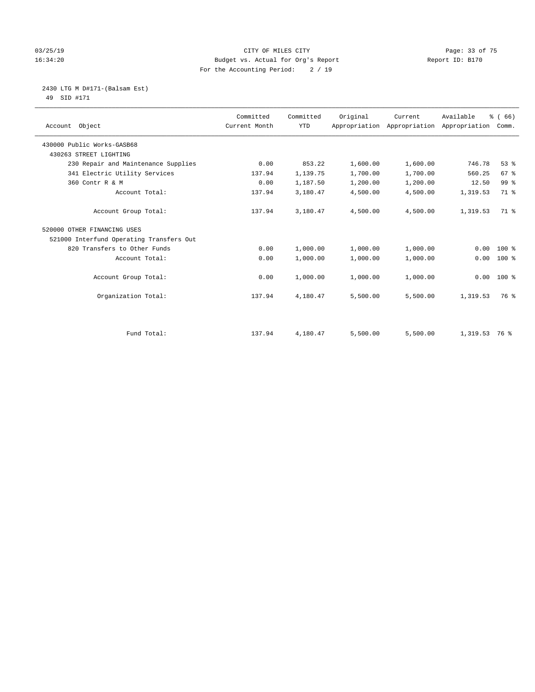### 03/25/19 Page: 33 of 75 16:34:20 Budget vs. Actual for Org's Report Report ID: B170 For the Accounting Period: 2 / 19

2430 LTG M D#171-(Balsam Est)

49 SID #171

| Account Object                           | Committed<br>Current Month | Committed<br><b>YTD</b> | Original | Current<br>Appropriation Appropriation | Available<br>Appropriation | % (66)<br>Comm. |
|------------------------------------------|----------------------------|-------------------------|----------|----------------------------------------|----------------------------|-----------------|
| 430000 Public Works-GASB68               |                            |                         |          |                                        |                            |                 |
| 430263 STREET LIGHTING                   |                            |                         |          |                                        |                            |                 |
| 230 Repair and Maintenance Supplies      | 0.00                       | 853.22                  | 1,600.00 | 1,600.00                               | 746.78                     | 53%             |
| 341 Electric Utility Services            | 137.94                     | 1,139.75                | 1,700.00 | 1,700.00                               | 560.25                     | 67 <sup>°</sup> |
| 360 Contr R & M                          | 0.00                       | 1,187.50                | 1,200.00 | 1,200.00                               | 12.50                      | 99 <sup>°</sup> |
| Account Total:                           | 137.94                     | 3,180.47                | 4,500.00 | 4,500.00                               | 1,319.53                   | 71 %            |
| Account Group Total:                     | 137.94                     | 3,180.47                | 4,500.00 | 4,500.00                               | 1,319.53                   | 71.8            |
| 520000 OTHER FINANCING USES              |                            |                         |          |                                        |                            |                 |
| 521000 Interfund Operating Transfers Out |                            |                         |          |                                        |                            |                 |
| 820 Transfers to Other Funds             | 0.00                       | 1,000.00                | 1,000.00 | 1,000.00                               | 0.00                       | 100 %           |
| Account Total:                           | 0.00                       | 1,000.00                | 1,000.00 | 1,000.00                               | 0.00                       | $100*$          |
| Account Group Total:                     | 0.00                       | 1,000.00                | 1,000.00 | 1,000.00                               | 0.00                       | $100*$          |
| Organization Total:                      | 137.94                     | 4,180.47                | 5,500.00 | 5,500.00                               | 1,319.53                   | 76 %            |
|                                          |                            |                         |          |                                        |                            |                 |
| Fund Total:                              | 137.94                     | 4,180.47                | 5,500.00 | 5,500.00                               | 1,319.53 76 %              |                 |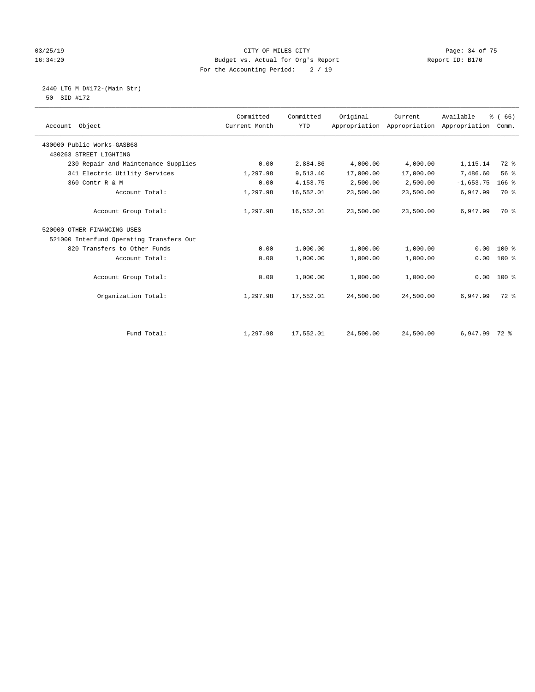### 03/25/19 Page: 34 of 75 16:34:20 Budget vs. Actual for Org's Report Changer Report ID: B170 For the Accounting Period: 2 / 19

 2440 LTG M D#172-(Main Str) 50 SID #172

| Account Object                           | Committed<br>Current Month | Committed<br><b>YTD</b> | Original  | Current<br>Appropriation Appropriation | Available<br>Appropriation | % (66)<br>Comm. |
|------------------------------------------|----------------------------|-------------------------|-----------|----------------------------------------|----------------------------|-----------------|
| 430000 Public Works-GASB68               |                            |                         |           |                                        |                            |                 |
| 430263 STREET LIGHTING                   |                            |                         |           |                                        |                            |                 |
| 230 Repair and Maintenance Supplies      | 0.00                       | 2,884.86                | 4,000.00  | 4,000.00                               | 1,115.14                   | 72 %            |
| 341 Electric Utility Services            | 1,297.98                   | 9,513.40                | 17,000.00 | 17,000.00                              | 7,486.60                   | 56%             |
| 360 Contr R & M                          | 0.00                       | 4, 153. 75              | 2,500.00  | 2,500.00                               | $-1,653.75$                | $166$ %         |
| Account Total:                           | 1,297.98                   | 16,552.01               | 23,500.00 | 23,500.00                              | 6,947.99                   | 70 %            |
| Account Group Total:                     | 1,297.98                   | 16,552.01               | 23,500.00 | 23,500.00                              | 6,947.99                   | 70 %            |
| 520000 OTHER FINANCING USES              |                            |                         |           |                                        |                            |                 |
| 521000 Interfund Operating Transfers Out |                            |                         |           |                                        |                            |                 |
| 820 Transfers to Other Funds             | 0.00                       | 1,000.00                | 1,000.00  | 1,000.00                               | 0.00                       | 100 %           |
| Account Total:                           | 0.00                       | 1,000.00                | 1,000.00  | 1,000.00                               | 0.00                       | 100 %           |
| Account Group Total:                     | 0.00                       | 1,000.00                | 1,000.00  | 1,000.00                               | 0.00                       | $100*$          |
| Organization Total:                      | 1,297.98                   | 17,552.01               | 24,500.00 | 24,500.00                              | 6,947.99                   | $72$ $%$        |
|                                          |                            |                         |           |                                        |                            |                 |
| Fund Total:                              | 1,297.98                   | 17,552.01               | 24,500.00 | 24,500.00                              | 6,947.99 72 %              |                 |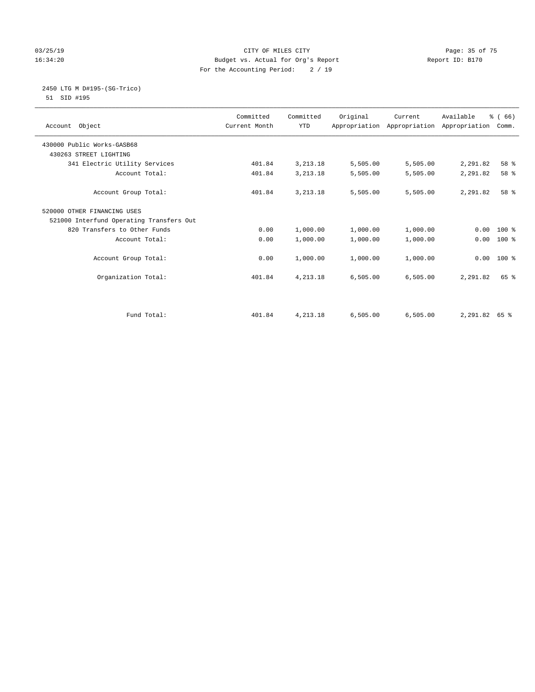### 03/25/19 Page: 35 of 75 16:34:20 Budget vs. Actual for Org's Report Changer Report ID: B170 For the Accounting Period: 2 / 19

### 2450 LTG M D#195-(SG-Trico) 51 SID #195

| Account Object                           | Committed<br>Current Month | Committed<br><b>YTD</b> | Original | Current<br>Appropriation Appropriation Appropriation | Available     | % (66)<br>Comm. |  |
|------------------------------------------|----------------------------|-------------------------|----------|------------------------------------------------------|---------------|-----------------|--|
| 430000 Public Works-GASB68               |                            |                         |          |                                                      |               |                 |  |
| 430263 STREET LIGHTING                   |                            |                         |          |                                                      |               |                 |  |
| 341 Electric Utility Services            | 401.84                     | 3, 213. 18              | 5,505.00 | 5,505.00                                             | 2,291.82      | 58 %            |  |
| Account Total:                           | 401.84                     | 3, 213. 18              | 5,505.00 | 5,505.00                                             | 2,291.82      | 58 %            |  |
| Account Group Total:                     | 401.84                     | 3, 213. 18              | 5,505.00 | 5,505.00                                             | 2,291.82      | 58 %            |  |
| 520000 OTHER FINANCING USES              |                            |                         |          |                                                      |               |                 |  |
| 521000 Interfund Operating Transfers Out |                            |                         |          |                                                      |               |                 |  |
| 820 Transfers to Other Funds             | 0.00                       | 1,000.00                | 1,000.00 | 1,000.00                                             | 0.00          | $100*$          |  |
| Account Total:                           | 0.00                       | 1,000.00                | 1,000.00 | 1,000.00                                             | 0.00          | $100*$          |  |
| Account Group Total:                     | 0.00                       | 1,000.00                | 1,000.00 | 1,000.00                                             | 0.00          | $100*$          |  |
| Organization Total:                      | 401.84                     | 4,213.18                | 6,505.00 | 6,505.00                                             | 2,291.82      | 65 %            |  |
|                                          |                            |                         |          |                                                      |               |                 |  |
| Fund Total:                              | 401.84                     | 4,213.18                | 6,505.00 | 6,505.00                                             | 2,291.82 65 % |                 |  |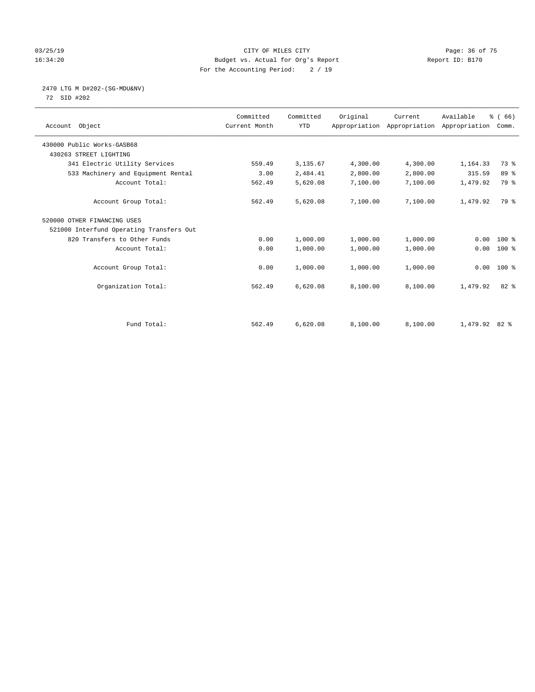### 03/25/19 Page: 36 of 75 16:34:20 Budget vs. Actual for Org's Report Changer Report ID: B170 For the Accounting Period: 2 / 19

## 2470 LTG M D#202-(SG-MDU&NV)

72 SID #202

| Account Object                           | Committed<br>Current Month | Committed<br><b>YTD</b> | Original | Current<br>Appropriation Appropriation Appropriation | Available     | % (66)<br>Comm. |
|------------------------------------------|----------------------------|-------------------------|----------|------------------------------------------------------|---------------|-----------------|
| 430000 Public Works-GASB68               |                            |                         |          |                                                      |               |                 |
| 430263 STREET LIGHTING                   |                            |                         |          |                                                      |               |                 |
| 341 Electric Utility Services            | 559.49                     | 3,135.67                | 4,300.00 | 4,300.00                                             | 1,164.33      | 73 %            |
| 533 Machinery and Equipment Rental       | 3.00                       | 2,484.41                | 2,800.00 | 2,800.00                                             | 315.59        | 89 %            |
| Account Total:                           | 562.49                     | 5,620.08                | 7,100.00 | 7,100.00                                             | 1,479.92      | 79 %            |
| Account Group Total:                     | 562.49                     | 5,620.08                | 7,100.00 | 7,100.00                                             | 1,479.92      | 79 %            |
| 520000 OTHER FINANCING USES              |                            |                         |          |                                                      |               |                 |
| 521000 Interfund Operating Transfers Out |                            |                         |          |                                                      |               |                 |
| 820 Transfers to Other Funds             | 0.00                       | 1,000.00                | 1,000.00 | 1,000.00                                             | 0.00          | $100*$          |
| Account Total:                           | 0.00                       | 1,000.00                | 1,000.00 | 1,000.00                                             | 0.00          | 100 %           |
| Account Group Total:                     | 0.00                       | 1,000.00                | 1,000.00 | 1,000.00                                             | 0.00          | $100*$          |
| Organization Total:                      | 562.49                     | 6,620.08                | 8,100.00 | 8,100.00                                             | 1,479.92      | $82*$           |
|                                          |                            |                         |          |                                                      |               |                 |
| Fund Total:                              | 562.49                     | 6,620.08                | 8,100.00 | 8,100.00                                             | 1,479.92 82 % |                 |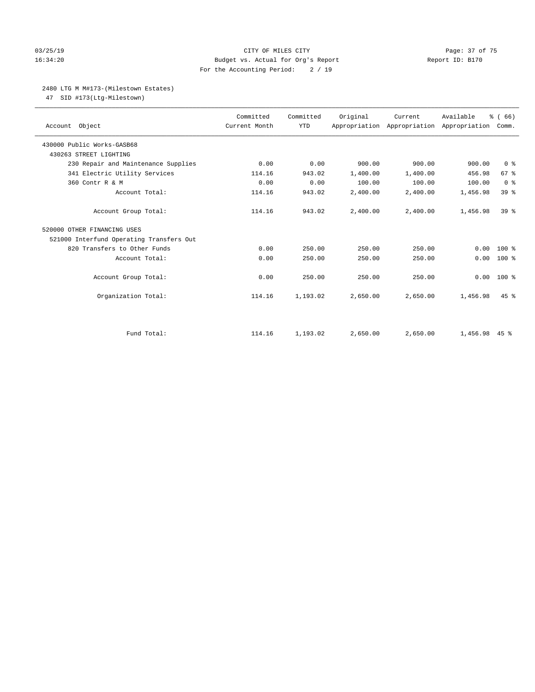#### 03/25/19 Page: 37 of 75 16:34:20 Budget vs. Actual for Org's Report Changer Report ID: B170 For the Accounting Period: 2 / 19

#### 2480 LTG M M#173-(Milestown Estates)

47 SID #173(Ltg-Milestown)

| Account Object                           | Committed<br>Current Month | Committed<br><b>YTD</b> | Original | Current  | Available<br>Appropriation Appropriation Appropriation | % (66)<br>Comm. |
|------------------------------------------|----------------------------|-------------------------|----------|----------|--------------------------------------------------------|-----------------|
| 430000 Public Works-GASB68               |                            |                         |          |          |                                                        |                 |
| 430263 STREET LIGHTING                   |                            |                         |          |          |                                                        |                 |
| 230 Repair and Maintenance Supplies      | 0.00                       | 0.00                    | 900.00   | 900.00   | 900.00                                                 | 0 <sup>8</sup>  |
| 341 Electric Utility Services            | 114.16                     | 943.02                  | 1,400.00 | 1,400.00 | 456.98                                                 | 67 <sup>8</sup> |
| 360 Contr R & M                          | 0.00                       | 0.00                    | 100.00   | 100.00   | 100.00                                                 | 0 <sup>8</sup>  |
| Account Total:                           | 114.16                     | 943.02                  | 2,400.00 | 2,400.00 | 1,456.98                                               | 39 %            |
| Account Group Total:                     | 114.16                     | 943.02                  | 2,400.00 | 2,400.00 | 1,456.98                                               | 39 <sup>8</sup> |
| 520000 OTHER FINANCING USES              |                            |                         |          |          |                                                        |                 |
| 521000 Interfund Operating Transfers Out |                            |                         |          |          |                                                        |                 |
| 820 Transfers to Other Funds             | 0.00                       | 250.00                  | 250.00   | 250.00   | 0.00                                                   | $100*$          |
| Account Total:                           | 0.00                       | 250.00                  | 250.00   | 250.00   | 0.00                                                   | $100*$          |
| Account Group Total:                     | 0.00                       | 250.00                  | 250.00   | 250.00   | 0.00                                                   | $100*$          |
| Organization Total:                      | 114.16                     | 1,193.02                | 2,650.00 | 2.650.00 | 1,456.98                                               | $45$ $%$        |
|                                          |                            |                         |          |          |                                                        |                 |
| Fund Total:                              | 114.16                     | 1,193.02                | 2,650.00 | 2,650.00 | 1,456.98                                               | $45$ %          |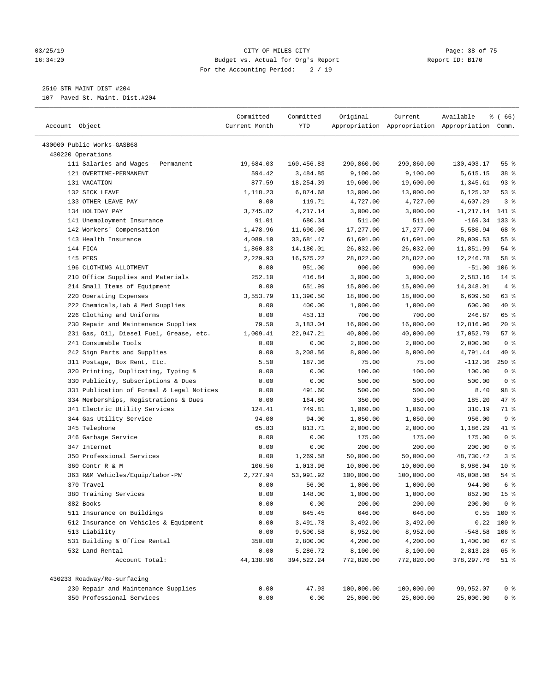#### 03/25/19 Page: 38 of 75 16:34:20 Budget vs. Actual for Org's Report Report ID: B170 For the Accounting Period: 2 / 19

————————————————————————————————————————————————————————————————————————————————————————————————————————————————————————————————————

## 2510 STR MAINT DIST #204

107 Paved St. Maint. Dist.#204

|                                           | Committed     | Committed  | Original   | Current    | Available                                       | % (66)          |
|-------------------------------------------|---------------|------------|------------|------------|-------------------------------------------------|-----------------|
| Account Object                            | Current Month | YTD        |            |            | Appropriation Appropriation Appropriation Comm. |                 |
| 430000 Public Works-GASB68                |               |            |            |            |                                                 |                 |
| 430220 Operations                         |               |            |            |            |                                                 |                 |
| 111 Salaries and Wages - Permanent        | 19,684.03     | 160,456.83 | 290,860.00 | 290,860.00 | 130,403.17                                      | 55 %            |
| 121 OVERTIME-PERMANENT                    | 594.42        | 3,484.85   | 9,100.00   | 9,100.00   | 5,615.15                                        | 38 %            |
| 131 VACATION                              | 877.59        | 18,254.39  | 19,600.00  | 19,600.00  | 1,345.61                                        | $93$ $%$        |
| 132 SICK LEAVE                            | 1,118.23      | 6,874.68   | 13,000.00  | 13,000.00  | 6,125.32                                        | 53%             |
| 133 OTHER LEAVE PAY                       | 0.00          | 119.71     | 4,727.00   | 4,727.00   | 4,607.29                                        | 3 <sup>8</sup>  |
| 134 HOLIDAY PAY                           | 3,745.82      | 4,217.14   | 3,000.00   | 3,000.00   | $-1, 217.14$ 141 %                              |                 |
| 141 Unemployment Insurance                | 91.01         | 680.34     | 511.00     | 511.00     | $-169.34$                                       | $133$ %         |
| 142 Workers' Compensation                 | 1,478.96      | 11,690.06  | 17,277.00  | 17,277.00  | 5,586.94                                        | 68 %            |
| 143 Health Insurance                      | 4,089.10      | 33,681.47  | 61,691.00  | 61,691.00  | 28,009.53                                       | $55$ $%$        |
| 144 FICA                                  | 1,860.83      | 14,180.01  | 26,032.00  | 26,032.00  | 11,851.99                                       | $54$ %          |
| 145 PERS                                  | 2,229.93      | 16,575.22  | 28,822.00  | 28,822.00  | 12,246.78                                       | 58 %            |
| 196 CLOTHING ALLOTMENT                    | 0.00          | 951.00     | 900.00     | 900.00     | $-51.00$                                        | $106$ %         |
| 210 Office Supplies and Materials         | 252.10        | 416.84     | 3,000.00   | 3,000.00   | 2,583.16                                        | $14*$           |
| 214 Small Items of Equipment              | 0.00          | 651.99     | 15,000.00  | 15,000.00  | 14,348.01                                       | 4%              |
| 220 Operating Expenses                    | 3,553.79      | 11,390.50  | 18,000.00  | 18,000.00  | 6,609.50                                        | 63 %            |
| 222 Chemicals, Lab & Med Supplies         | 0.00          | 400.00     | 1,000.00   | 1,000.00   | 600.00                                          | 40 %            |
| 226 Clothing and Uniforms                 | 0.00          | 453.13     | 700.00     | 700.00     | 246.87                                          | 65 %            |
| 230 Repair and Maintenance Supplies       | 79.50         | 3,183.04   | 16,000.00  | 16,000.00  | 12,816.96                                       | $20*$           |
| 231 Gas, Oil, Diesel Fuel, Grease, etc.   | 1,009.41      | 22,947.21  | 40,000.00  | 40,000.00  | 17,052.79                                       | 57%             |
| 241 Consumable Tools                      | 0.00          | 0.00       | 2,000.00   | 2,000.00   | 2,000.00                                        | 0 <sup>8</sup>  |
| 242 Sign Parts and Supplies               | 0.00          | 3,208.56   | 8,000.00   | 8,000.00   | 4,791.44                                        | 40 %            |
| 311 Postage, Box Rent, Etc.               | 5.50          | 187.36     | 75.00      | 75.00      | $-112.36$                                       | $250$ %         |
| 320 Printing, Duplicating, Typing &       | 0.00          | 0.00       | 100.00     | 100.00     | 100.00                                          | 0 <sup>8</sup>  |
| 330 Publicity, Subscriptions & Dues       | 0.00          | 0.00       | 500.00     | 500.00     | 500.00                                          | 0 <sup>8</sup>  |
| 331 Publication of Formal & Legal Notices | 0.00          | 491.60     | 500.00     | 500.00     | 8.40                                            | 98 %            |
| 334 Memberships, Registrations & Dues     | 0.00          | 164.80     | 350.00     | 350.00     | 185.20                                          | 47.8            |
| 341 Electric Utility Services             | 124.41        | 749.81     | 1,060.00   | 1,060.00   | 310.19                                          | 71 %            |
| 344 Gas Utility Service                   | 94.00         | 94.00      | 1,050.00   | 1,050.00   | 956.00                                          | 9%              |
| 345 Telephone                             | 65.83         | 813.71     | 2,000.00   | 2,000.00   | 1,186.29                                        | 41 %            |
| 346 Garbage Service                       | 0.00          | 0.00       | 175.00     | 175.00     | 175.00                                          | 0 <sup>8</sup>  |
| 347 Internet                              | 0.00          | 0.00       | 200.00     | 200.00     | 200.00                                          | 0 <sup>8</sup>  |
| 350 Professional Services                 | 0.00          | 1,269.58   | 50,000.00  | 50,000.00  | 48,730.42                                       | 3%              |
| 360 Contr R & M                           | 106.56        | 1,013.96   | 10,000.00  | 10,000.00  | 8,986.04                                        | $10*$           |
| 363 R&M Vehicles/Equip/Labor-PW           | 2,727.94      | 53,991.92  | 100,000.00 | 100,000.00 | 46,008.08                                       | 54 %            |
| 370 Travel                                | 0.00          | 56.00      | 1,000.00   | 1,000.00   | 944.00                                          | 6 <sup>8</sup>  |
| 380 Training Services                     | 0.00          | 148.00     | 1,000.00   | 1,000.00   | 852.00                                          | 15 <sup>8</sup> |
| 382 Books                                 | 0.00          | 0.00       | 200.00     | 200.00     | 200.00                                          | 0 ៖             |
| 511 Insurance on Buildings                | 0.00          | 645.45     | 646.00     | 646.00     |                                                 | $0.55$ 100 %    |
| 512 Insurance on Vehicles & Equipment     | 0.00          | 3,491.78   | 3,492.00   | 3,492.00   |                                                 | $0.22$ 100 %    |
| 513 Liability                             | 0.00          | 9,500.58   | 8,952.00   | 8,952.00   | $-548.58$                                       | $106$ %         |
| 531 Building & Office Rental              | 350.00        | 2,800.00   | 4,200.00   | 4,200.00   | 1,400.00                                        | 67%             |
| 532 Land Rental                           | 0.00          | 5,286.72   | 8,100.00   | 8,100.00   | 2,813.28                                        | 65 %            |
| Account Total:                            | 44,138.96     | 394,522.24 | 772,820.00 | 772,820.00 | 378, 297.76                                     | $51$ %          |
| 430233 Roadway/Re-surfacing               |               |            |            |            |                                                 |                 |
| 230 Repair and Maintenance Supplies       | 0.00          | 47.93      | 100,000.00 | 100,000.00 | 99,952.07                                       | 0 <sup>8</sup>  |
| 350 Professional Services                 | 0.00          | 0.00       | 25,000.00  | 25,000.00  | 25,000.00                                       | 0 <sup>8</sup>  |
|                                           |               |            |            |            |                                                 |                 |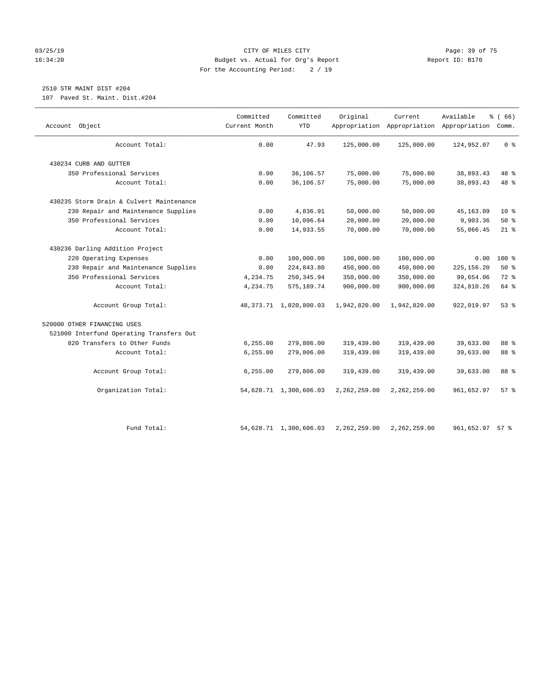#### 03/25/19 Page: 39 of 75 16:34:20 Budget vs. Actual for Org's Report Report ID: B170 For the Accounting Period: 2 / 19

# 2510 STR MAINT DIST #204

107 Paved St. Maint. Dist.#204

| Object<br>Account                        | Committed<br>Current Month | Committed<br>YTD            | Original       | Current      | Available<br>Appropriation Appropriation Appropriation Comm. | % (66)         |
|------------------------------------------|----------------------------|-----------------------------|----------------|--------------|--------------------------------------------------------------|----------------|
| Account Total:                           | 0.00                       | 47.93                       | 125,000.00     | 125,000.00   | 124,952.07                                                   | 0 <sup>8</sup> |
| 430234 CURB AND GUTTER                   |                            |                             |                |              |                                                              |                |
| 350 Professional Services                | 0.00                       | 36,106.57                   | 75,000.00      | 75,000.00    | 38,893.43                                                    | 48 %           |
| Account Total:                           | 0.00                       | 36,106.57                   | 75,000.00      | 75,000.00    | 38,893.43                                                    | 48 %           |
| 430235 Storm Drain & Culvert Maintenance |                            |                             |                |              |                                                              |                |
| 230 Repair and Maintenance Supplies      | 0.00                       | 4,836.91                    | 50,000.00      | 50,000.00    | 45, 163.09                                                   | $10*$          |
| 350 Professional Services                | 0.00                       | 10,096.64                   | 20,000.00      | 20,000.00    | 9,903.36                                                     | 50%            |
| Account Total:                           | 0.00                       | 14,933.55                   | 70,000.00      | 70,000.00    | 55,066.45                                                    | $21$ %         |
| 430236 Darling Addition Project          |                            |                             |                |              |                                                              |                |
| 220 Operating Expenses                   | 0.00                       | 100,000.00                  | 100,000.00     | 100,000.00   | 0.00                                                         | $100*$         |
| 230 Repair and Maintenance Supplies      | 0.00                       | 224,843.80                  | 450,000.00     | 450,000.00   | 225, 156.20                                                  | 50%            |
| 350 Professional Services                | 4,234.75                   | 250, 345.94                 | 350,000.00     | 350,000.00   | 99,654.06                                                    | 72 %           |
| Account Total:                           | 4,234.75                   | 575,189.74                  | 900,000.00     | 900,000.00   | 324,810.26                                                   | 64 %           |
| Account Group Total:                     |                            | 48, 373. 71 1, 020, 800. 03 | 1,942,820.00   | 1,942,820.00 | 922,019.97                                                   | $53$ $%$       |
| 520000 OTHER FINANCING USES              |                            |                             |                |              |                                                              |                |
| 521000 Interfund Operating Transfers Out |                            |                             |                |              |                                                              |                |
| 820 Transfers to Other Funds             | 6,255.00                   | 279,806.00                  | 319,439.00     | 319,439.00   | 39,633.00                                                    | 88 %           |
| Account Total:                           | 6, 255.00                  | 279,806.00                  | 319,439.00     | 319,439.00   | 39,633.00                                                    | 88 %           |
| Account Group Total:                     | 6, 255.00                  | 279,806.00                  | 319,439.00     | 319,439.00   | 39,633.00                                                    | 88 %           |
| Organization Total:                      |                            | 54,628.71 1,300,606.03      | 2, 262, 259.00 | 2,262,259.00 | 961,652.97                                                   | 57%            |
| Fund Total:                              |                            | 54,628.71 1,300,606.03      | 2,262,259.00   | 2,262,259.00 | 961,652.97                                                   | 57%            |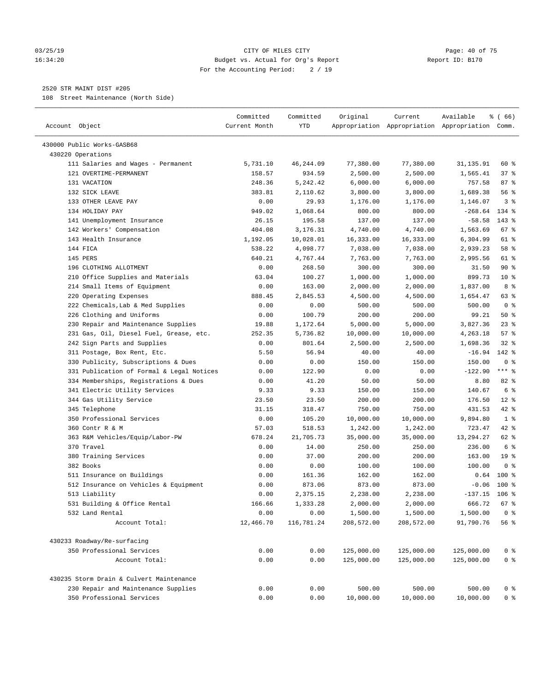#### 03/25/19 Page: 40 of 75 16:34:20 Budget vs. Actual for Org's Report Report ID: B170 For the Accounting Period: 2 / 19

————————————————————————————————————————————————————————————————————————————————————————————————————————————————————————————————————

#### 2520 STR MAINT DIST #205

108 Street Maintenance (North Side)

|                                                                                 | Committed     | Committed  | Original   | Current    | Available                                       | ៖ ( 66)         |
|---------------------------------------------------------------------------------|---------------|------------|------------|------------|-------------------------------------------------|-----------------|
| Account Object                                                                  | Current Month | YTD        |            |            | Appropriation Appropriation Appropriation Comm. |                 |
| 430000 Public Works-GASB68                                                      |               |            |            |            |                                                 |                 |
| 430220 Operations                                                               |               |            |            |            |                                                 |                 |
| 111 Salaries and Wages - Permanent                                              | 5,731.10      | 46, 244.09 | 77,380.00  | 77,380.00  | 31,135.91                                       | 60 %            |
| 121 OVERTIME-PERMANENT                                                          | 158.57        | 934.59     | 2,500.00   | 2,500.00   | 1,565.41                                        | 37 %            |
| 131 VACATION                                                                    | 248.36        | 5,242.42   | 6,000.00   | 6,000.00   | 757.58                                          | 87%             |
| 132 SICK LEAVE                                                                  | 383.81        | 2,110.62   | 3,800.00   | 3,800.00   | 1,689.38                                        | 56%             |
| 133 OTHER LEAVE PAY                                                             | 0.00          | 29.93      | 1,176.00   | 1,176.00   | 1,146.07                                        | 3 <sup>8</sup>  |
| 134 HOLIDAY PAY                                                                 | 949.02        | 1,068.64   | 800.00     | 800.00     | $-268.64$                                       | 134 %           |
| 141 Unemployment Insurance                                                      | 26.15         | 195.58     | 137.00     | 137.00     | $-58.58$                                        | 143 %           |
| 142 Workers' Compensation                                                       | 404.08        | 3,176.31   | 4,740.00   | 4,740.00   | 1,563.69                                        | $67$ %          |
| 143 Health Insurance                                                            | 1,192.05      | 10,028.01  | 16,333.00  | 16,333.00  | 6,304.99                                        | 61 %            |
| 144 FICA                                                                        | 538.22        | 4,098.77   | 7,038.00   | 7,038.00   | 2,939.23                                        | 58 %            |
| 145 PERS                                                                        | 640.21        | 4,767.44   | 7,763.00   | 7,763.00   | 2,995.56                                        | 61 %            |
| 196 CLOTHING ALLOTMENT                                                          | 0.00          | 268.50     | 300.00     | 300.00     | 31.50                                           | 90%             |
| 210 Office Supplies and Materials                                               | 63.04         | 100.27     | 1,000.00   | 1,000.00   | 899.73                                          | $10*$           |
| 214 Small Items of Equipment                                                    | 0.00          | 163.00     | 2,000.00   | 2,000.00   | 1,837.00                                        | 8 %             |
| 220 Operating Expenses                                                          | 888.45        | 2,845.53   | 4,500.00   | 4,500.00   | 1,654.47                                        | 63 %            |
| 222 Chemicals, Lab & Med Supplies                                               | 0.00          | 0.00       | 500.00     | 500.00     | 500.00                                          | 0 <sup>8</sup>  |
| 226 Clothing and Uniforms                                                       | 0.00          | 100.79     | 200.00     | 200.00     | 99.21                                           | 50%             |
| 230 Repair and Maintenance Supplies                                             | 19.88         | 1,172.64   | 5,000.00   | 5,000.00   | 3,827.36                                        | $23$ %          |
| 231 Gas, Oil, Diesel Fuel, Grease, etc.                                         | 252.35        | 5,736.82   | 10,000.00  | 10,000.00  | 4,263.18                                        | 57%             |
| 242 Sign Parts and Supplies                                                     | 0.00          | 801.64     | 2,500.00   | 2,500.00   | 1,698.36                                        | $32$ $%$        |
| 311 Postage, Box Rent, Etc.                                                     | 5.50          | 56.94      | 40.00      | 40.00      | $-16.94$                                        | 142 %           |
| 330 Publicity, Subscriptions & Dues                                             | 0.00          | 0.00       | 150.00     | 150.00     | 150.00                                          | 0 <sup>8</sup>  |
| 331 Publication of Formal & Legal Notices                                       | 0.00          | 122.90     | 0.00       | 0.00       | $-122.90$                                       | $***$ $-$       |
| 334 Memberships, Registrations & Dues                                           | 0.00          | 41.20      | 50.00      | 50.00      | 8.80                                            | $82$ $%$        |
| 341 Electric Utility Services                                                   | 9.33          | 9.33       | 150.00     | 150.00     | 140.67                                          | 6 %             |
| 344 Gas Utility Service                                                         | 23.50         | 23.50      | 200.00     | 200.00     | 176.50                                          | $12*$           |
| 345 Telephone                                                                   | 31.15         | 318.47     | 750.00     | 750.00     | 431.53                                          | $42$ %          |
| 350 Professional Services                                                       |               |            |            |            |                                                 | 1 <sup>8</sup>  |
|                                                                                 | 0.00          | 105.20     | 10,000.00  | 10,000.00  | 9,894.80                                        |                 |
| 360 Contr R & M                                                                 | 57.03         | 518.53     | 1,242.00   | 1,242.00   | 723.47                                          | $42$ %          |
| 363 R&M Vehicles/Equip/Labor-PW                                                 | 678.24        | 21,705.73  | 35,000.00  | 35,000.00  | 13,294.27                                       | 62 %            |
| 370 Travel                                                                      | 0.00          | 14.00      | 250.00     | 250.00     | 236.00                                          | 6 <sup>8</sup>  |
| 380 Training Services                                                           | 0.00          | 37.00      | 200.00     | 200.00     | 163.00                                          | 19 <sup>°</sup> |
| 382 Books                                                                       | 0.00          | 0.00       | 100.00     | 100.00     | 100.00                                          | 0 <sup>8</sup>  |
| 511 Insurance on Buildings                                                      | 0.00          | 161.36     | 162.00     | 162.00     | 0.64                                            | $100*$          |
| 512 Insurance on Vehicles & Equipment                                           | 0.00          | 873.06     | 873.00     | 873.00     | $-0.06$                                         | $100*$          |
| 513 Liability                                                                   | 0.00          | 2,375.15   | 2,238.00   | 2,238.00   | $-137.15$ 106 %                                 |                 |
| 531 Building & Office Rental                                                    | 166.66        | 1,333.28   | 2,000.00   | 2,000.00   | 666.72                                          | $67$ %          |
| 532 Land Rental                                                                 | 0.00          | 0.00       | 1,500.00   | 1,500.00   | 1,500.00                                        | 0 <sup>8</sup>  |
| Account Total:                                                                  | 12,466.70     | 116,781.24 | 208,572.00 | 208,572.00 | 91,790.76                                       | 56 %            |
| 430233 Roadway/Re-surfacing                                                     |               |            |            |            |                                                 |                 |
| 350 Professional Services                                                       | 0.00          | 0.00       | 125,000.00 | 125,000.00 | 125,000.00                                      | 0 <sup>8</sup>  |
| Account Total:                                                                  | 0.00          | 0.00       | 125,000.00 | 125,000.00 | 125,000.00                                      | 0 <sup>°</sup>  |
|                                                                                 |               |            |            |            |                                                 |                 |
| 430235 Storm Drain & Culvert Maintenance<br>230 Repair and Maintenance Supplies |               |            |            |            |                                                 |                 |
|                                                                                 | 0.00          | 0.00       | 500.00     | 500.00     | 500.00                                          | 0 <sup>8</sup>  |
| 350 Professional Services                                                       | 0.00          | 0.00       | 10,000.00  | 10,000.00  | 10,000.00                                       | 0 <sup>8</sup>  |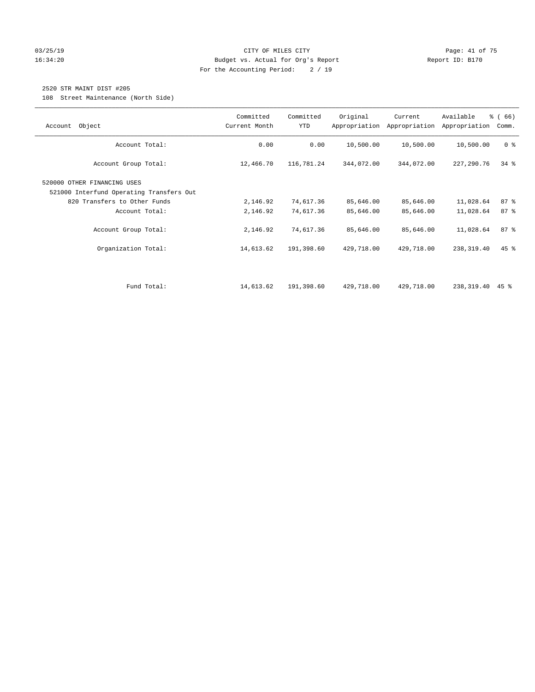#### 03/25/19 Page: 41 of 75 16:34:20 Budget vs. Actual for Org's Report Changer Report ID: B170 For the Accounting Period: 2 / 19

### 2520 STR MAINT DIST #205

108 Street Maintenance (North Side)

| Object<br>Account                                                       | Committed<br>Current Month | Committed<br><b>YTD</b> | Original   | Current<br>Appropriation Appropriation | Available<br>Appropriation | % (66)<br>Comm. |
|-------------------------------------------------------------------------|----------------------------|-------------------------|------------|----------------------------------------|----------------------------|-----------------|
| Account Total:                                                          | 0.00                       | 0.00                    | 10,500.00  | 10,500.00                              | 10,500.00                  | 0 <sup>8</sup>  |
| Account Group Total:                                                    | 12,466.70                  | 116,781.24              | 344,072.00 | 344,072.00                             | 227,290.76                 | $34$ $%$        |
| 520000 OTHER FINANCING USES<br>521000 Interfund Operating Transfers Out |                            |                         |            |                                        |                            |                 |
| 820 Transfers to Other Funds                                            | 2,146.92                   | 74,617.36               | 85,646.00  | 85,646.00                              | 11,028.64                  | 87%             |
| Account Total:                                                          | 2,146.92                   | 74,617.36               | 85,646.00  | 85,646.00                              | 11,028.64                  | 87%             |
| Account Group Total:                                                    | 2,146.92                   | 74,617.36               | 85,646.00  | 85,646.00                              | 11,028.64                  | 87%             |
| Organization Total:                                                     | 14,613.62                  | 191,398.60              | 429,718.00 | 429,718.00                             | 238,319.40                 | 45 %            |
|                                                                         |                            |                         |            |                                        |                            |                 |
| Fund Total:                                                             | 14,613.62                  | 191,398.60              | 429,718.00 | 429,718.00                             | 238,319.40                 | 45 %            |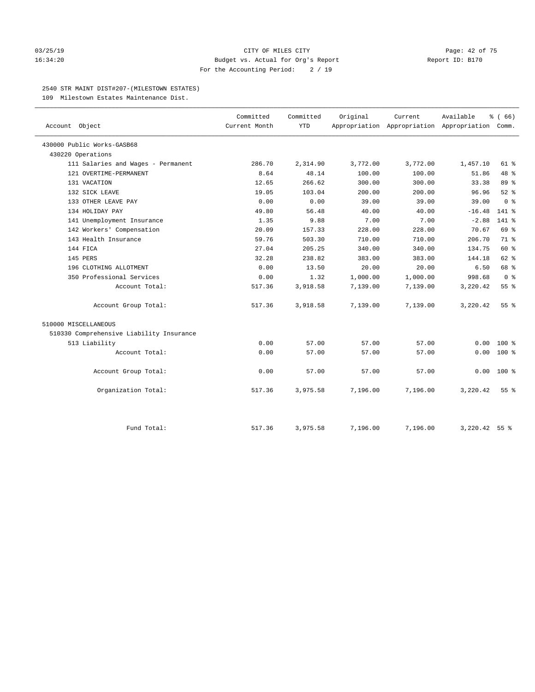#### 03/25/19 Page: 42 of 75 16:34:20 Budget vs. Actual for Org's Report Report ID: B170 For the Accounting Period: 2 / 19

#### 2540 STR MAINT DIST#207-(MILESTOWN ESTATES)

109 Milestown Estates Maintenance Dist.

|                                          | Committed     | Committed  | Original | Current                                         | Available       | % (66)          |
|------------------------------------------|---------------|------------|----------|-------------------------------------------------|-----------------|-----------------|
| Account Object                           | Current Month | <b>YTD</b> |          | Appropriation Appropriation Appropriation Comm. |                 |                 |
| 430000 Public Works-GASB68               |               |            |          |                                                 |                 |                 |
| 430220 Operations                        |               |            |          |                                                 |                 |                 |
| 111 Salaries and Wages - Permanent       | 286.70        | 2,314.90   | 3,772.00 | 3,772.00                                        | 1,457.10        | 61 %            |
| 121 OVERTIME-PERMANENT                   | 8.64          | 48.14      | 100.00   | 100.00                                          | 51.86           | 48 %            |
| 131 VACATION                             | 12.65         | 266.62     | 300.00   | 300.00                                          | 33.38           | 89 %            |
| 132 SICK LEAVE                           | 19.05         | 103.04     | 200.00   | 200.00                                          | 96.96           | 52%             |
| 133 OTHER LEAVE PAY                      | 0.00          | 0.00       | 39.00    | 39.00                                           | 39.00           | 0 <sup>8</sup>  |
| 134 HOLIDAY PAY                          | 49.80         | 56.48      | 40.00    | 40.00                                           | $-16.48$        | $141$ $*$       |
| 141 Unemployment Insurance               | 1.35          | 9.88       | 7.00     | 7.00                                            | $-2.88$         | 141 %           |
| 142 Workers' Compensation                | 20.09         | 157.33     | 228.00   | 228.00                                          | 70.67           | 69 %            |
| 143 Health Insurance                     | 59.76         | 503.30     | 710.00   | 710.00                                          | 206.70          | 71 %            |
| 144 FICA                                 | 27.04         | 205.25     | 340.00   | 340.00                                          | 134.75          | 60 %            |
| 145 PERS                                 | 32.28         | 238.82     | 383.00   | 383.00                                          | 144.18          | $62$ $%$        |
| 196 CLOTHING ALLOTMENT                   | 0.00          | 13.50      | 20.00    | 20.00                                           | 6.50            | 68 %            |
| 350 Professional Services                | 0.00          | 1.32       | 1,000.00 | 1,000.00                                        | 998.68          | 0 <sup>8</sup>  |
| Account Total:                           | 517.36        | 3,918.58   | 7,139.00 | 7,139.00                                        | 3,220.42        | 55%             |
| Account Group Total:                     | 517.36        | 3,918.58   | 7,139.00 | 7,139.00                                        | 3,220.42        | 55 <sup>8</sup> |
| 510000 MISCELLANEOUS                     |               |            |          |                                                 |                 |                 |
| 510330 Comprehensive Liability Insurance |               |            |          |                                                 |                 |                 |
| 513 Liability                            | 0.00          | 57.00      | 57.00    | 57.00                                           | 0.00            | $100*$          |
| Account Total:                           | 0.00          | 57.00      | 57.00    | 57.00                                           | 0.00            | $100*$          |
| Account Group Total:                     | 0.00          | 57.00      | 57.00    | 57.00                                           | 0.00            | $100*$          |
| Organization Total:                      | 517.36        | 3,975.58   | 7,196.00 | 7,196.00                                        | 3,220.42        | 55%             |
| Fund Total:                              | 517.36        | 3,975.58   | 7,196.00 | 7,196.00                                        | $3,220.42$ 55 % |                 |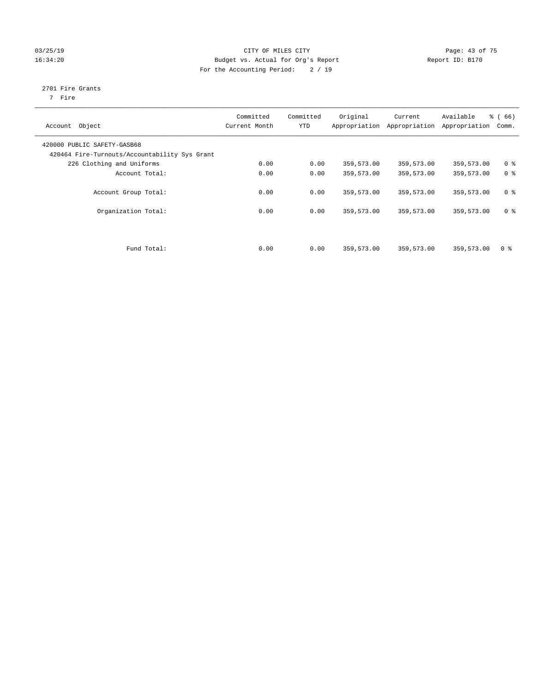#### 03/25/19 Page: 43 of 75 16:34:20 Budget vs. Actual for Org's Report Changer Report ID: B170 For the Accounting Period: 2 / 19

## 2701 Fire Grants

7 Fire

| Object<br>Account                                                            | Committed<br>Current Month | Committed<br><b>YTD</b> | Original   | Current<br>Appropriation Appropriation | Available<br>Appropriation | % (66)<br>Comm. |
|------------------------------------------------------------------------------|----------------------------|-------------------------|------------|----------------------------------------|----------------------------|-----------------|
| 420000 PUBLIC SAFETY-GASB68<br>420464 Fire-Turnouts/Accountability Sys Grant |                            |                         |            |                                        |                            |                 |
| 226 Clothing and Uniforms                                                    | 0.00                       | 0.00                    | 359,573.00 | 359,573.00                             | 359,573.00                 | 0 <sup>8</sup>  |
| Account Total:                                                               | 0.00                       | 0.00                    | 359,573.00 | 359,573.00                             | 359,573.00                 | 0 <sup>8</sup>  |
| Account Group Total:                                                         | 0.00                       | 0.00                    | 359,573.00 | 359,573.00                             | 359,573.00                 | 0 <sup>8</sup>  |
| Organization Total:                                                          | 0.00                       | 0.00                    | 359,573.00 | 359,573.00                             | 359,573.00                 | 0 <sup>8</sup>  |
|                                                                              |                            |                         |            |                                        |                            |                 |
| Fund Total:                                                                  | 0.00                       | 0.00                    | 359,573.00 | 359,573.00                             | 359,573.00                 | 0 %             |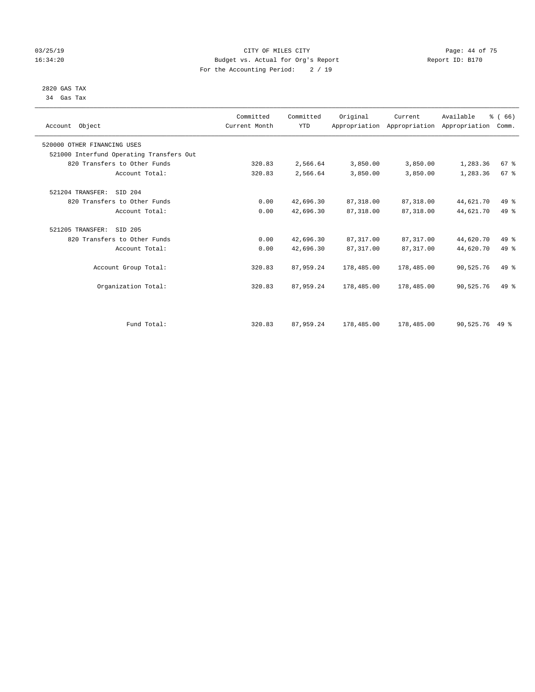#### 03/25/19 Page: 44 of 75 16:34:20 Budget vs. Actual for Org's Report Changer Report ID: B170 For the Accounting Period: 2 / 19

#### 2820 GAS TAX 34 Gas Tax

| Account Object                           | Committed<br>Current Month | Committed<br><b>YTD</b> | Original   | Current    | Available<br>Appropriation Appropriation Appropriation | % (66)<br>Comm. |  |
|------------------------------------------|----------------------------|-------------------------|------------|------------|--------------------------------------------------------|-----------------|--|
| 520000 OTHER FINANCING USES              |                            |                         |            |            |                                                        |                 |  |
| 521000 Interfund Operating Transfers Out |                            |                         |            |            |                                                        |                 |  |
| 820 Transfers to Other Funds             | 320.83                     | 2,566.64                | 3,850.00   | 3,850.00   | 1,283.36                                               | 67 <sup>8</sup> |  |
| Account Total:                           | 320.83                     | 2,566.64                | 3,850.00   | 3,850.00   | 1,283.36                                               | 67 <sup>8</sup> |  |
| 521204 TRANSFER:<br>SID 204              |                            |                         |            |            |                                                        |                 |  |
| 820 Transfers to Other Funds             | 0.00                       | 42,696.30               | 87, 318.00 | 87,318.00  | 44,621.70                                              | 49 %            |  |
| Account Total:                           | 0.00                       | 42,696.30               | 87,318.00  | 87,318.00  | 44,621.70                                              | 49 %            |  |
| 521205 TRANSFER:<br>SID 205              |                            |                         |            |            |                                                        |                 |  |
| 820 Transfers to Other Funds             | 0.00                       | 42,696.30               | 87, 317.00 | 87, 317.00 | 44,620.70                                              | 49 %            |  |
| Account Total:                           | 0.00                       | 42,696.30               | 87, 317.00 | 87, 317.00 | 44,620.70                                              | 49 %            |  |
| Account Group Total:                     | 320.83                     | 87,959.24               | 178,485.00 | 178,485.00 | 90,525.76                                              | $49*$           |  |
| Organization Total:                      | 320.83                     | 87,959.24               | 178,485.00 | 178,485.00 | 90,525.76                                              | $49*$           |  |
|                                          |                            |                         |            |            |                                                        |                 |  |
| Fund Total:                              | 320.83                     | 87,959.24               | 178,485.00 | 178,485.00 | 90,525.76                                              | $49*$           |  |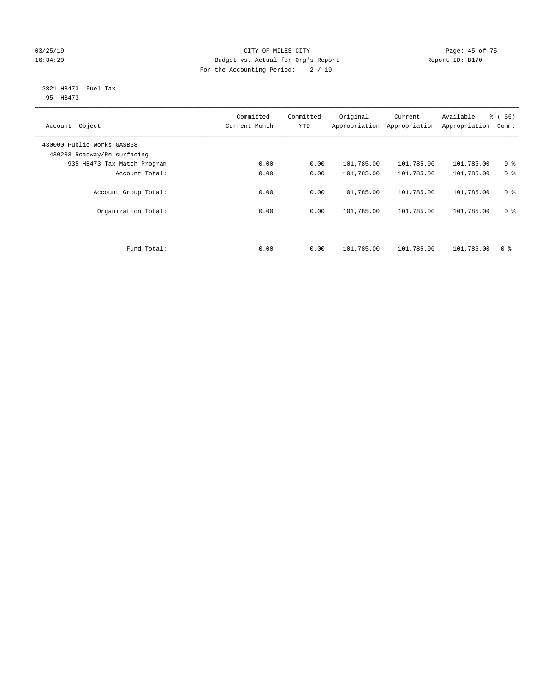#### 03/25/19 Page: 45 of 75 16:34:20 Budget vs. Actual for Org's Report Changer Report ID: B170 For the Accounting Period: 2 / 19

#### 2821 HB473- Fuel Tax 95 HB473

| Object<br>Account                                         | Committed<br>Current Month | Committed<br><b>YTD</b> | Original<br>Appropriation | Current<br>Appropriation | Available<br>Appropriation | % (66)<br>Comm. |
|-----------------------------------------------------------|----------------------------|-------------------------|---------------------------|--------------------------|----------------------------|-----------------|
| 430000 Public Works-GASB68<br>430233 Roadway/Re-surfacing |                            |                         |                           |                          |                            |                 |
| 935 HB473 Tax Match Program                               | 0.00                       | 0.00                    | 101,785.00                | 101,785.00               | 101,785.00                 | 0 <sup>8</sup>  |
| Account Total:                                            | 0.00                       | 0.00                    | 101,785.00                | 101,785.00               | 101,785.00                 | 0 <sup>8</sup>  |
| Account Group Total:                                      | 0.00                       | 0.00                    | 101,785.00                | 101,785.00               | 101,785.00                 | 0 <sup>8</sup>  |
| Organization Total:                                       | 0.00                       | 0.00                    | 101,785.00                | 101,785.00               | 101,785.00                 | 0 <sup>8</sup>  |
|                                                           |                            |                         |                           |                          |                            |                 |
| Fund Total:                                               | 0.00                       | 0.00                    | 101,785.00                | 101,785.00               | 101,785.00                 | 0 <sup>8</sup>  |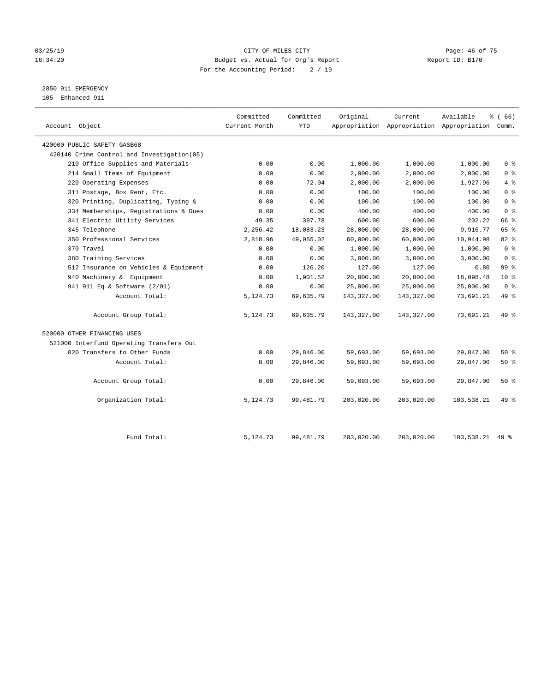#### 03/25/19 Page: 46 of 75 16:34:20 Budget vs. Actual for Org's Report Changer Report ID: B170 For the Accounting Period: 2 / 19

2850 911 EMERGENCY

105 Enhanced 911

| Account Object                              | Committed<br>Current Month | Committed<br><b>YTD</b> | Original   | Current    | Available<br>Appropriation Appropriation Appropriation Comm. | % ( 66 )        |
|---------------------------------------------|----------------------------|-------------------------|------------|------------|--------------------------------------------------------------|-----------------|
| 420000 PUBLIC SAFETY-GASB68                 |                            |                         |            |            |                                                              |                 |
| 420140 Crime Control and Investigation (05) |                            |                         |            |            |                                                              |                 |
| 210 Office Supplies and Materials           | 0.00                       | 0.00                    | 1,000.00   | 1,000.00   | 1,000.00                                                     | 0 <sup>8</sup>  |
| 214 Small Items of Equipment                | 0.00                       | 0.00                    | 2,000.00   | 2,000.00   | 2,000.00                                                     | 0 <sup>8</sup>  |
| 220 Operating Expenses                      | 0.00                       | 72.04                   | 2,000.00   | 2,000.00   | 1,927.96                                                     | 4%              |
| 311 Postage, Box Rent, Etc.                 | 0.00                       | 0.00                    | 100.00     | 100.00     | 100.00                                                       | 0 <sup>8</sup>  |
| 320 Printing, Duplicating, Typing &         | 0.00                       | 0.00                    | 100.00     | 100.00     | 100.00                                                       | 0 <sup>8</sup>  |
| 334 Memberships, Registrations & Dues       | 0.00                       | 0.00                    | 400.00     | 400.00     | 400.00                                                       | 0 <sup>8</sup>  |
| 341 Electric Utility Services               | 49.35                      | 397.78                  | 600.00     | 600.00     | 202.22                                                       | 66 %            |
| 345 Telephone                               | 2,256.42                   | 18,083.23               | 28,000.00  | 28,000.00  | 9,916.77                                                     | 65 %            |
| 350 Professional Services                   | 2,818.96                   | 49,055.02               | 60,000.00  | 60,000.00  | 10,944.98                                                    | 82%             |
| 370 Travel                                  | 0.00                       | 0.00                    | 1,000.00   | 1,000.00   | 1,000.00                                                     | 0 <sup>8</sup>  |
| 380 Training Services                       | 0.00                       | 0.00                    | 3,000.00   | 3,000.00   | 3,000.00                                                     | 0 <sup>8</sup>  |
| 512 Insurance on Vehicles & Equipment       | 0.00                       | 126.20                  | 127.00     | 127.00     | 0.80                                                         | 99 <sub>8</sub> |
| 940 Machinery & Equipment                   | 0.00                       | 1,901.52                | 20,000.00  | 20,000.00  | 18,098.48                                                    | $10*$           |
| 941 911 Eq & Software (2/01)                | 0.00                       | 0.00                    | 25,000.00  | 25,000.00  | 25,000.00                                                    | 0 <sup>8</sup>  |
| Account Total:                              | 5,124.73                   | 69,635.79               | 143,327.00 | 143,327.00 | 73,691.21                                                    | 49 %            |
| Account Group Total:                        | 5,124.73                   | 69,635.79               | 143,327.00 | 143,327.00 | 73,691.21                                                    | 49 %            |
| 520000 OTHER FINANCING USES                 |                            |                         |            |            |                                                              |                 |
| 521000 Interfund Operating Transfers Out    |                            |                         |            |            |                                                              |                 |
| 820 Transfers to Other Funds                | 0.00                       | 29,846.00               | 59,693.00  | 59,693.00  | 29,847.00                                                    | 50%             |
| Account Total:                              | 0.00                       | 29,846.00               | 59,693.00  | 59,693.00  | 29,847.00                                                    | 50%             |
| Account Group Total:                        | 0.00                       | 29,846.00               | 59,693.00  | 59,693.00  | 29,847.00                                                    | 50%             |
| Organization Total:                         | 5,124.73                   | 99, 481.79              | 203,020.00 | 203,020.00 | 103,538.21                                                   | 49 %            |
| Fund Total:                                 | 5,124.73                   | 99, 481.79              | 203,020.00 | 203,020.00 | $103.538.21$ 49 %                                            |                 |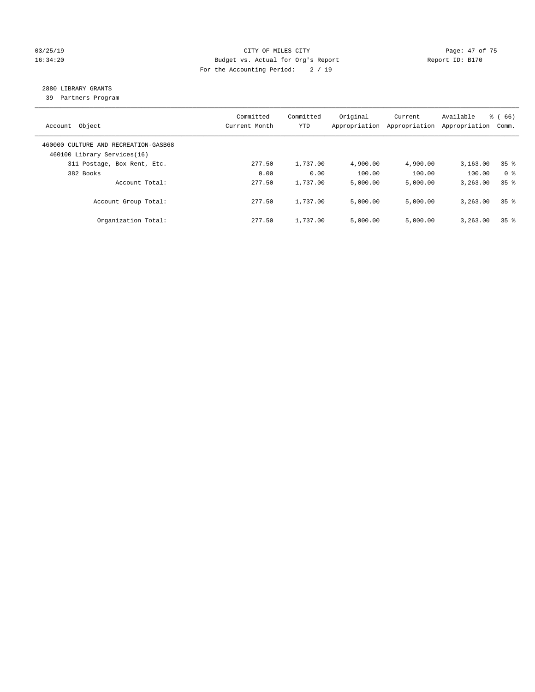#### 03/25/19 Page: 47 of 75 16:34:20 Budget vs. Actual for Org's Report Changer Report ID: B170 For the Accounting Period: 2 / 19

## 2880 LIBRARY GRANTS

39 Partners Program

| Object<br>Account                                                   | Committed<br>Current Month | Committed<br>YTD | Original<br>Appropriation | Current<br>Appropriation | Available<br>Appropriation | $\frac{3}{6}$ (66)<br>Comm. |
|---------------------------------------------------------------------|----------------------------|------------------|---------------------------|--------------------------|----------------------------|-----------------------------|
| 460000 CULTURE AND RECREATION-GASB68<br>460100 Library Services(16) |                            |                  |                           |                          |                            |                             |
| 311 Postage, Box Rent, Etc.                                         | 277.50                     | 1,737.00         | 4,900.00                  | 4,900.00                 | 3,163.00                   | 35 <sup>8</sup>             |
| 382 Books                                                           | 0.00                       | 0.00             | 100.00                    | 100.00                   | 100.00                     | 0 %                         |
| Account Total:                                                      | 277.50                     | 1,737.00         | 5,000.00                  | 5,000.00                 | 3,263.00                   | 35 <sup>8</sup>             |
| Account Group Total:                                                | 277.50                     | 1,737.00         | 5,000.00                  | 5,000.00                 | 3,263.00                   | 35 <sup>8</sup>             |
| Organization Total:                                                 | 277.50                     | 1,737.00         | 5,000.00                  | 5,000.00                 | 3,263.00                   | 35 <sup>8</sup>             |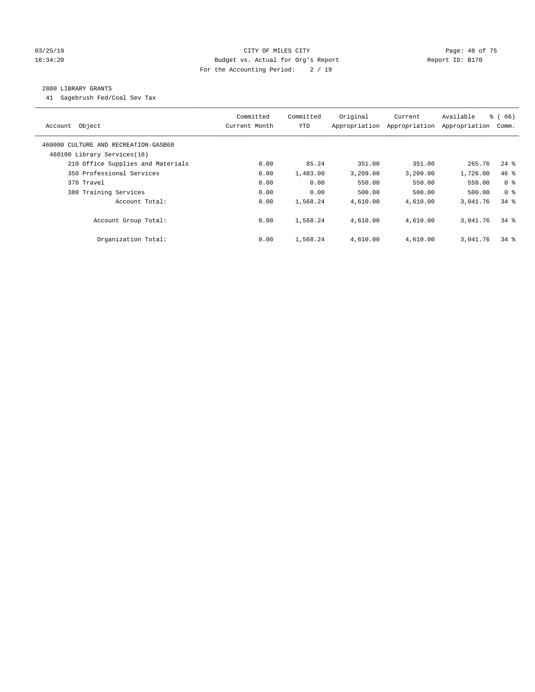#### 03/25/19 Page: 48 of 75 16:34:20 Budget vs. Actual for Org's Report Changer Report ID: B170 For the Accounting Period: 2 / 19

#### 2880 LIBRARY GRANTS

41 Sagebrush Fed/Coal Sev Tax

| Account Object                                                      | Committed<br>Current Month | Committed<br><b>YTD</b> | Original<br>Appropriation | Current<br>Appropriation | Available<br>Appropriation | % (66)<br>Comm.    |
|---------------------------------------------------------------------|----------------------------|-------------------------|---------------------------|--------------------------|----------------------------|--------------------|
| 460000 CULTURE AND RECREATION-GASB68<br>460100 Library Services(16) |                            |                         |                           |                          |                            |                    |
| 210 Office Supplies and Materials                                   | 0.00                       | 85.24                   | 351.00                    | 351.00                   | 265.76                     | $24$ $\frac{6}{3}$ |
| 350 Professional Services                                           | 0.00                       | 1,483.00                | 3,209.00                  | 3,209.00                 | 1,726.00                   | 46 %               |
| 370 Travel                                                          | 0.00                       | 0.00                    | 550.00                    | 550.00                   | 550.00                     | 0 <sup>8</sup>     |
| 380 Training Services                                               | 0.00                       | 0.00                    | 500.00                    | 500.00                   | 500.00                     | 0 <sup>8</sup>     |
| Account Total:                                                      | 0.00                       | 1,568.24                | 4,610.00                  | 4,610.00                 | 3,041.76                   | $34$ $%$           |
| Account Group Total:                                                | 0.00                       | 1,568.24                | 4,610.00                  | 4,610.00                 | 3,041.76                   | $34$ $%$           |
| Organization Total:                                                 | 0.00                       | 1,568.24                | 4,610.00                  | 4,610.00                 | 3,041.76                   | $34$ $%$           |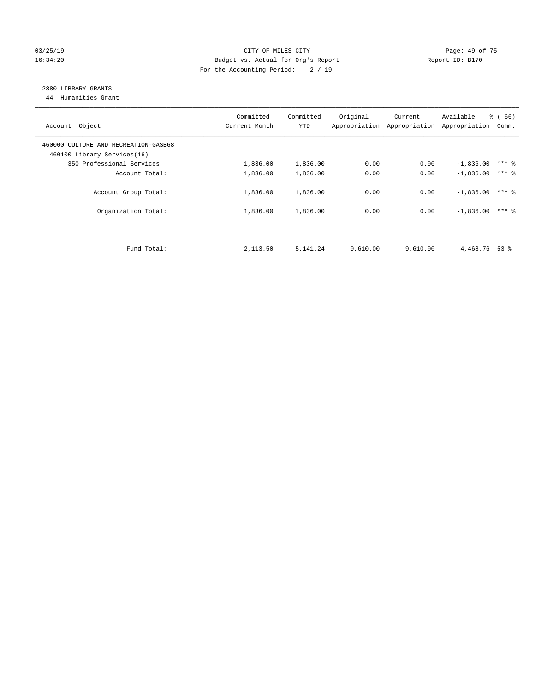#### 03/25/19 Page: 49 of 75 16:34:20 Budget vs. Actual for Org's Report Changer Report ID: B170 For the Accounting Period: 2 / 19

## 2880 LIBRARY GRANTS

44 Humanities Grant

| Account Object                                                      | Committed<br>Current Month | Committed<br><b>YTD</b> | Original | Current<br>Appropriation Appropriation | Available<br>Appropriation | % (66)<br>Comm. |
|---------------------------------------------------------------------|----------------------------|-------------------------|----------|----------------------------------------|----------------------------|-----------------|
| 460000 CULTURE AND RECREATION-GASB68<br>460100 Library Services(16) |                            |                         |          |                                        |                            |                 |
| 350 Professional Services                                           | 1,836.00                   | 1,836.00                | 0.00     | 0.00                                   | $-1,836.00$                | $***$ 8         |
| Account Total:                                                      | 1,836.00                   | 1,836.00                | 0.00     | 0.00                                   | $-1,836.00$                | $***$ 2         |
| Account Group Total:                                                | 1,836.00                   | 1,836.00                | 0.00     | 0.00                                   | $-1,836.00$                | $***$ %         |
| Organization Total:                                                 | 1,836.00                   | 1,836.00                | 0.00     | 0.00                                   | $-1.836.00$                | $***$ 2         |
|                                                                     |                            |                         |          |                                        |                            |                 |
| Fund Total:                                                         | 2,113.50                   | 5, 141. 24              | 9,610.00 | 9,610.00                               | 4,468.76 53 %              |                 |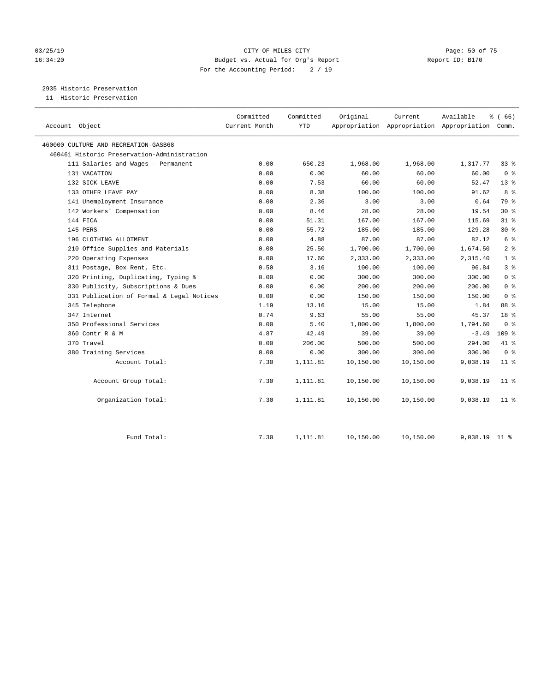#### 03/25/19 Page: 50 of 75 16:34:20 Budget vs. Actual for Org's Report Changer Report ID: B170 For the Accounting Period: 2 / 19

2935 Historic Preservation

11 Historic Preservation

| Account Object                              | Committed<br>Current Month | Committed<br><b>YTD</b> | Original  | Current   | Available<br>Appropriation Appropriation Appropriation Comm. | % (66)           |
|---------------------------------------------|----------------------------|-------------------------|-----------|-----------|--------------------------------------------------------------|------------------|
| 460000 CULTURE AND RECREATION-GASB68        |                            |                         |           |           |                                                              |                  |
| 460461 Historic Preservation-Administration |                            |                         |           |           |                                                              |                  |
| 111 Salaries and Wages - Permanent          | 0.00                       | 650.23                  | 1,968.00  | 1,968.00  | 1,317.77                                                     | 33 %             |
| 131 VACATION                                | 0.00                       | 0.00                    | 60.00     | 60.00     | 60.00                                                        | 0 <sup>8</sup>   |
| 132 SICK LEAVE                              | 0.00                       | 7.53                    | 60.00     | 60.00     | 52.47                                                        | 13 <sup>8</sup>  |
| 133 OTHER LEAVE PAY                         | 0.00                       | 8.38                    | 100.00    | 100.00    | 91.62                                                        | 8 %              |
| 141 Unemployment Insurance                  | 0.00                       | 2.36                    | 3.00      | 3.00      | 0.64                                                         | 79 %             |
| 142 Workers' Compensation                   | 0.00                       | 8.46                    | 28.00     | 28.00     | 19.54                                                        | $30*$            |
| 144 FICA                                    | 0.00                       | 51.31                   | 167.00    | 167.00    | 115.69                                                       | $31$ %           |
| 145 PERS                                    | 0.00                       | 55.72                   | 185.00    | 185.00    | 129.28                                                       | $30*$            |
| 196 CLOTHING ALLOTMENT                      | 0.00                       | 4.88                    | 87.00     | 87.00     | 82.12                                                        | 6 <sup>°</sup>   |
| 210 Office Supplies and Materials           | 0.00                       | 25.50                   | 1,700.00  | 1,700.00  | 1,674.50                                                     | 2 <sup>°</sup>   |
| 220 Operating Expenses                      | 0.00                       | 17.60                   | 2,333.00  | 2,333.00  | 2,315.40                                                     | 1 <sup>8</sup>   |
| 311 Postage, Box Rent, Etc.                 | 0.50                       | 3.16                    | 100.00    | 100.00    | 96.84                                                        | 3 <sup>8</sup>   |
| 320 Printing, Duplicating, Typing &         | 0.00                       | 0.00                    | 300.00    | 300.00    | 300.00                                                       | 0 <sup>8</sup>   |
| 330 Publicity, Subscriptions & Dues         | 0.00                       | 0.00                    | 200.00    | 200.00    | 200.00                                                       | 0 <sup>8</sup>   |
| 331 Publication of Formal & Legal Notices   | 0.00                       | 0.00                    | 150.00    | 150.00    | 150.00                                                       | 0 <sup>8</sup>   |
| 345 Telephone                               | 1.19                       | 13.16                   | 15.00     | 15.00     | 1.84                                                         | 88 %             |
| 347 Internet                                | 0.74                       | 9.63                    | 55.00     | 55.00     | 45.37                                                        | 18 <sup>8</sup>  |
| 350 Professional Services                   | 0.00                       | 5.40                    | 1,800.00  | 1,800.00  | 1,794.60                                                     | 0 <sup>8</sup>   |
| 360 Contr R & M                             | 4.87                       | 42.49                   | 39.00     | 39.00     | $-3.49$                                                      | 109 <sub>8</sub> |
| 370 Travel                                  | 0.00                       | 206.00                  | 500.00    | 500.00    | 294.00                                                       | 41 %             |
| 380 Training Services                       | 0.00                       | 0.00                    | 300.00    | 300.00    | 300.00                                                       | 0 <sup>8</sup>   |
| Account Total:                              | 7.30                       | 1,111.81                | 10,150.00 | 10,150.00 | 9,038.19                                                     | $11*$            |
| Account Group Total:                        | 7.30                       | 1,111.81                | 10,150.00 | 10,150.00 | 9,038.19                                                     | 11 <sup>8</sup>  |
| Organization Total:                         | 7.30                       | 1,111.81                | 10,150.00 | 10,150.00 | 9,038.19                                                     | $11$ %           |
| Fund Total:                                 | 7.30                       | 1,111.81                | 10,150.00 | 10,150.00 | 9,038.19                                                     | 11 <sup>8</sup>  |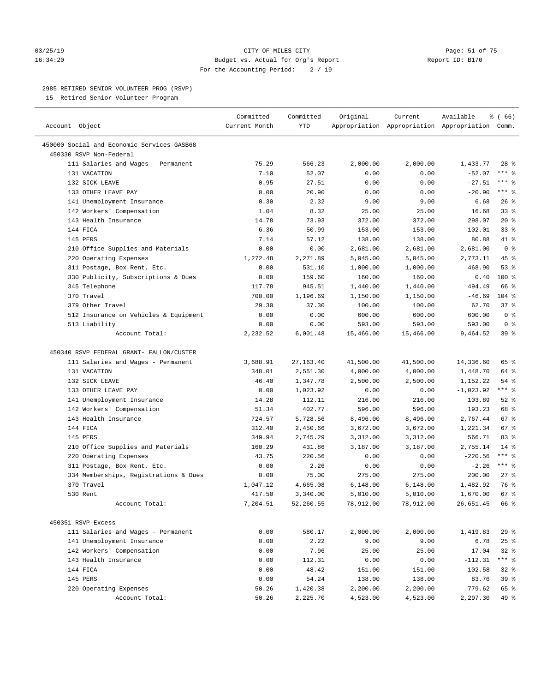#### 03/25/19 Page: 51 of 75 16:34:20 Budget vs. Actual for Org's Report Report ID: B170 For the Accounting Period: 2 / 19

————————————————————————————————————————————————————————————————————————————————————————————————————————————————————————————————————

#### 2985 RETIRED SENIOR VOLUNTEER PROG (RSVP)

15 Retired Senior Volunteer Program

|                                                                       | Committed      | Committed        | Original         | Current          | Available                                       | % (66)             |
|-----------------------------------------------------------------------|----------------|------------------|------------------|------------------|-------------------------------------------------|--------------------|
| Account Object                                                        | Current Month  | <b>YTD</b>       |                  |                  | Appropriation Appropriation Appropriation Comm. |                    |
|                                                                       |                |                  |                  |                  |                                                 |                    |
| 450000 Social and Economic Services-GASB68<br>450330 RSVP Non-Federal |                |                  |                  |                  |                                                 |                    |
| 111 Salaries and Wages - Permanent                                    | 75.29          | 566.23           | 2,000.00         | 2,000.00         |                                                 | $28$ %             |
| 131 VACATION                                                          | 7.10           | 52.07            | 0.00             | 0.00             | 1,433.77<br>$-52.07$                            | *** 응              |
| 132 SICK LEAVE                                                        | 0.95           | 27.51            | 0.00             | 0.00             | $-27.51$                                        | *** 응              |
| 133 OTHER LEAVE PAY                                                   | 0.00           | 20.90            | 0.00             | 0.00             | $-20.90$                                        | $***$ $-$          |
| 141 Unemployment Insurance                                            | 0.30           | 2.32             | 9.00             | 9.00             | 6.68                                            | 26%                |
| 142 Workers' Compensation                                             | 1.04           | 8.32             | 25.00            | 25.00            | 16.68                                           | 33%                |
| 143 Health Insurance                                                  | 14.78          | 73.93            | 372.00           | 372.00           | 298.07                                          | $20*$              |
| 144 FICA                                                              | 6.36           | 50.99            | 153.00           | 153.00           | 102.01                                          | $33$ $%$           |
| 145 PERS                                                              | 7.14           | 57.12            | 138.00           | 138.00           | 80.88                                           | 41 %               |
| 210 Office Supplies and Materials                                     | 0.00           | 0.00             | 2,681.00         | 2,681.00         | 2,681.00                                        | 0 <sup>8</sup>     |
| 220 Operating Expenses                                                | 1,272.48       | 2,271.89         | 5,045.00         | 5,045.00         | 2,773.11                                        | 45 %               |
| 311 Postage, Box Rent, Etc.                                           | 0.00           | 531.10           | 1,000.00         | 1,000.00         | 468.90                                          | 53%                |
| 330 Publicity, Subscriptions & Dues                                   | 0.00           | 159.60           | 160.00           | 160.00           | 0.40                                            | $100*$             |
| 345 Telephone                                                         | 117.78         | 945.51           | 1,440.00         | 1,440.00         | 494.49                                          | 66 %               |
| 370 Travel                                                            | 700.00         | 1,196.69         | 1,150.00         | 1,150.00         | $-46.69$                                        | $104$ %            |
| 379 Other Travel                                                      | 29.30          | 37.30            | 100.00           | 100.00           | 62.70                                           | 37%                |
| 512 Insurance on Vehicles & Equipment                                 | 0.00           | 0.00             | 600.00           | 600.00           | 600.00                                          | 0 <sup>8</sup>     |
| 513 Liability                                                         | 0.00           | 0.00             | 593.00           | 593.00           | 593.00                                          | 0 <sup>8</sup>     |
| Account Total:                                                        | 2,232.52       | 6,001.48         |                  |                  | 9,464.52                                        | 39 %               |
|                                                                       |                |                  | 15,466.00        | 15,466.00        |                                                 |                    |
| 450340 RSVP FEDERAL GRANT- FALLON/CUSTER                              |                |                  |                  |                  |                                                 |                    |
| 111 Salaries and Wages - Permanent                                    | 3,688.91       | 27, 163. 40      | 41,500.00        | 41,500.00        | 14,336.60                                       | 65 %               |
| 131 VACATION                                                          | 348.01         | 2,551.30         | 4,000.00         | 4,000.00         | 1,448.70                                        | 64 %               |
| 132 SICK LEAVE                                                        | 46.40          | 1,347.78         | 2,500.00         |                  |                                                 | $54$ %             |
| 133 OTHER LEAVE PAY                                                   |                | 1,023.92         | 0.00             | 2,500.00         | 1,152.22<br>$-1,023.92$                         | $***$ $_{8}$       |
|                                                                       | 0.00           |                  |                  | 0.00             |                                                 | $52$ $%$           |
| 141 Unemployment Insurance<br>142 Workers' Compensation               | 14.28<br>51.34 | 112.11<br>402.77 | 216.00<br>596.00 | 216.00<br>596.00 | 103.89<br>193.23                                | 68 %               |
| 143 Health Insurance                                                  | 724.57         | 5,728.56         | 8,496.00         | 8,496.00         | 2,767.44                                        | 67 %               |
| 144 FICA                                                              |                |                  |                  |                  | 1,221.34                                        | 67 %               |
| 145 PERS                                                              | 312.40         | 2,450.66         | 3,672.00         | 3,672.00         |                                                 | 83 %               |
|                                                                       | 349.94         | 2,745.29         | 3,312.00         | 3,312.00         | 566.71                                          |                    |
| 210 Office Supplies and Materials                                     | 160.29         | 431.86           | 3,187.00         | 3,187.00         | 2,755.14                                        | $14*$<br>$***$ $-$ |
| 220 Operating Expenses                                                | 43.75          | 220.56           | 0.00             | 0.00             | $-220.56$                                       | $***$ $-$          |
| 311 Postage, Box Rent, Etc.                                           | 0.00           | 2.26             | 0.00             | 0.00             | $-2.26$                                         |                    |
| 334 Memberships, Registrations & Dues<br>370 Travel                   | 0.00           | 75.00            | 275.00           | 275.00           | 200.00                                          | $27$ %             |
|                                                                       | 1,047.12       | 4,665.08         | 6,148.00         | 6,148.00         | 1,482.92                                        | 76 %               |
| 530 Rent                                                              | 417.50         | 3,340.00         | 5,010.00         | 5,010.00         | 1,670.00                                        | 67 %               |
| Account Total:                                                        | 7,204.51       | 52,260.55        | 78,912.00        | 78,912.00        | 26,651.45                                       | 66 %               |
| 450351 RSVP-Excess                                                    |                |                  |                  |                  |                                                 |                    |
| 111 Salaries and Wages - Permanent                                    | 0.00           | 580.17           | 2,000.00         | 2,000.00         | 1,419.83                                        | 29%                |
| 141 Unemployment Insurance                                            | 0.00           | 2.22             | 9.00             | 9.00             | 6.78                                            | 25%                |
| 142 Workers' Compensation                                             | 0.00           | 7.96             | 25.00            | 25.00            | 17.04                                           | $32$ $%$           |
|                                                                       |                |                  |                  |                  |                                                 |                    |
| 143 Health Insurance<br>144 FICA                                      | 0.00           | 112.31           | 0.00             | 0.00             | $-112.31$                                       | *** %<br>$32$ $%$  |
|                                                                       | 0.00           | 48.42            | 151.00           | 151.00           | 102.58                                          |                    |
| 145 PERS                                                              | 0.00           | 54.24            | 138.00           | 138.00           | 83.76                                           | 39 %               |
| 220 Operating Expenses                                                | 50.26          | 1,420.38         | 2,200.00         | 2,200.00         | 779.62                                          | 65 %               |
| Account Total:                                                        | 50.26          | 2,225.70         | 4,523.00         | 4,523.00         | 2,297.30                                        | 49 %               |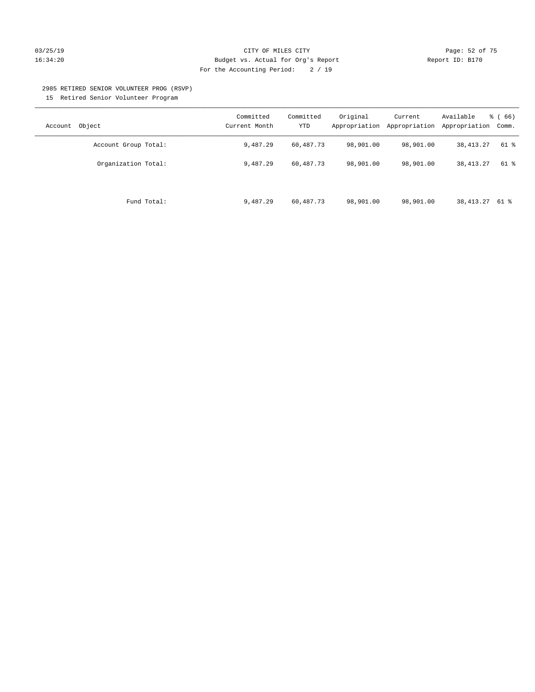#### 03/25/19 Page: 52 of 75 16:34:20 Budget vs. Actual for Org's Report Changer Report ID: B170 For the Accounting Period: 2 / 19

#### 2985 RETIRED SENIOR VOLUNTEER PROG (RSVP)

15 Retired Senior Volunteer Program

| Object<br>Account    | Committed<br>Current Month | Committed<br><b>YTD</b> | Original<br>Appropriation | Current<br>Appropriation | Available<br>Appropriation | % (66)<br>Comm. |
|----------------------|----------------------------|-------------------------|---------------------------|--------------------------|----------------------------|-----------------|
| Account Group Total: | 9,487.29                   | 60,487.73               | 98,901.00                 | 98,901.00                | 38, 413. 27                | 61 %            |
| Organization Total:  | 9,487.29                   | 60,487.73               | 98,901.00                 | 98,901.00                | 38, 413. 27                | 61 %            |
| Fund Total:          | 9,487.29                   | 60,487.73               | 98,901.00                 | 98,901.00                | 38, 413. 27 61 %           |                 |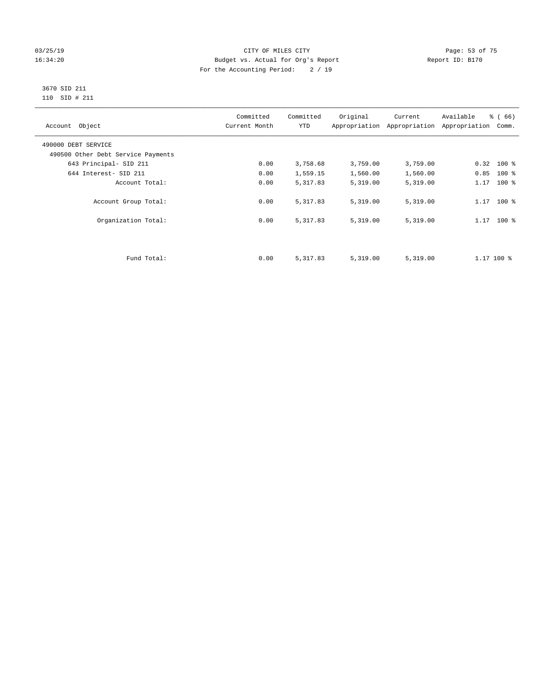#### 03/25/19 Page: 53 of 75 16:34:20 Budget vs. Actual for Org's Report Changer Report ID: B170 For the Accounting Period: 2 / 19

#### 3670 SID 211 110 SID # 211

| Account Object                     | Committed<br>Current Month | Committed<br><b>YTD</b> | Original | Current<br>Appropriation Appropriation | Available<br>Appropriation | % (66)<br>Comm. |
|------------------------------------|----------------------------|-------------------------|----------|----------------------------------------|----------------------------|-----------------|
| 490000 DEBT SERVICE                |                            |                         |          |                                        |                            |                 |
| 490500 Other Debt Service Payments |                            |                         |          |                                        |                            |                 |
| 643 Principal- SID 211             | 0.00                       | 3,758.68                | 3,759.00 | 3,759.00                               | $0.32$ 100 %               |                 |
| 644 Interest- SID 211              | 0.00                       | 1,559.15                | 1,560.00 | 1,560.00                               | 0.85                       | $100*$          |
| Account Total:                     | 0.00                       | 5,317.83                | 5,319.00 | 5,319.00                               | 1.17                       | $100*$          |
| Account Group Total:               | 0.00                       | 5,317.83                | 5,319.00 | 5,319.00                               | $1.17$ 100 %               |                 |
| Organization Total:                | 0.00                       | 5,317.83                | 5,319.00 | 5,319.00                               | $1.17$ 100 %               |                 |
|                                    |                            |                         |          |                                        |                            |                 |
| Fund Total:                        | 0.00                       | 5,317.83                | 5,319.00 | 5,319.00                               | $1.17$ 100 %               |                 |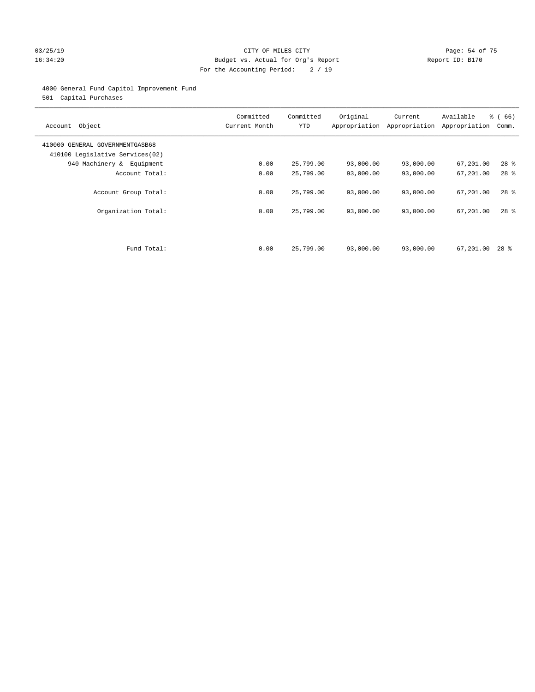#### 03/25/19 Page: 54 of 75 16:34:20 Budget vs. Actual for Org's Report Changer Report ID: B170 For the Accounting Period: 2 / 19

#### 4000 General Fund Capitol Improvement Fund

501 Capital Purchases

| Account Object                                                     | Committed<br>Current Month | Committed<br><b>YTD</b> | Original<br>Appropriation | Current<br>Appropriation | Available<br>Appropriation | % (66)<br>Comm. |
|--------------------------------------------------------------------|----------------------------|-------------------------|---------------------------|--------------------------|----------------------------|-----------------|
| 410000 GENERAL GOVERNMENTGASB68<br>410100 Legislative Services(02) |                            |                         |                           |                          |                            |                 |
| 940 Machinery & Equipment                                          | 0.00                       | 25,799.00               | 93,000.00                 | 93,000.00                | 67,201.00                  | $28$ %          |
| Account Total:                                                     | 0.00                       | 25,799.00               | 93,000.00                 | 93,000.00                | 67,201.00                  | $28$ $%$        |
| Account Group Total:                                               | 0.00                       | 25,799.00               | 93,000.00                 | 93,000.00                | 67,201.00                  | $28$ %          |
| Organization Total:                                                | 0.00                       | 25,799.00               | 93,000.00                 | 93,000.00                | 67,201.00                  | $28$ %          |
|                                                                    |                            |                         |                           |                          |                            |                 |
| Fund Total:                                                        | 0.00                       | 25,799.00               | 93,000.00                 | 93,000.00                | 67,201.00                  | $28$ %          |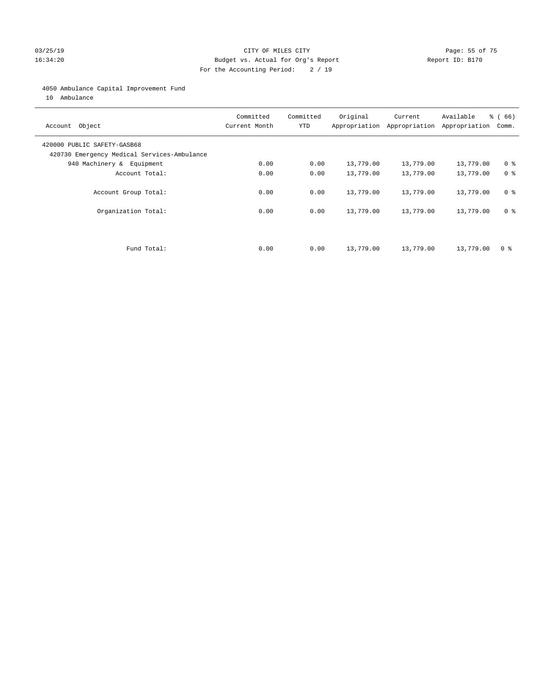#### 03/25/19 Page: 55 of 75 16:34:20 Budget vs. Actual for Org's Report Changer Report ID: B170 For the Accounting Period: 2 / 19

#### 4050 Ambulance Capital Improvement Fund

10 Ambulance

| Account Object                                                             | Committed<br>Current Month | Committed<br><b>YTD</b> | Original  | Current<br>Appropriation Appropriation | Available<br>Appropriation | % (66)<br>Comm. |
|----------------------------------------------------------------------------|----------------------------|-------------------------|-----------|----------------------------------------|----------------------------|-----------------|
| 420000 PUBLIC SAFETY-GASB68<br>420730 Emergency Medical Services-Ambulance |                            |                         |           |                                        |                            |                 |
| 940 Machinery & Equipment                                                  | 0.00                       | 0.00                    | 13,779.00 | 13,779.00                              | 13,779.00                  | 0 <sup>8</sup>  |
| Account Total:                                                             | 0.00                       | 0.00                    | 13,779.00 | 13,779.00                              | 13,779.00                  | 0 <sup>8</sup>  |
| Account Group Total:                                                       | 0.00                       | 0.00                    | 13,779.00 | 13,779.00                              | 13,779.00                  | 0 <sup>8</sup>  |
| Organization Total:                                                        | 0.00                       | 0.00                    | 13,779.00 | 13,779.00                              | 13,779.00                  | 0 <sup>8</sup>  |
|                                                                            |                            |                         |           |                                        |                            |                 |
| Fund Total:                                                                | 0.00                       | 0.00                    | 13,779.00 | 13,779.00                              | 13,779.00                  | 0 %             |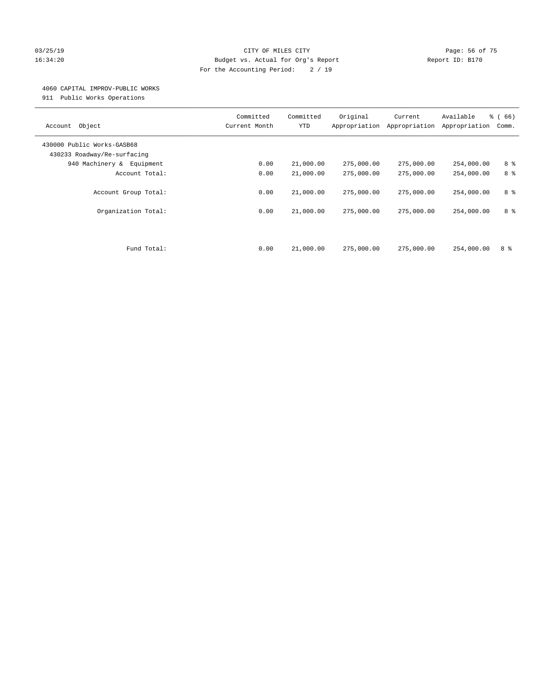#### 03/25/19 Page: 56 of 75 16:34:20 Budget vs. Actual for Org's Report Changer Report ID: B170 For the Accounting Period: 2 / 19

#### 4060 CAPITAL IMPROV-PUBLIC WORKS

911 Public Works Operations

| Object<br>Account                                         | Committed<br>Current Month | Committed<br><b>YTD</b> | Original<br>Appropriation | Current<br>Appropriation | Available<br>Appropriation | % (66)<br>Comm. |
|-----------------------------------------------------------|----------------------------|-------------------------|---------------------------|--------------------------|----------------------------|-----------------|
| 430000 Public Works-GASB68<br>430233 Roadway/Re-surfacing |                            |                         |                           |                          |                            |                 |
| 940 Machinery &<br>Equipment                              | 0.00                       | 21,000.00               | 275,000.00                | 275,000.00               | 254,000.00                 | 8 %             |
| Account Total:                                            | 0.00                       | 21,000.00               | 275,000.00                | 275,000.00               | 254,000.00                 | 8 %             |
| Account Group Total:                                      | 0.00                       | 21,000.00               | 275,000.00                | 275,000.00               | 254,000.00                 | 8 %             |
| Organization Total:                                       | 0.00                       | 21,000.00               | 275,000.00                | 275,000.00               | 254,000.00                 | 8 %             |
| Fund Total:                                               | 0.00                       | 21,000.00               | 275,000.00                | 275,000.00               | 254,000.00                 | 8 %             |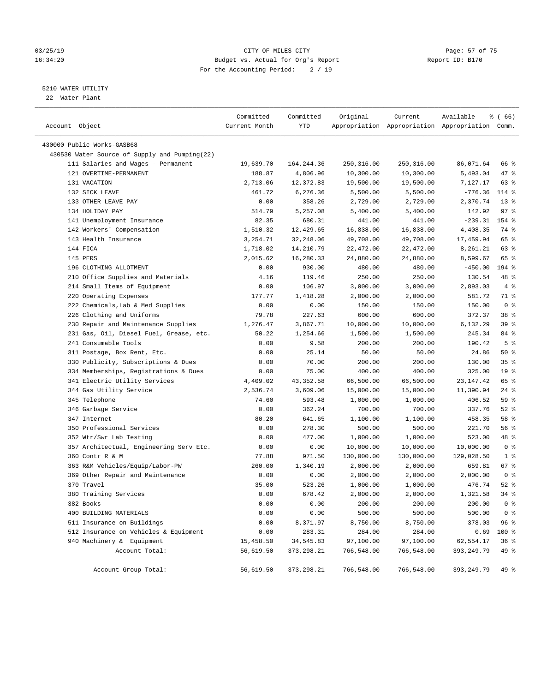#### 03/25/19 Page: 57 of 75 16:34:20 Budget vs. Actual for Org's Report Changer Report ID: B170 For the Accounting Period: 2 / 19

————————————————————————————————————————————————————————————————————————————————————————————————————————————————————————————————————

#### 5210 WATER UTILITY

22 Water Plant

| Account Object                                | Committed<br>Current Month | Committed<br>YTD | Original   | Current     | Available<br>Appropriation Appropriation Appropriation Comm. | % (66)          |
|-----------------------------------------------|----------------------------|------------------|------------|-------------|--------------------------------------------------------------|-----------------|
| 430000 Public Works-GASB68                    |                            |                  |            |             |                                                              |                 |
| 430530 Water Source of Supply and Pumping(22) |                            |                  |            |             |                                                              |                 |
| 111 Salaries and Wages - Permanent            | 19,639.70                  | 164,244.36       | 250,316.00 | 250, 316.00 | 86,071.64                                                    | 66 %            |
| 121 OVERTIME-PERMANENT                        | 188.87                     | 4,806.96         | 10,300.00  | 10,300.00   | 5,493.04                                                     | 47%             |
| 131 VACATION                                  | 2,713.06                   | 12,372.83        | 19,500.00  | 19,500.00   | 7,127.17                                                     | 63%             |
| 132 SICK LEAVE                                | 461.72                     | 6,276.36         | 5,500.00   | 5,500.00    | $-776.36$                                                    | $114$ %         |
| 133 OTHER LEAVE PAY                           | 0.00                       | 358.26           | 2,729.00   | 2,729.00    | 2,370.74                                                     | $13*$           |
| 134 HOLIDAY PAY                               | 514.79                     | 5,257.08         | 5,400.00   | 5,400.00    | 142.92                                                       | 97%             |
| 141 Unemployment Insurance                    | 82.35                      | 680.31           | 441.00     | 441.00      | $-239.31$                                                    | 154 %           |
| 142 Workers' Compensation                     | 1,510.32                   | 12,429.65        | 16,838.00  | 16,838.00   | 4,408.35                                                     | 74 %            |
| 143 Health Insurance                          | 3,254.71                   | 32,248.06        | 49,708.00  | 49,708.00   | 17,459.94                                                    | 65 %            |
| 144 FICA                                      | 1,718.02                   | 14,210.79        | 22,472.00  | 22,472.00   | 8,261.21                                                     | 63 %            |
| 145 PERS                                      | 2,015.62                   | 16,280.33        | 24,880.00  | 24,880.00   | 8,599.67                                                     | 65 %            |
| 196 CLOTHING ALLOTMENT                        | 0.00                       | 930.00           | 480.00     | 480.00      | $-450.00$                                                    | 194 %           |
| 210 Office Supplies and Materials             | 4.16                       | 119.46           | 250.00     | 250.00      | 130.54                                                       | 48 %            |
| 214 Small Items of Equipment                  | 0.00                       | 106.97           | 3,000.00   | 3,000.00    | 2,893.03                                                     | 4%              |
| 220 Operating Expenses                        | 177.77                     | 1,418.28         | 2,000.00   | 2,000.00    | 581.72                                                       | 71 %            |
| 222 Chemicals, Lab & Med Supplies             | 0.00                       | 0.00             | 150.00     | 150.00      | 150.00                                                       | 0 <sup>8</sup>  |
| 226 Clothing and Uniforms                     | 79.78                      | 227.63           | 600.00     | 600.00      | 372.37                                                       | 38 %            |
| 230 Repair and Maintenance Supplies           | 1,276.47                   | 3,867.71         | 10,000.00  | 10,000.00   | 6,132.29                                                     | 39 %            |
| 231 Gas, Oil, Diesel Fuel, Grease, etc.       | 50.22                      | 1,254.66         | 1,500.00   | 1,500.00    | 245.34                                                       | 84 %            |
| 241 Consumable Tools                          | 0.00                       | 9.58             | 200.00     | 200.00      | 190.42                                                       | 5 <sup>8</sup>  |
| 311 Postage, Box Rent, Etc.                   | 0.00                       | 25.14            | 50.00      | 50.00       | 24.86                                                        | 50%             |
| 330 Publicity, Subscriptions & Dues           | 0.00                       | 70.00            | 200.00     | 200.00      | 130.00                                                       | 35%             |
| 334 Memberships, Registrations & Dues         | 0.00                       | 75.00            | 400.00     | 400.00      | 325.00                                                       | 19 <sup>°</sup> |
| 341 Electric Utility Services                 | 4,409.02                   | 43, 352.58       | 66,500.00  | 66,500.00   | 23, 147. 42                                                  | 65 %            |
| 344 Gas Utility Service                       | 2,536.74                   | 3,609.06         | 15,000.00  | 15,000.00   | 11,390.94                                                    | $24$ %          |
| 345 Telephone                                 | 74.60                      | 593.48           | 1,000.00   | 1,000.00    | 406.52                                                       | 59 %            |
| 346 Garbage Service                           | 0.00                       | 362.24           | 700.00     | 700.00      | 337.76                                                       | $52$ $%$        |
| 347 Internet                                  | 80.20                      | 641.65           | 1,100.00   | 1,100.00    | 458.35                                                       | 58 %            |
| 350 Professional Services                     | 0.00                       | 278.30           | 500.00     | 500.00      | 221.70                                                       | 56 %            |
| 352 Wtr/Swr Lab Testing                       | 0.00                       | 477.00           | 1,000.00   | 1,000.00    | 523.00                                                       | 48 %            |
| 357 Architectual, Engineering Serv Etc.       | 0.00                       | 0.00             | 10,000.00  | 10,000.00   | 10,000.00                                                    | 0 <sup>8</sup>  |
| 360 Contr R & M                               | 77.88                      | 971.50           | 130,000.00 | 130,000.00  | 129,028.50                                                   | 1 <sup>8</sup>  |
| 363 R&M Vehicles/Equip/Labor-PW               | 260.00                     | 1,340.19         | 2,000.00   | 2,000.00    | 659.81                                                       | 67%             |
| 369 Other Repair and Maintenance              | 0.00                       | 0.00             | 2,000.00   | 2,000.00    | 2,000.00                                                     | 0 <sup>8</sup>  |
| 370 Travel                                    | 35.00                      | 523.26           | 1,000.00   | 1,000.00    | 476.74                                                       | $52$ $%$        |
| 380 Training Services                         | 0.00                       | 678.42           | 2,000.00   | 2,000.00    | 1,321.58                                                     | $34$ $%$        |
| 382 Books                                     | 0.00                       | 0.00             | 200.00     | 200.00      | 200.00                                                       | 0 <sup>8</sup>  |
| 400 BUILDING MATERIALS                        | 0.00                       | 0.00             | 500.00     | 500.00      | 500.00                                                       | 0 <sup>8</sup>  |
| 511 Insurance on Buildings                    | 0.00                       | 8,371.97         | 8,750.00   | 8,750.00    | 378.03                                                       | 96 %            |
| 512 Insurance on Vehicles & Equipment         | 0.00                       | 283.31           | 284.00     | 284.00      | 0.69                                                         | 100 %           |
| 940 Machinery & Equipment                     | 15,458.50                  | 34,545.83        | 97,100.00  | 97,100.00   | 62,554.17                                                    | 36%             |
| Account Total:                                | 56,619.50                  | 373, 298.21      | 766,548.00 | 766,548.00  | 393, 249.79                                                  | 49 %            |
| Account Group Total:                          | 56,619.50                  | 373, 298.21      | 766,548.00 | 766,548.00  | 393,249.79                                                   | 49 %            |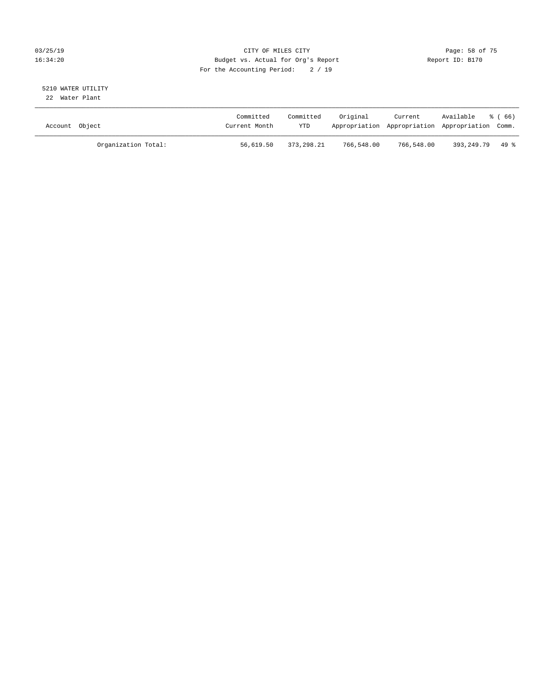#### 03/25/19 Page: 58 of 75 16:34:20 Budget vs. Actual for Org's Report Changer Report ID: B170 For the Accounting Period: 2 / 19

#### 5210 WATER UTILITY 22 Water Plant

| Account Object |                     | Committed<br>Current Month | Committed<br><b>YTD</b> | Original   | Current    | Available<br>Appropriation Appropriation Appropriation Comm. | ී ( 66 ) |
|----------------|---------------------|----------------------------|-------------------------|------------|------------|--------------------------------------------------------------|----------|
|                | Organization Total: | 56,619.50                  | 373,298.21              | 766,548.00 | 766,548.00 | 393.249.79 49 %                                              |          |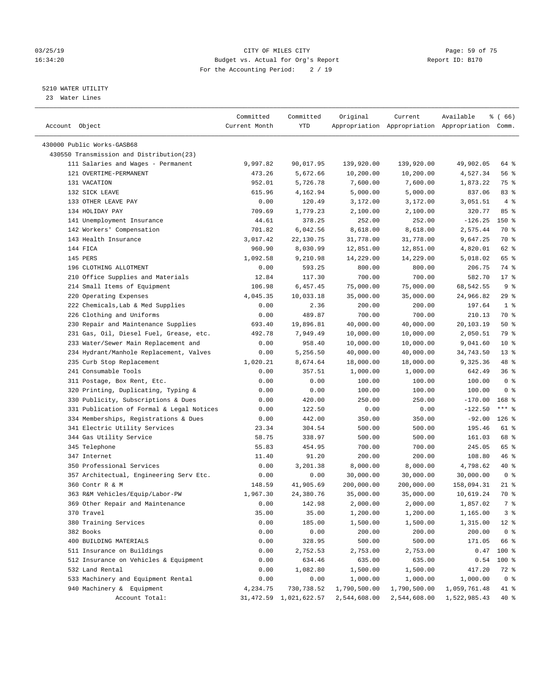#### 03/25/19 Page: 59 of 75 16:34:20 Budget vs. Actual for Org's Report Changer Report ID: B170 For the Accounting Period: 2 / 19

————————————————————————————————————————————————————————————————————————————————————————————————————————————————————————————————————

#### 5210 WATER UTILITY

23 Water Lines

|                                           | Committed     | Committed                 | Original     | Current      | Available                                       | ៖ (66)         |
|-------------------------------------------|---------------|---------------------------|--------------|--------------|-------------------------------------------------|----------------|
| Account Object                            | Current Month | YTD                       |              |              | Appropriation Appropriation Appropriation Comm. |                |
|                                           |               |                           |              |              |                                                 |                |
| 430000 Public Works-GASB68                |               |                           |              |              |                                                 |                |
| 430550 Transmission and Distribution(23)  |               |                           |              |              |                                                 |                |
| 111 Salaries and Wages - Permanent        | 9,997.82      | 90,017.95                 | 139,920.00   | 139,920.00   | 49,902.05                                       | 64 %           |
| 121 OVERTIME-PERMANENT                    | 473.26        | 5,672.66                  | 10,200.00    | 10,200.00    | 4,527.34                                        | 56 %           |
| 131 VACATION                              | 952.01        | 5,726.78                  | 7,600.00     | 7,600.00     | 1,873.22                                        | 75 %           |
| 132 SICK LEAVE                            | 615.96        | 4,162.94                  | 5,000.00     | 5,000.00     | 837.06                                          | 83%            |
| 133 OTHER LEAVE PAY                       | 0.00          | 120.49                    | 3,172.00     | 3,172.00     | 3,051.51                                        | 4%             |
| 134 HOLIDAY PAY                           | 709.69        | 1,779.23                  | 2,100.00     | 2,100.00     | 320.77                                          | 85%            |
| 141 Unemployment Insurance                | 44.61         | 378.25                    | 252.00       | 252.00       | $-126.25$                                       | 150 %          |
| 142 Workers' Compensation                 | 701.82        | 6,042.56                  | 8,618.00     | 8,618.00     | 2,575.44                                        | 70 %           |
| 143 Health Insurance                      | 3,017.42      | 22,130.75                 | 31,778.00    | 31,778.00    | 9,647.25                                        | 70 %           |
| 144 FICA                                  | 960.90        | 8,030.99                  | 12,851.00    | 12,851.00    | 4,820.01                                        | 62 %           |
| 145 PERS                                  | 1,092.58      | 9,210.98                  | 14,229.00    | 14,229.00    | 5,018.02                                        | 65 %           |
| 196 CLOTHING ALLOTMENT                    | 0.00          | 593.25                    | 800.00       | 800.00       | 206.75                                          | 74 %           |
| 210 Office Supplies and Materials         | 12.84         | 117.30                    | 700.00       | 700.00       | 582.70                                          | $17*$          |
| 214 Small Items of Equipment              | 106.98        | 6,457.45                  | 75,000.00    | 75,000.00    | 68,542.55                                       | 9 <sub>8</sub> |
| 220 Operating Expenses                    | 4,045.35      | 10,033.18                 | 35,000.00    | 35,000.00    | 24,966.82                                       | 29%            |
| 222 Chemicals, Lab & Med Supplies         | 0.00          | 2.36                      | 200.00       | 200.00       | 197.64                                          | 1 <sup>8</sup> |
| 226 Clothing and Uniforms                 | 0.00          | 489.87                    | 700.00       | 700.00       | 210.13                                          | 70 %           |
| 230 Repair and Maintenance Supplies       | 693.40        | 19,896.81                 | 40,000.00    | 40,000.00    | 20,103.19                                       | 50%            |
| 231 Gas, Oil, Diesel Fuel, Grease, etc.   | 492.78        | 7,949.49                  | 10,000.00    | 10,000.00    | 2,050.51                                        | 79 %           |
| 233 Water/Sewer Main Replacement and      | 0.00          | 958.40                    | 10,000.00    | 10,000.00    | 9,041.60                                        | $10*$          |
| 234 Hydrant/Manhole Replacement, Valves   | 0.00          | 5,256.50                  | 40,000.00    | 40,000.00    | 34,743.50                                       | $13*$          |
| 235 Curb Stop Replacement                 | 1,020.21      | 8,674.64                  | 18,000.00    | 18,000.00    | 9,325.36                                        | 48 %           |
| 241 Consumable Tools                      | 0.00          | 357.51                    | 1,000.00     | 1,000.00     | 642.49                                          | 36%            |
| 311 Postage, Box Rent, Etc.               | 0.00          | 0.00                      | 100.00       | 100.00       | 100.00                                          | 0 <sup>8</sup> |
| 320 Printing, Duplicating, Typing &       | 0.00          | 0.00                      | 100.00       | 100.00       | 100.00                                          | 0 <sup>8</sup> |
| 330 Publicity, Subscriptions & Dues       | 0.00          | 420.00                    | 250.00       | 250.00       | $-170.00$                                       | $168$ %        |
| 331 Publication of Formal & Legal Notices | 0.00          | 122.50                    | 0.00         | 0.00         | $-122.50$                                       | $***$ $_{8}$   |
| 334 Memberships, Registrations & Dues     | 0.00          | 442.00                    | 350.00       | 350.00       | $-92.00$                                        | $126$ %        |
| 341 Electric Utility Services             | 23.34         | 304.54                    | 500.00       | 500.00       | 195.46                                          | 61 %           |
| 344 Gas Utility Service                   | 58.75         | 338.97                    | 500.00       | 500.00       | 161.03                                          | 68 %           |
| 345 Telephone                             | 55.83         | 454.95                    | 700.00       | 700.00       | 245.05                                          | 65 %           |
| 347 Internet                              | 11.40         | 91.20                     | 200.00       | 200.00       | 108.80                                          | 46 %           |
| 350 Professional Services                 | 0.00          | 3,201.38                  | 8,000.00     | 8,000.00     | 4,798.62                                        | 40 %           |
| 357 Architectual, Engineering Serv Etc.   | 0.00          | 0.00                      | 30,000.00    | 30,000.00    | 30,000.00                                       | 0 <sup>8</sup> |
| 360 Contr R & M                           | 148.59        | 41,905.69                 | 200,000.00   | 200,000.00   | 158,094.31                                      | $21$ %         |
| 363 R&M Vehicles/Equip/Labor-PW           | 1,967.30      | 24,380.76                 | 35,000.00    | 35,000.00    | 10,619.24                                       | 70 %           |
| 369 Other Repair and Maintenance          | 0.00          | 142.98                    | 2,000.00     | 2,000.00     | 1,857.02                                        | 7 %            |
| 370 Travel                                | 35.00         | 35.00                     | 1,200.00     | 1,200.00     | 1,165.00                                        | 3%             |
| 380 Training Services                     | 0.00          | 185.00                    | 1,500.00     | 1,500.00     | 1,315.00                                        | $12*$          |
| 382 Books                                 | 0.00          | 0.00                      | 200.00       | 200.00       | 200.00                                          | 0 <sup>8</sup> |
| 400 BUILDING MATERIALS                    | 0.00          | 328.95                    | 500.00       | 500.00       | 171.05                                          | 66 %           |
| 511 Insurance on Buildings                | 0.00          | 2,752.53                  | 2,753.00     | 2,753.00     | 0.47                                            | 100 %          |
| 512 Insurance on Vehicles & Equipment     | 0.00          | 634.46                    | 635.00       | 635.00       | 0.54                                            | 100 %          |
| 532 Land Rental                           | 0.00          | 1,082.80                  | 1,500.00     | 1,500.00     | 417.20                                          | 72 %           |
| 533 Machinery and Equipment Rental        | 0.00          | 0.00                      | 1,000.00     | 1,000.00     | 1,000.00                                        | 0 <sup>8</sup> |
| 940 Machinery & Equipment                 | 4,234.75      | 730,738.52                | 1,790,500.00 | 1,790,500.00 | 1,059,761.48                                    | 41 %           |
| Account Total:                            |               | 31, 472.59 1, 021, 622.57 | 2,544,608.00 | 2,544,608.00 | 1,522,985.43                                    | 40 %           |
|                                           |               |                           |              |              |                                                 |                |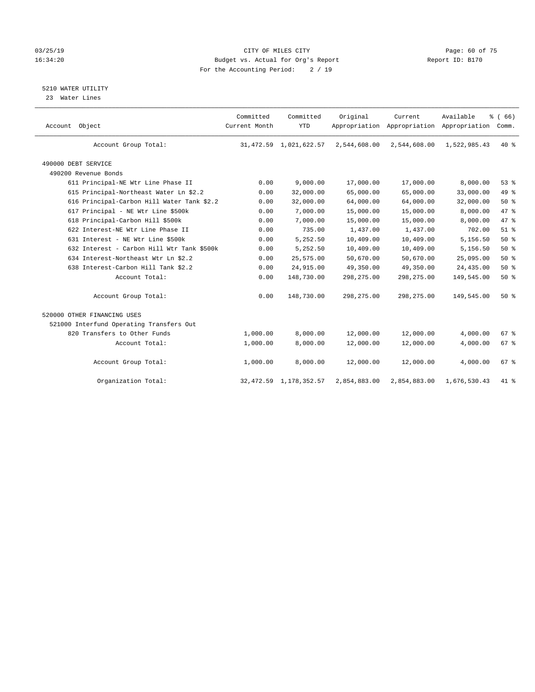#### 03/25/19 Page: 60 of 75 16:34:20 Budget vs. Actual for Org's Report Changer Report ID: B170 For the Accounting Period: 2 / 19

5210 WATER UTILITY

23 Water Lines

| Account Object                             | Committed<br>Current Month | Committed<br><b>YTD</b>   | Original     | Current<br>Appropriation Appropriation Appropriation | Available    | % (66)<br>Comm. |  |
|--------------------------------------------|----------------------------|---------------------------|--------------|------------------------------------------------------|--------------|-----------------|--|
| Account Group Total:                       |                            | 31, 472.59 1, 021, 622.57 | 2,544,608.00 | 2,544,608.00                                         | 1,522,985.43 | $40*$           |  |
| 490000 DEBT SERVICE                        |                            |                           |              |                                                      |              |                 |  |
| 490200 Revenue Bonds                       |                            |                           |              |                                                      |              |                 |  |
| 611 Principal-NE Wtr Line Phase II         | 0.00                       | 9,000.00                  | 17,000.00    | 17,000.00                                            | 8,000.00     | 53%             |  |
| 615 Principal-Northeast Water Ln \$2.2     | 0.00                       | 32,000.00                 | 65,000.00    | 65,000.00                                            | 33,000.00    | 49 %            |  |
| 616 Principal-Carbon Hill Water Tank \$2.2 | 0.00                       | 32,000.00                 | 64,000.00    | 64,000.00                                            | 32,000.00    | 50%             |  |
| 617 Principal - NE Wtr Line \$500k         | 0.00                       | 7,000.00                  | 15,000.00    | 15,000.00                                            | 8,000.00     | 47.8            |  |
| 618 Principal-Carbon Hill \$500k           | 0.00                       | 7,000.00                  | 15,000.00    | 15,000.00                                            | 8,000.00     | 47 %            |  |
| 622 Interest-NE Wtr Line Phase II          | 0.00                       | 735.00                    | 1,437.00     | 1,437.00                                             | 702.00       | $51$ $%$        |  |
| 631 Interest - NE Wtr Line \$500k          | 0.00                       | 5,252.50                  | 10,409.00    | 10,409.00                                            | 5,156.50     | 50%             |  |
| 632 Interest - Carbon Hill Wtr Tank \$500k | 0.00                       | 5,252.50                  | 10,409.00    | 10,409.00                                            | 5,156.50     | 50%             |  |
| 634 Interest-Northeast Wtr Ln \$2.2        | 0.00                       | 25,575.00                 | 50,670.00    | 50,670.00                                            | 25,095.00    | 50%             |  |
| 638 Interest-Carbon Hill Tank \$2.2        | 0.00                       | 24,915.00                 | 49,350.00    | 49,350.00                                            | 24,435.00    | 50%             |  |
| Account Total:                             | 0.00                       | 148,730.00                | 298, 275.00  | 298,275.00                                           | 149,545.00   | 50%             |  |
| Account Group Total:                       | 0.00                       | 148,730.00                | 298, 275.00  | 298, 275.00                                          | 149,545.00   | 50%             |  |
| 520000 OTHER FINANCING USES                |                            |                           |              |                                                      |              |                 |  |
| 521000 Interfund Operating Transfers Out   |                            |                           |              |                                                      |              |                 |  |
| 820 Transfers to Other Funds               | 1,000.00                   | 8,000.00                  | 12,000.00    | 12,000.00                                            | 4,000.00     | 67 <sup>8</sup> |  |
| Account Total:                             | 1,000.00                   | 8,000.00                  | 12,000.00    | 12,000.00                                            | 4,000.00     | 67 %            |  |
| Account Group Total:                       | 1,000.00                   | 8,000.00                  | 12,000.00    | 12,000.00                                            | 4,000.00     | 67 <sup>8</sup> |  |
| Organization Total:                        |                            | 32, 472.59 1, 178, 352.57 | 2,854,883.00 | 2,854,883.00                                         | 1,676,530.43 | $41*$           |  |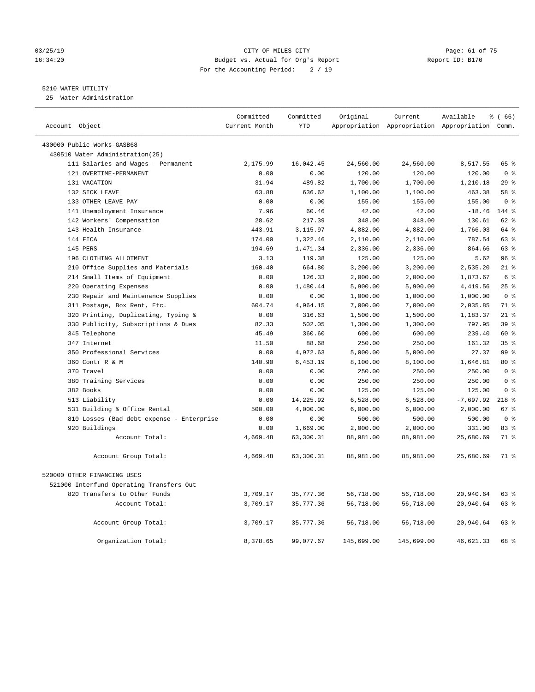#### 03/25/19 Page: 61 of 75 16:34:20 Budget vs. Actual for Org's Report Report ID: B170 For the Accounting Period: 2 / 19

#### 5210 WATER UTILITY

25 Water Administration

| Account Object                            | Committed<br>Current Month | Committed<br><b>YTD</b> | Original   | Current    | Available<br>Appropriation Appropriation Appropriation Comm. | 8 (66)          |
|-------------------------------------------|----------------------------|-------------------------|------------|------------|--------------------------------------------------------------|-----------------|
| 430000 Public Works-GASB68                |                            |                         |            |            |                                                              |                 |
| 430510 Water Administration(25)           |                            |                         |            |            |                                                              |                 |
| 111 Salaries and Wages - Permanent        | 2,175.99                   | 16,042.45               | 24,560.00  | 24,560.00  | 8,517.55                                                     | 65 %            |
| 121 OVERTIME-PERMANENT                    | 0.00                       | 0.00                    | 120.00     | 120.00     | 120.00                                                       | 0 <sup>8</sup>  |
| 131 VACATION                              | 31.94                      | 489.82                  | 1,700.00   | 1,700.00   | 1,210.18                                                     | 29%             |
| 132 SICK LEAVE                            | 63.88                      | 636.62                  | 1,100.00   | 1,100.00   | 463.38                                                       | 58 %            |
| 133 OTHER LEAVE PAY                       | 0.00                       | 0.00                    | 155.00     | 155.00     | 155.00                                                       | 0 <sup>8</sup>  |
| 141 Unemployment Insurance                | 7.96                       | 60.46                   | 42.00      | 42.00      | $-18.46$                                                     | 144 %           |
| 142 Workers' Compensation                 | 28.62                      | 217.39                  | 348.00     | 348.00     | 130.61                                                       | $62$ $%$        |
| 143 Health Insurance                      | 443.91                     | 3,115.97                | 4,882.00   | 4,882.00   | 1,766.03                                                     | 64 %            |
| 144 FICA                                  | 174.00                     | 1,322.46                | 2,110.00   | 2,110.00   | 787.54                                                       | 63%             |
| 145 PERS                                  | 194.69                     | 1,471.34                | 2,336.00   | 2,336.00   | 864.66                                                       | 63 %            |
| 196 CLOTHING ALLOTMENT                    | 3.13                       | 119.38                  | 125.00     | 125.00     | 5.62                                                         | 96%             |
| 210 Office Supplies and Materials         | 160.40                     | 664.80                  | 3,200.00   | 3,200.00   | 2,535.20                                                     | $21$ %          |
| 214 Small Items of Equipment              | 0.00                       | 126.33                  | 2,000.00   | 2,000.00   | 1,873.67                                                     | 6 %             |
| 220 Operating Expenses                    | 0.00                       | 1,480.44                | 5,900.00   | 5,900.00   | 4,419.56                                                     | $25$ %          |
| 230 Repair and Maintenance Supplies       | 0.00                       | 0.00                    | 1,000.00   | 1,000.00   | 1,000.00                                                     | 0 <sup>8</sup>  |
| 311 Postage, Box Rent, Etc.               | 604.74                     | 4,964.15                | 7,000.00   | 7,000.00   | 2,035.85                                                     | 71 %            |
| 320 Printing, Duplicating, Typing &       | 0.00                       | 316.63                  | 1,500.00   | 1,500.00   | 1,183.37                                                     | $21*$           |
| 330 Publicity, Subscriptions & Dues       | 82.33                      | 502.05                  | 1,300.00   | 1,300.00   | 797.95                                                       | 39 <sup>8</sup> |
| 345 Telephone                             | 45.49                      | 360.60                  | 600.00     | 600.00     | 239.40                                                       | 60 %            |
| 347 Internet                              | 11.50                      | 88.68                   | 250.00     | 250.00     | 161.32                                                       | 35%             |
| 350 Professional Services                 | 0.00                       | 4,972.63                | 5,000.00   | 5,000.00   | 27.37                                                        | 99 <sub>8</sub> |
| 360 Contr R & M                           | 140.90                     | 6,453.19                | 8,100.00   | 8,100.00   | 1,646.81                                                     | $80*$           |
| 370 Travel                                | 0.00                       | 0.00                    | 250.00     | 250.00     | 250.00                                                       | 0 <sup>8</sup>  |
| 380 Training Services                     | 0.00                       | 0.00                    | 250.00     | 250.00     | 250.00                                                       | 0 <sup>8</sup>  |
| 382 Books                                 | 0.00                       | 0.00                    | 125.00     | 125.00     | 125.00                                                       | 0 <sup>8</sup>  |
| 513 Liability                             | 0.00                       | 14,225.92               | 6,528.00   | 6,528.00   | $-7,697.92$                                                  | $218$ %         |
| 531 Building & Office Rental              | 500.00                     | 4,000.00                | 6,000.00   | 6,000.00   | 2,000.00                                                     | 67 <sup>8</sup> |
| 810 Losses (Bad debt expense - Enterprise | 0.00                       | 0.00                    | 500.00     | 500.00     | 500.00                                                       | 0 <sup>8</sup>  |
| 920 Buildings                             | 0.00                       | 1,669.00                | 2,000.00   | 2,000.00   | 331.00                                                       | 83 %            |
| Account Total:                            | 4,669.48                   | 63,300.31               | 88,981.00  | 88,981.00  | 25,680.69                                                    | 71 %            |
| Account Group Total:                      | 4,669.48                   | 63,300.31               | 88,981.00  | 88,981.00  | 25,680.69                                                    | 71 %            |
| 520000 OTHER FINANCING USES               |                            |                         |            |            |                                                              |                 |
| 521000 Interfund Operating Transfers Out  |                            |                         |            |            |                                                              |                 |
| 820 Transfers to Other Funds              | 3,709.17                   | 35,777.36               | 56,718.00  | 56,718.00  | 20,940.64                                                    | 63 %            |
| Account Total:                            | 3,709.17                   | 35,777.36               | 56,718.00  | 56,718.00  | 20,940.64                                                    | 63%             |
| Account Group Total:                      | 3,709.17                   | 35,777.36               | 56,718.00  | 56,718.00  | 20,940.64                                                    | 63 %            |
| Organization Total:                       | 8,378.65                   | 99,077.67               | 145,699.00 | 145,699.00 | 46,621.33                                                    | 68 %            |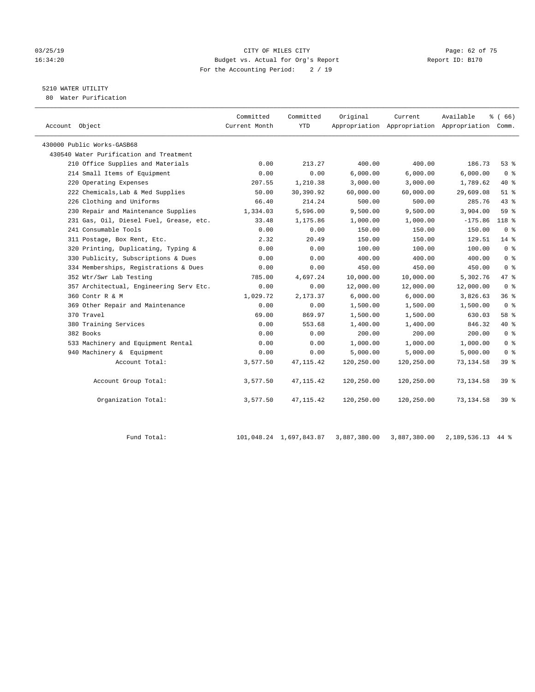#### 03/25/19 Page: 62 of 75 16:34:20 Budget vs. Actual for Org's Report Report ID: B170 For the Accounting Period: 2 / 19

## 5210 WATER UTILITY

80 Water Purification

|                                         | Committed     | Committed  | Original   | Current    | Available                                       | % (66)         |
|-----------------------------------------|---------------|------------|------------|------------|-------------------------------------------------|----------------|
| Account Object                          | Current Month | YTD        |            |            | Appropriation Appropriation Appropriation Comm. |                |
| 430000 Public Works-GASB68              |               |            |            |            |                                                 |                |
| 430540 Water Purification and Treatment |               |            |            |            |                                                 |                |
| 210 Office Supplies and Materials       | 0.00          | 213.27     | 400.00     | 400.00     | 186.73                                          | 53%            |
| 214 Small Items of Equipment            | 0.00          | 0.00       | 6,000.00   | 6,000.00   | 6,000.00                                        | 0 <sup>8</sup> |
| 220 Operating Expenses                  | 207.55        | 1,210.38   | 3,000.00   | 3,000.00   | 1,789.62                                        | $40*$          |
| 222 Chemicals, Lab & Med Supplies       | 50.00         | 30,390.92  | 60,000.00  | 60,000.00  | 29,609.08                                       | $51$ %         |
| 226 Clothing and Uniforms               | 66.40         | 214.24     | 500.00     | 500.00     | 285.76                                          | 43.8           |
| 230 Repair and Maintenance Supplies     | 1,334.03      | 5,596.00   | 9,500.00   | 9,500.00   | 3,904.00                                        | 59%            |
| 231 Gas, Oil, Diesel Fuel, Grease, etc. | 33.48         | 1,175.86   | 1,000.00   | 1,000.00   | $-175.86$                                       | 118 %          |
| 241 Consumable Tools                    | 0.00          | 0.00       | 150.00     | 150.00     | 150.00                                          | 0 <sup>8</sup> |
| 311 Postage, Box Rent, Etc.             | 2.32          | 20.49      | 150.00     | 150.00     | 129.51                                          | 14 %           |
| 320 Printing, Duplicating, Typing &     | 0.00          | 0.00       | 100.00     | 100.00     | 100.00                                          | 0 <sup>8</sup> |
| 330 Publicity, Subscriptions & Dues     | 0.00          | 0.00       | 400.00     | 400.00     | 400.00                                          | 0 <sup>8</sup> |
| 334 Memberships, Registrations & Dues   | 0.00          | 0.00       | 450.00     | 450.00     | 450.00                                          | 0 <sup>8</sup> |
| 352 Wtr/Swr Lab Testing                 | 785.00        | 4,697.24   | 10,000.00  | 10,000.00  | 5,302.76                                        | 47 %           |
| 357 Architectual, Engineering Serv Etc. | 0.00          | 0.00       | 12,000.00  | 12,000.00  | 12,000.00                                       | 0 <sup>8</sup> |
| 360 Contr R & M                         | 1,029.72      | 2,173.37   | 6,000.00   | 6,000.00   | 3,826.63                                        | 36%            |
| 369 Other Repair and Maintenance        | 0.00          | 0.00       | 1,500.00   | 1,500.00   | 1,500.00                                        | 0 <sup>8</sup> |
| 370 Travel                              | 69.00         | 869.97     | 1,500.00   | 1,500.00   | 630.03                                          | 58 %           |
| 380 Training Services                   | 0.00          | 553.68     | 1,400.00   | 1,400.00   | 846.32                                          | $40*$          |
| 382 Books                               | 0.00          | 0.00       | 200.00     | 200.00     | 200.00                                          | 0 <sup>8</sup> |
| 533 Machinery and Equipment Rental      | 0.00          | 0.00       | 1,000.00   | 1,000.00   | 1,000.00                                        | 0 <sup>8</sup> |
| 940 Machinery & Equipment               | 0.00          | 0.00       | 5,000.00   | 5,000.00   | 5,000.00                                        | 0 <sup>8</sup> |
| Account Total:                          | 3,577.50      | 47, 115.42 | 120,250.00 | 120,250.00 | 73, 134.58                                      | 39 %           |
| Account Group Total:                    | 3,577.50      | 47, 115.42 | 120,250.00 | 120,250.00 | 73, 134.58                                      | 39 %           |
| Organization Total:                     | 3,577.50      | 47, 115.42 | 120,250.00 | 120,250.00 | 73,134.58                                       | 398            |

Fund Total: 101,048.24 1,697,843.87 3,887,380.00 3,887,380.00 2,189,536.13 44 %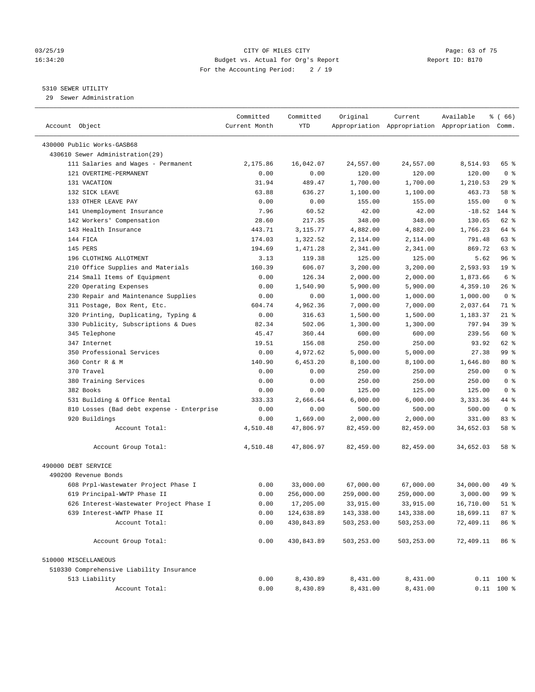#### 03/25/19 Page: 63 of 75 16:34:20 Budget vs. Actual for Org's Report Report ID: B170 For the Accounting Period: 2 / 19

————————————————————————————————————————————————————————————————————————————————————————————————————————————————————————————————————

#### 5310 SEWER UTILITY

29 Sewer Administration

|                                                               | Committed     | Committed  | Original   | Current    | Available                                       | ៖ ( 66)         |
|---------------------------------------------------------------|---------------|------------|------------|------------|-------------------------------------------------|-----------------|
| Account Object                                                | Current Month | YTD        |            |            | Appropriation Appropriation Appropriation Comm. |                 |
|                                                               |               |            |            |            |                                                 |                 |
| 430000 Public Works-GASB68<br>430610 Sewer Administration(29) |               |            |            |            |                                                 |                 |
| 111 Salaries and Wages - Permanent                            | 2,175.86      | 16,042.07  | 24,557.00  | 24,557.00  | 8,514.93                                        | 65 %            |
| 121 OVERTIME-PERMANENT                                        | 0.00          | 0.00       | 120.00     | 120.00     | 120.00                                          | 0 <sup>8</sup>  |
| 131 VACATION                                                  | 31.94         | 489.47     | 1,700.00   | 1,700.00   | 1,210.53                                        | 29 %            |
| 132 SICK LEAVE                                                | 63.88         | 636.27     | 1,100.00   | 1,100.00   | 463.73                                          | 58 %            |
| 133 OTHER LEAVE PAY                                           | 0.00          | 0.00       | 155.00     | 155.00     | 155.00                                          | 0 <sup>8</sup>  |
| 141 Unemployment Insurance                                    | 7.96          | 60.52      | 42.00      | 42.00      | $-18.52$                                        | 144 %           |
| 142 Workers' Compensation                                     | 28.60         | 217.35     | 348.00     | 348.00     | 130.65                                          | 62 %            |
| 143 Health Insurance                                          | 443.71        | 3,115.77   | 4,882.00   | 4,882.00   | 1,766.23                                        | 64 %            |
| 144 FICA                                                      | 174.03        | 1,322.52   | 2,114.00   | 2,114.00   | 791.48                                          | 63 %            |
| 145 PERS                                                      | 194.69        | 1,471.28   | 2,341.00   | 2,341.00   | 869.72                                          | 63 %            |
| 196 CLOTHING ALLOTMENT                                        | 3.13          | 119.38     | 125.00     | 125.00     | 5.62                                            | 96%             |
| 210 Office Supplies and Materials                             | 160.39        | 606.07     | 3,200.00   | 3,200.00   | 2,593.93                                        | 19 <sup>°</sup> |
| 214 Small Items of Equipment                                  | 0.00          | 126.34     | 2,000.00   | 2,000.00   | 1,873.66                                        | 6 %             |
| 220 Operating Expenses                                        | 0.00          | 1,540.90   | 5,900.00   | 5,900.00   | 4,359.10                                        | $26$ %          |
| 230 Repair and Maintenance Supplies                           | 0.00          | 0.00       | 1,000.00   | 1,000.00   | 1,000.00                                        | 0 <sup>8</sup>  |
| 311 Postage, Box Rent, Etc.                                   | 604.74        | 4,962.36   | 7,000.00   | 7,000.00   | 2,037.64                                        | 71 %            |
| 320 Printing, Duplicating, Typing &                           | 0.00          | 316.63     | 1,500.00   | 1,500.00   | 1,183.37                                        | $21$ %          |
| 330 Publicity, Subscriptions & Dues                           | 82.34         | 502.06     | 1,300.00   | 1,300.00   | 797.94                                          | 39%             |
| 345 Telephone                                                 | 45.47         | 360.44     | 600.00     | 600.00     | 239.56                                          | 60 %            |
| 347 Internet                                                  | 19.51         | 156.08     | 250.00     | 250.00     | 93.92                                           | 62 %            |
| 350 Professional Services                                     | 0.00          | 4,972.62   | 5,000.00   | 5,000.00   | 27.38                                           | 99 %            |
| 360 Contr R & M                                               | 140.90        | 6,453.20   | 8,100.00   | 8,100.00   | 1,646.80                                        | $80*$           |
| 370 Travel                                                    | 0.00          | 0.00       | 250.00     | 250.00     | 250.00                                          | 0 <sup>8</sup>  |
| 380 Training Services                                         | 0.00          | 0.00       | 250.00     | 250.00     | 250.00                                          | 0 <sup>8</sup>  |
| 382 Books                                                     | 0.00          | 0.00       | 125.00     | 125.00     | 125.00                                          | 0 <sup>8</sup>  |
| 531 Building & Office Rental                                  | 333.33        | 2,666.64   | 6,000.00   | 6,000.00   | 3,333.36                                        | 44 %            |
| 810 Losses (Bad debt expense - Enterprise                     | 0.00          | 0.00       | 500.00     | 500.00     | 500.00                                          | 0 <sup>8</sup>  |
| 920 Buildings                                                 | 0.00          | 1,669.00   | 2,000.00   | 2,000.00   | 331.00                                          | 83%             |
| Account Total:                                                | 4,510.48      | 47,806.97  | 82,459.00  | 82,459.00  | 34,652.03                                       | 58 %            |
|                                                               |               |            |            |            |                                                 |                 |
| Account Group Total:                                          | 4,510.48      | 47,806.97  | 82,459.00  | 82,459.00  | 34,652.03                                       | 58 %            |
| 490000 DEBT SERVICE                                           |               |            |            |            |                                                 |                 |
| 490200 Revenue Bonds                                          |               |            |            |            |                                                 |                 |
| 608 Prpl-Wastewater Project Phase I                           | 0.00          | 33,000.00  | 67,000.00  | 67,000.00  | 34,000.00                                       | 49 %            |
| 619 Principal-WWTP Phase II                                   | 0.00          | 256,000.00 | 259,000.00 | 259,000.00 | 3,000.00                                        | 99 %            |
| 626 Interest-Wastewater Project Phase I                       | 0.00          | 17,205.00  | 33,915.00  | 33,915.00  | 16,710.00                                       | $51$ %          |
| 639 Interest-WWTP Phase II                                    | 0.00          | 124,638.89 | 143,338.00 | 143,338.00 | 18,699.11                                       | 87%             |
| Account Total:                                                | 0.00          | 430,843.89 | 503,253.00 | 503,253.00 | 72,409.11                                       | 86 %            |
| Account Group Total:                                          | 0.00          | 430,843.89 | 503,253.00 | 503,253.00 | 72,409.11                                       | 86 %            |
| 510000 MISCELLANEOUS                                          |               |            |            |            |                                                 |                 |
| 510330 Comprehensive Liability Insurance                      |               |            |            |            |                                                 |                 |
| 513 Liability                                                 | 0.00          | 8,430.89   | 8,431.00   | 8,431.00   |                                                 | $0.11$ 100 %    |
| Account Total:                                                | 0.00          | 8,430.89   | 8,431.00   | 8,431.00   |                                                 | $0.11$ 100 %    |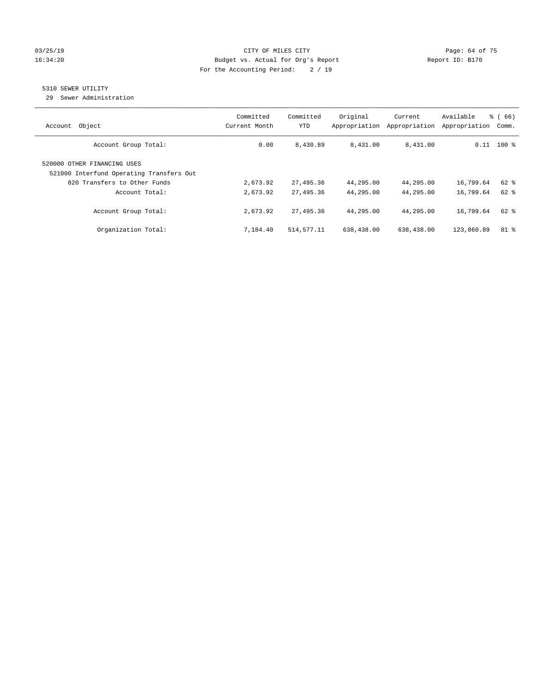#### 03/25/19 Page: 64 of 75 16:34:20 Budget vs. Actual for Org's Report Changer Report ID: B170 For the Accounting Period: 2 / 19

## 5310 SEWER UTILITY

29 Sewer Administration

| Object<br>Account                                                                                       | Committed<br>Current Month | Committed<br>YTD | Original<br>Appropriation | Current<br>Appropriation | Available<br>Appropriation | % (66)<br>Comm. |
|---------------------------------------------------------------------------------------------------------|----------------------------|------------------|---------------------------|--------------------------|----------------------------|-----------------|
| Account Group Total:                                                                                    | 0.00                       | 8,430.89         | 8,431.00                  | 8,431.00                 |                            | $0.11$ 100 %    |
| 520000 OTHER FINANCING USES<br>521000 Interfund Operating Transfers Out<br>820 Transfers to Other Funds | 2,673.92                   | 27,495.36        | 44,295.00                 | 44,295.00                | 16,799.64                  | 62 %            |
| Account Total:                                                                                          | 2,673.92                   | 27,495.36        | 44,295.00                 | 44,295.00                | 16,799.64                  | $62$ $%$        |
| Account Group Total:                                                                                    | 2,673.92                   | 27,495.36        | 44,295.00                 | 44,295.00                | 16,799.64                  | $62$ $%$        |
| Organization Total:                                                                                     | 7,184.40                   | 514,577.11       | 638,438.00                | 638,438.00               | 123,860.89                 | 81 %            |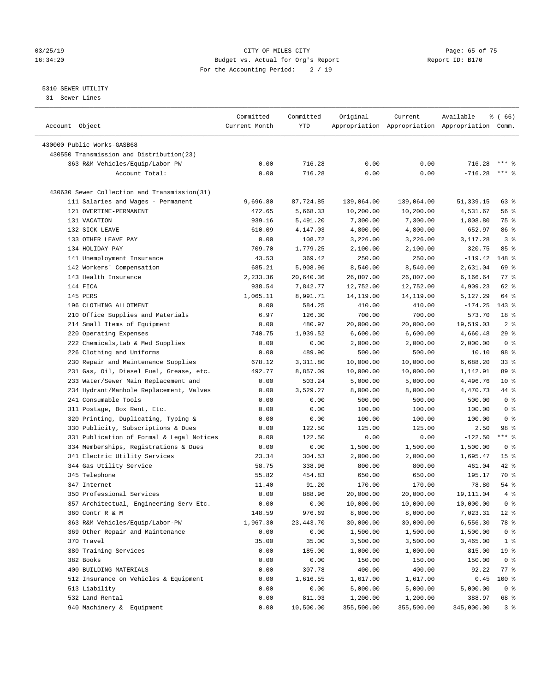#### 03/25/19 Page: 65 of 75 16:34:20 Budget vs. Actual for Org's Report Changer Report ID: B170 For the Accounting Period: 2 / 19

————————————————————————————————————————————————————————————————————————————————————————————————————————————————————————————————————

#### 5310 SEWER UTILITY

31 Sewer Lines

|                                              | Committed     | Committed   | Original   | Current    | Available                                       | <sub>ර</sub> ි (66) |
|----------------------------------------------|---------------|-------------|------------|------------|-------------------------------------------------|---------------------|
| Account Object                               | Current Month | YTD         |            |            | Appropriation Appropriation Appropriation Comm. |                     |
| 430000 Public Works-GASB68                   |               |             |            |            |                                                 |                     |
| 430550 Transmission and Distribution(23)     |               |             |            |            |                                                 |                     |
| 363 R&M Vehicles/Equip/Labor-PW              | 0.00          | 716.28      | 0.00       | 0.00       | $-716.28$                                       | $***$ $%$           |
| Account Total:                               | 0.00          | 716.28      | 0.00       | 0.00       | $-716.28$                                       | *** 응               |
| 430630 Sewer Collection and Transmission(31) |               |             |            |            |                                                 |                     |
| 111 Salaries and Wages - Permanent           | 9,696.80      | 87,724.85   | 139,064.00 | 139,064.00 | 51,339.15                                       | 63 %                |
| 121 OVERTIME-PERMANENT                       | 472.65        | 5,668.33    | 10,200.00  | 10,200.00  | 4,531.67                                        | 56 %                |
| 131 VACATION                                 | 939.16        | 5,491.20    | 7,300.00   | 7,300.00   | 1,808.80                                        | 75 %                |
| 132 SICK LEAVE                               | 610.09        | 4,147.03    | 4,800.00   | 4,800.00   | 652.97                                          | 86 %                |
| 133 OTHER LEAVE PAY                          | 0.00          | 108.72      | 3,226.00   | 3,226.00   | 3,117.28                                        | 3 <sup>8</sup>      |
| 134 HOLIDAY PAY                              | 709.70        | 1,779.25    | 2,100.00   | 2,100.00   | 320.75                                          | 85%                 |
| 141 Unemployment Insurance                   | 43.53         | 369.42      | 250.00     | 250.00     | $-119.42$                                       | 148 %               |
| 142 Workers' Compensation                    | 685.21        | 5,908.96    | 8,540.00   | 8,540.00   | 2,631.04                                        | 69 %                |
| 143 Health Insurance                         | 2,233.36      | 20,640.36   | 26,807.00  | 26,807.00  | 6,166.64                                        | $77$ $%$            |
| 144 FICA                                     | 938.54        | 7,842.77    | 12,752.00  | 12,752.00  | 4,909.23                                        | 62 %                |
| 145 PERS                                     | 1,065.11      | 8,991.71    | 14,119.00  | 14,119.00  | 5,127.29                                        | 64 %                |
| 196 CLOTHING ALLOTMENT                       | 0.00          | 584.25      | 410.00     | 410.00     | $-174.25$                                       | $143$ %             |
| 210 Office Supplies and Materials            | 6.97          | 126.30      | 700.00     | 700.00     | 573.70                                          | 18 <sup>8</sup>     |
| 214 Small Items of Equipment                 | 0.00          | 480.97      | 20,000.00  | 20,000.00  | 19,519.03                                       | 2 <sup>°</sup>      |
| 220 Operating Expenses                       | 740.75        | 1,939.52    | 6,600.00   | 6,600.00   | 4,660.48                                        | 29%                 |
| 222 Chemicals, Lab & Med Supplies            | 0.00          | 0.00        | 2,000.00   | 2,000.00   | 2,000.00                                        | 0 <sup>8</sup>      |
| 226 Clothing and Uniforms                    | 0.00          | 489.90      | 500.00     | 500.00     | 10.10                                           | 98 %                |
| 230 Repair and Maintenance Supplies          | 678.12        | 3,311.80    | 10,000.00  | 10,000.00  | 6,688.20                                        | 33%                 |
| 231 Gas, Oil, Diesel Fuel, Grease, etc.      | 492.77        | 8,857.09    | 10,000.00  | 10,000.00  | 1,142.91                                        | 89 %                |
| 233 Water/Sewer Main Replacement and         | 0.00          | 503.24      | 5,000.00   | 5,000.00   | 4,496.76                                        | $10*$               |
| 234 Hydrant/Manhole Replacement, Valves      | 0.00          | 3,529.27    | 8,000.00   | 8,000.00   | 4,470.73                                        | 44 %                |
| 241 Consumable Tools                         | 0.00          | 0.00        | 500.00     | 500.00     | 500.00                                          | 0 <sup>8</sup>      |
| 311 Postage, Box Rent, Etc.                  | 0.00          | 0.00        | 100.00     | 100.00     | 100.00                                          | 0 <sup>8</sup>      |
| 320 Printing, Duplicating, Typing &          | 0.00          | 0.00        | 100.00     | 100.00     | 100.00                                          | 0 <sup>8</sup>      |
| 330 Publicity, Subscriptions & Dues          | 0.00          | 122.50      | 125.00     | 125.00     | 2.50                                            | 98 %                |
| 331 Publication of Formal & Legal Notices    | 0.00          | 122.50      | 0.00       | 0.00       | $-122.50$                                       | *** 응               |
| 334 Memberships, Registrations & Dues        | 0.00          | 0.00        | 1,500.00   | 1,500.00   | 1,500.00                                        | 0 <sup>8</sup>      |
| 341 Electric Utility Services                | 23.34         | 304.53      | 2,000.00   | 2,000.00   | 1,695.47                                        | 15 <sup>8</sup>     |
| 344 Gas Utility Service                      | 58.75         | 338.96      | 800.00     | 800.00     | 461.04                                          | $42$ %              |
| 345 Telephone                                | 55.82         | 454.83      | 650.00     | 650.00     | 195.17                                          | 70 %                |
| 347 Internet                                 | 11.40         | 91.20       | 170.00     | 170.00     | 78.80                                           | $54$ %              |
| 350 Professional Services                    | 0.00          | 888.96      | 20,000.00  | 20,000.00  | 19, 111.04                                      | 4%                  |
| 357 Architectual, Engineering Serv Etc.      | 0.00          | 0.00        | 10,000.00  | 10,000.00  | 10,000.00                                       | 0 <sup>8</sup>      |
| 360 Contr R & M                              | 148.59        | 976.69      | 8,000.00   | 8,000.00   | 7,023.31                                        | $12*$               |
| 363 R&M Vehicles/Equip/Labor-PW              | 1,967.30      | 23, 443. 70 | 30,000.00  | 30,000.00  | 6,556.30                                        | 78 %                |
| 369 Other Repair and Maintenance             | 0.00          | 0.00        | 1,500.00   | 1,500.00   | 1,500.00                                        | 0 <sup>8</sup>      |
| 370 Travel                                   | 35.00         | 35.00       | 3,500.00   | 3,500.00   | 3,465.00                                        | 1 <sup>8</sup>      |
| 380 Training Services                        | 0.00          | 185.00      | 1,000.00   | 1,000.00   | 815.00                                          | 19 <sup>°</sup>     |
| 382 Books                                    | 0.00          | 0.00        | 150.00     | 150.00     | 150.00                                          | 0 <sup>8</sup>      |
| 400 BUILDING MATERIALS                       | 0.00          | 307.78      | 400.00     | 400.00     | 92.22                                           | 77 %                |
| 512 Insurance on Vehicles & Equipment        | 0.00          | 1,616.55    | 1,617.00   | 1,617.00   | 0.45                                            | 100 %               |
| 513 Liability                                | 0.00          | 0.00        | 5,000.00   | 5,000.00   | 5,000.00                                        | 0 <sup>8</sup>      |
| 532 Land Rental                              | 0.00          | 811.03      | 1,200.00   | 1,200.00   | 388.97                                          | 68 %                |
| 940 Machinery & Equipment                    | 0.00          | 10,500.00   | 355,500.00 | 355,500.00 | 345,000.00                                      | 3 %                 |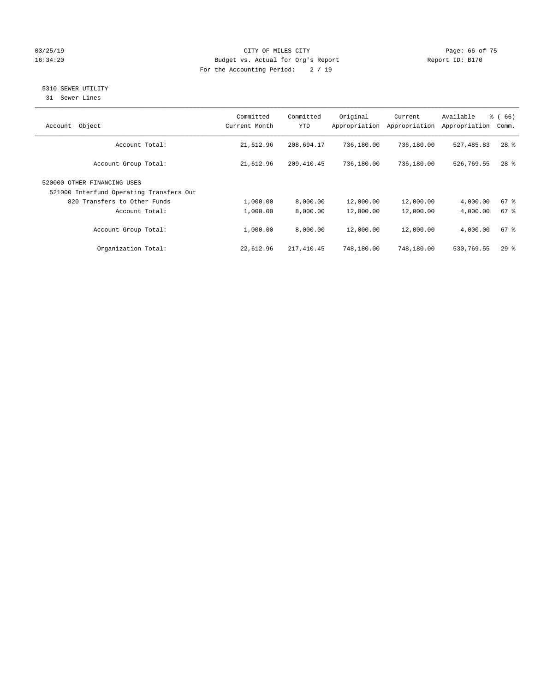#### 03/25/19 Page: 66 of 75 16:34:20 Budget vs. Actual for Org's Report Changer Report ID: B170 For the Accounting Period: 2 / 19

## 5310 SEWER UTILITY

31 Sewer Lines

| Object<br>Account                                                       | Committed<br>Current Month | Committed<br><b>YTD</b> | Original<br>Appropriation | Current<br>Appropriation | Available<br>Appropriation | % (66)<br>Comm. |
|-------------------------------------------------------------------------|----------------------------|-------------------------|---------------------------|--------------------------|----------------------------|-----------------|
| Account Total:                                                          | 21,612.96                  | 208,694.17              | 736,180.00                | 736,180.00               | 527,485.83                 | $28$ %          |
| Account Group Total:                                                    | 21,612.96                  | 209, 410.45             | 736,180.00                | 736,180.00               | 526,769.55                 | $28$ %          |
| 520000 OTHER FINANCING USES<br>521000 Interfund Operating Transfers Out |                            |                         |                           |                          |                            |                 |
| 820 Transfers to Other Funds                                            | 1,000.00                   | 8,000.00                | 12,000.00                 | 12,000.00                | 4,000.00                   | $67$ $%$        |
| Account Total:                                                          | 1,000.00                   | 8,000.00                | 12,000.00                 | 12,000.00                | 4,000.00                   | 67 <sup>°</sup> |
| Account Group Total:                                                    | 1,000.00                   | 8,000.00                | 12,000.00                 | 12,000.00                | 4,000.00                   | $67$ $%$        |
| Organization Total:                                                     | 22,612.96                  | 217,410.45              | 748,180.00                | 748,180.00               | 530,769.55                 | $29$ %          |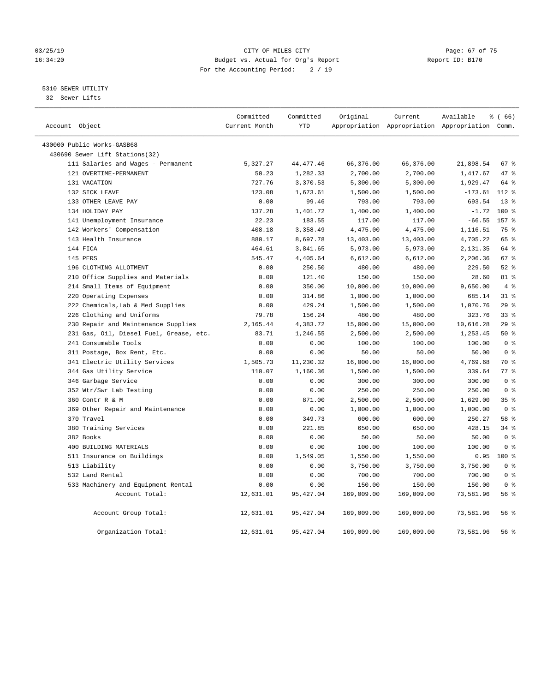#### 03/25/19 Page: 67 of 75 16:34:20 Budget vs. Actual for Org's Report Changer Report ID: B170 For the Accounting Period: 2 / 19

#### 5310 SEWER UTILITY

32 Sewer Lifts

| Account Object |                                         | Committed<br>Current Month | Committed<br><b>YTD</b> | Original   | Current    | Available<br>Appropriation Appropriation Appropriation Comm. | % (66)             |                |
|----------------|-----------------------------------------|----------------------------|-------------------------|------------|------------|--------------------------------------------------------------|--------------------|----------------|
|                | 430000 Public Works-GASB68              |                            |                         |            |            |                                                              |                    |                |
|                | 430690 Sewer Lift Stations(32)          |                            |                         |            |            |                                                              |                    |                |
|                | 111 Salaries and Wages - Permanent      | 5,327.27                   | 44, 477. 46             | 66,376.00  | 66,376.00  | 21,898.54                                                    | 67 %               |                |
|                | 121 OVERTIME-PERMANENT                  | 50.23                      | 1,282.33                | 2,700.00   | 2,700.00   | 1,417.67                                                     | 47 %               |                |
|                | 131 VACATION                            | 727.76                     | 3,370.53                | 5,300.00   | 5,300.00   | 1,929.47                                                     | 64 %               |                |
|                | 132 SICK LEAVE                          | 123.08                     | 1,673.61                | 1,500.00   | 1,500.00   | $-173.61$                                                    | $112*$             |                |
|                | 133 OTHER LEAVE PAY                     | 0.00                       | 99.46                   | 793.00     | 793.00     | 693.54                                                       | $13*$              |                |
|                | 134 HOLIDAY PAY                         | 137.28                     | 1,401.72                | 1,400.00   | 1,400.00   | $-1.72$                                                      | $100*$             |                |
|                | 141 Unemployment Insurance              | 22.23                      | 183.55                  | 117.00     | 117.00     | $-66.55$                                                     | 157 %              |                |
|                | 142 Workers' Compensation               | 408.18                     | 3,358.49                | 4,475.00   | 4,475.00   | 1,116.51                                                     | 75 %               |                |
|                | 143 Health Insurance                    | 880.17                     | 8,697.78                | 13,403.00  | 13,403.00  | 4,705.22                                                     | 65 %               |                |
|                | 144 FICA                                | 464.61                     | 3,841.65                | 5,973.00   | 5,973.00   | 2,131.35                                                     | 64 %               |                |
|                | 145 PERS                                | 545.47                     | 4,405.64                | 6,612.00   | 6,612.00   | 2,206.36                                                     | 67 %               |                |
|                | 196 CLOTHING ALLOTMENT                  | 0.00                       | 250.50                  | 480.00     | 480.00     | 229.50                                                       | $52$ $%$           |                |
|                | 210 Office Supplies and Materials       | 0.00                       | 121.40                  | 150.00     | 150.00     | 28.60                                                        | 81 %               |                |
|                | 214 Small Items of Equipment            | 0.00                       | 350.00                  | 10,000.00  | 10,000.00  | 9,650.00                                                     |                    | $4\degree$     |
|                | 220 Operating Expenses                  | 0.00                       | 314.86                  | 1,000.00   | 1,000.00   | 685.14                                                       | $31$ %             |                |
|                | 222 Chemicals, Lab & Med Supplies       | 0.00                       | 429.24                  | 1,500.00   | 1,500.00   | 1,070.76                                                     | 29%                |                |
|                | 226 Clothing and Uniforms               | 79.78                      | 156.24                  | 480.00     | 480.00     | 323.76                                                       | 33 <sup>8</sup>    |                |
|                | 230 Repair and Maintenance Supplies     | 2,165.44                   | 4,383.72                | 15,000.00  | 15,000.00  | 10,616.28                                                    | 29%                |                |
|                | 231 Gas, Oil, Diesel Fuel, Grease, etc. | 83.71                      | 1,246.55                | 2,500.00   | 2,500.00   | 1,253.45                                                     | 50%                |                |
|                | 241 Consumable Tools                    | 0.00                       | 0.00                    | 100.00     | 100.00     | 100.00                                                       |                    | 0 <sup>8</sup> |
|                | 311 Postage, Box Rent, Etc.             | 0.00                       | 0.00                    | 50.00      | 50.00      | 50.00                                                        |                    | 0 <sup>8</sup> |
|                | 341 Electric Utility Services           | 1,505.73                   | 11,230.32               | 16,000.00  | 16,000.00  | 4,769.68                                                     | 70 %               |                |
|                | 344 Gas Utility Service                 | 110.07                     | 1,160.36                | 1,500.00   | 1,500.00   | 339.64                                                       | $77$ $\frac{6}{9}$ |                |
|                | 346 Garbage Service                     | 0.00                       | 0.00                    | 300.00     | 300.00     | 300.00                                                       |                    | 0 <sup>8</sup> |
|                | 352 Wtr/Swr Lab Testing                 | 0.00                       | 0.00                    | 250.00     | 250.00     | 250.00                                                       |                    | 0 <sup>8</sup> |
|                | 360 Contr R & M                         | 0.00                       | 871.00                  | 2,500.00   | 2,500.00   | 1,629.00                                                     | 35%                |                |
|                | 369 Other Repair and Maintenance        | 0.00                       | 0.00                    | 1,000.00   | 1,000.00   | 1,000.00                                                     |                    | 0 <sup>8</sup> |
|                | 370 Travel                              | 0.00                       | 349.73                  | 600.00     | 600.00     | 250.27                                                       | 58 %               |                |
|                | 380 Training Services                   | 0.00                       | 221.85                  | 650.00     | 650.00     | 428.15                                                       | 34.8               |                |
|                | 382 Books                               | 0.00                       | 0.00                    | 50.00      | 50.00      | 50.00                                                        |                    | 0 <sup>8</sup> |
|                | 400 BUILDING MATERIALS                  | 0.00                       | 0.00                    | 100.00     | 100.00     | 100.00                                                       |                    | 0 <sup>8</sup> |
|                | 511 Insurance on Buildings              | 0.00                       | 1,549.05                | 1,550.00   | 1,550.00   | 0.95                                                         | $100*$             |                |
|                | 513 Liability                           | 0.00                       | 0.00                    | 3,750.00   | 3,750.00   | 3,750.00                                                     |                    | 0 <sup>8</sup> |
|                | 532 Land Rental                         | 0.00                       | 0.00                    | 700.00     | 700.00     | 700.00                                                       |                    | 0 <sup>8</sup> |
|                | 533 Machinery and Equipment Rental      | 0.00                       | 0.00                    | 150.00     | 150.00     | 150.00                                                       |                    | 0 <sup>8</sup> |
|                | Account Total:                          | 12,631.01                  | 95, 427.04              | 169,009.00 | 169,009.00 | 73,581.96                                                    | 56%                |                |
|                | Account Group Total:                    | 12,631.01                  | 95, 427.04              | 169,009.00 | 169,009.00 | 73,581.96                                                    | 56%                |                |
|                | Organization Total:                     | 12,631.01                  | 95, 427.04              | 169,009.00 | 169,009.00 | 73,581.96                                                    | 56%                |                |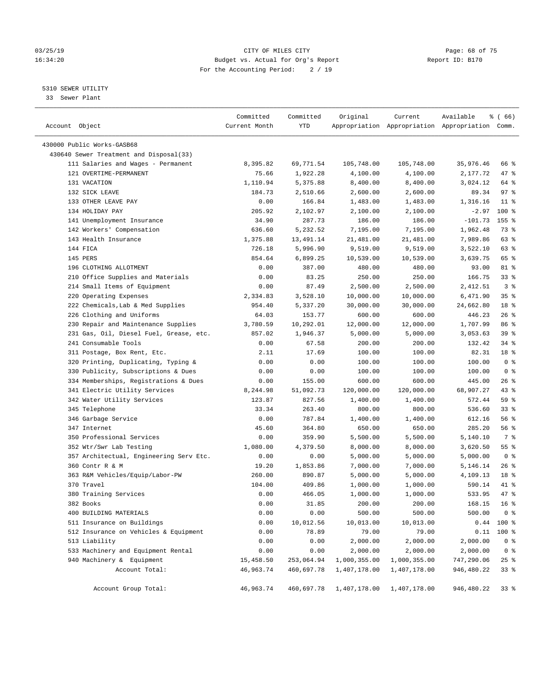#### 03/25/19 Page: 68 of 75 16:34:20 Budget vs. Actual for Org's Report Changer Report ID: B170 For the Accounting Period: 2 / 19

————————————————————————————————————————————————————————————————————————————————————————————————————————————————————————————————————

#### 5310 SEWER UTILITY

33 Sewer Plant

|                                         | Committed     | Committed          | Original                               | Current                                         | Available         | ៖ ( 66)            |  |
|-----------------------------------------|---------------|--------------------|----------------------------------------|-------------------------------------------------|-------------------|--------------------|--|
| Account Object                          | Current Month | YTD                |                                        | Appropriation Appropriation Appropriation Comm. |                   |                    |  |
| 430000 Public Works-GASB68              |               |                    |                                        |                                                 |                   |                    |  |
| 430640 Sewer Treatment and Disposal(33) |               |                    |                                        |                                                 |                   |                    |  |
| 111 Salaries and Wages - Permanent      | 8,395.82      | 69,771.54          | 105,748.00                             | 105,748.00                                      | 35,976.46         | 66 %               |  |
| 121 OVERTIME-PERMANENT                  | 75.66         | 1,922.28           | 4,100.00                               | 4,100.00                                        | 2,177.72          | 47 %               |  |
| 131 VACATION                            | 1,110.94      | 5,375.88           |                                        |                                                 |                   | 64 %               |  |
| 132 SICK LEAVE                          | 184.73        |                    | 8,400.00                               | 8,400.00                                        | 3,024.12<br>89.34 | 97%                |  |
| 133 OTHER LEAVE PAY                     | 0.00          | 2,510.66<br>166.84 | 2,600.00<br>1,483.00                   | 2,600.00                                        | 1,316.16          | $11$ %             |  |
| 134 HOLIDAY PAY                         | 205.92        | 2,102.97           |                                        | 1,483.00<br>2,100.00                            | $-2.97$           | $100*$             |  |
|                                         | 34.90         | 287.73             | 2,100.00                               | 186.00                                          | $-101.73$         | 155 %              |  |
| 141 Unemployment Insurance              | 636.60        |                    | 186.00                                 |                                                 |                   | 73 %               |  |
| 142 Workers' Compensation               |               | 5,232.52           | 7,195.00                               | 7,195.00                                        | 1,962.48          |                    |  |
| 143 Health Insurance                    | 1,375.88      | 13,491.14          | 21,481.00                              | 21,481.00                                       | 7,989.86          | 63 %               |  |
| 144 FICA                                | 726.18        | 5,996.90           | 9,519.00                               | 9,519.00                                        | 3,522.10          | 63 %               |  |
| 145 PERS                                | 854.64        | 6,899.25           | 10,539.00                              | 10,539.00                                       | 3,639.75          | 65 %               |  |
| 196 CLOTHING ALLOTMENT                  | 0.00          | 387.00             | 480.00                                 | 480.00                                          | 93.00             | 81 %               |  |
| 210 Office Supplies and Materials       | 0.00          | 83.25              | 250.00                                 | 250.00                                          | 166.75            | 33%                |  |
| 214 Small Items of Equipment            | 0.00          | 87.49              | 2,500.00                               | 2,500.00                                        | 2,412.51          | 3 <sup>8</sup>     |  |
| 220 Operating Expenses                  | 2,334.83      | 3,528.10           | 10,000.00                              | 10,000.00                                       | 6,471.90          | 35%                |  |
| 222 Chemicals, Lab & Med Supplies       | 954.40        | 5,337.20           | 30,000.00                              | 30,000.00                                       | 24,662.80         | 18 %               |  |
| 226 Clothing and Uniforms               | 64.03         | 153.77             | 600.00                                 | 600.00                                          | 446.23            | $26$ %             |  |
| 230 Repair and Maintenance Supplies     | 3,780.59      | 10,292.01          | 12,000.00                              | 12,000.00                                       | 1,707.99          | 86 %               |  |
| 231 Gas, Oil, Diesel Fuel, Grease, etc. | 857.02        | 1,946.37           | 5,000.00                               | 5,000.00                                        | 3,053.63          | 39%                |  |
| 241 Consumable Tools                    | 0.00          | 67.58              | 200.00                                 | 200.00                                          | 132.42            | 34%                |  |
| 311 Postage, Box Rent, Etc.             | 2.11          | 17.69              | 100.00                                 | 100.00                                          | 82.31             | 18 %               |  |
| 320 Printing, Duplicating, Typing &     | 0.00          | 0.00               | 100.00                                 | 100.00                                          | 100.00            | 0 <sup>8</sup>     |  |
| 330 Publicity, Subscriptions & Dues     | 0.00          | 0.00               | 100.00                                 | 100.00                                          | 100.00            | 0 <sup>8</sup>     |  |
| 334 Memberships, Registrations & Dues   | 0.00          | 155.00             | 600.00                                 | 600.00                                          | 445.00            | $26$ %             |  |
| 341 Electric Utility Services           | 8,244.98      | 51,092.73          | 120,000.00                             | 120,000.00                                      | 68,907.27         | 43 %               |  |
| 342 Water Utility Services              | 123.87        | 827.56             | 1,400.00                               | 1,400.00                                        | 572.44            | 59 %               |  |
| 345 Telephone                           | 33.34         | 263.40             | 800.00                                 | 800.00                                          | 536.60            | $33$ $%$           |  |
| 346 Garbage Service                     | 0.00          | 787.84             | 1,400.00                               | 1,400.00                                        | 612.16            | 56%                |  |
| 347 Internet                            | 45.60         | 364.80             | 650.00                                 | 650.00                                          | 285.20            | 56%                |  |
| 350 Professional Services               | 0.00          | 359.90             | 5,500.00                               | 5,500.00                                        | 5,140.10          | 7 %                |  |
| 352 Wtr/Swr Lab Testing                 | 1,080.00      | 4,379.50           | 8,000.00                               | 8,000.00                                        | 3,620.50          | $55$ $\frac{6}{3}$ |  |
| 357 Architectual, Engineering Serv Etc. | 0.00          | 0.00               | 5,000.00                               | 5,000.00                                        | 5,000.00          | 0 <sup>8</sup>     |  |
| 360 Contr R & M                         | 19.20         | 1,853.86           | 7,000.00                               | 7,000.00                                        | 5,146.14          | $26$ %             |  |
| 363 R&M Vehicles/Equip/Labor-PW         | 260.00        | 890.87             | 5,000.00                               | 5,000.00                                        | 4,109.13          | 18 %               |  |
| 370 Travel                              | 104.00        | 409.86             | 1,000.00                               | 1,000.00                                        | 590.14            | 41 %               |  |
| 380 Training Services                   | 0.00          | 466.05             | 1,000.00                               | 1,000.00                                        | 533.95            | 47 %               |  |
| 382 Books                               | 0.00          | 31.85              | 200.00                                 | 200.00                                          | 168.15            | 16 <sup>°</sup>    |  |
| 400 BUILDING MATERIALS                  | 0.00          | 0.00               | 500.00                                 | 500.00                                          | 500.00            | 0 %                |  |
| 511 Insurance on Buildings              | 0.00          | 10,012.56          | 10,013.00                              | 10,013.00                                       |                   | $0.44$ 100 %       |  |
| 512 Insurance on Vehicles & Equipment   |               | 78.89              | 79.00                                  |                                                 |                   |                    |  |
| 513 Liability                           | 0.00          |                    |                                        | 79.00                                           | 0.11              | 100 %              |  |
|                                         | 0.00          | 0.00               | 2,000.00                               | 2,000.00                                        | 2,000.00          | 0 <sup>8</sup>     |  |
| 533 Machinery and Equipment Rental      | 0.00          | 0.00               | 2,000.00                               | 2,000.00                                        | 2,000.00          | 0 <sup>8</sup>     |  |
| 940 Machinery & Equipment               | 15,458.50     | 253,064.94         | 1,000,355.00                           | 1,000,355.00                                    | 747,290.06        | 25%                |  |
| Account Total:                          | 46,963.74     | 460,697.78         | 1,407,178.00                           | 1,407,178.00                                    | 946,480.22        | 33%                |  |
| Account Group Total:                    | 46,963.74     |                    | 460,697.78  1,407,178.00  1,407,178.00 |                                                 | 946,480.22        | 33 %               |  |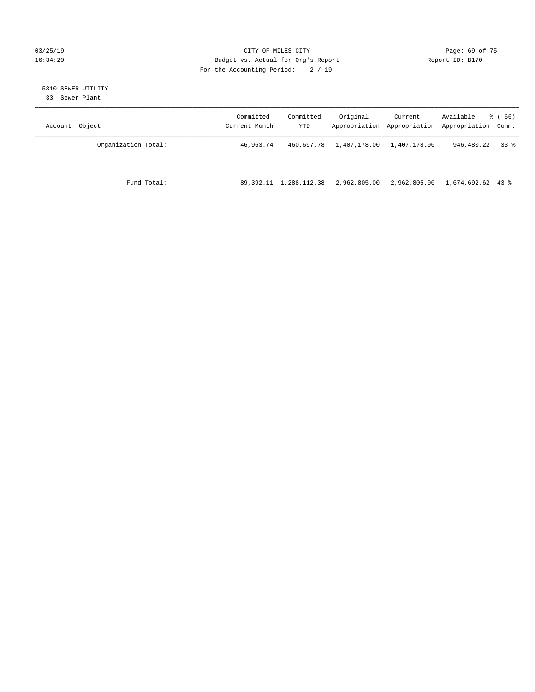#### 03/25/19 Page: 69 of 75 16:34:20 Budget vs. Actual for Org's Report Changer Report ID: B170 For the Accounting Period: 2 / 19

## 5310 SEWER UTILITY

33 Sewer Plant

| Object<br>Account   | Committed<br>Current Month | Committed<br>YTD | Original     | Current<br>Appropriation Appropriation | Available<br>Appropriation Comm. | <sub>ර</sub> ි (66) |
|---------------------|----------------------------|------------------|--------------|----------------------------------------|----------------------------------|---------------------|
| Organization Total: | 46,963.74                  | 460,697.78       | 1,407,178.00 | 1,407,178.00                           | 946,480.22                       | 338                 |
| Fund Total:         | 89,392.11                  | 1,288,112.38     | 2,962,805.00 | 2,962,805.00                           | 1,674,692.62 43 %                |                     |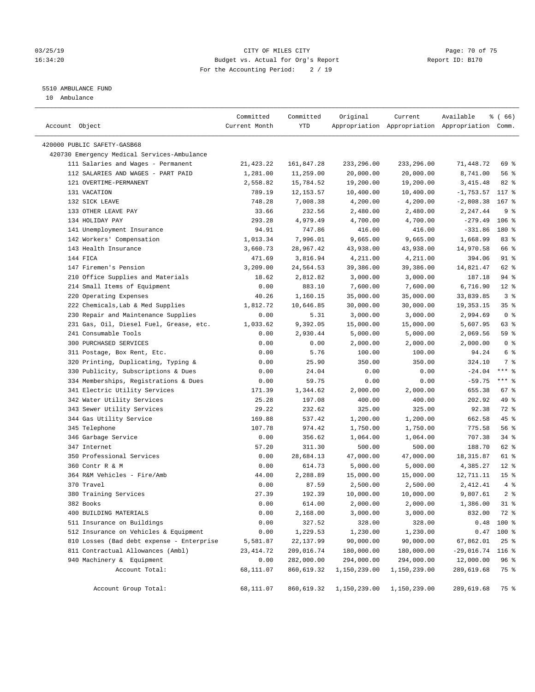#### 03/25/19 Page: 70 of 75 16:34:20 Budget vs. Actual for Org's Report Changer Report ID: B170 For the Accounting Period: 2 / 19

————————————————————————————————————————————————————————————————————————————————————————————————————————————————————————————————————

### 5510 AMBULANCE FUND

10 Ambulance

|                                             | Committed     | Committed  | Original     | Current      | Available                                       | $\frac{1}{6}$ (66) |
|---------------------------------------------|---------------|------------|--------------|--------------|-------------------------------------------------|--------------------|
| Account Object                              | Current Month | YTD        |              |              | Appropriation Appropriation Appropriation Comm. |                    |
|                                             |               |            |              |              |                                                 |                    |
| 420000 PUBLIC SAFETY-GASB68                 |               |            |              |              |                                                 |                    |
| 420730 Emergency Medical Services-Ambulance |               |            |              |              |                                                 |                    |
| 111 Salaries and Wages - Permanent          | 21,423.22     | 161,847.28 | 233,296.00   | 233,296.00   | 71,448.72                                       | 69 %               |
| 112 SALARIES AND WAGES - PART PAID          | 1,281.00      | 11,259.00  | 20,000.00    | 20,000.00    | 8,741.00                                        | 56 %               |
| 121 OVERTIME-PERMANENT                      | 2,558.82      | 15,784.52  | 19,200.00    | 19,200.00    | 3,415.48                                        | 82 %               |
| 131 VACATION                                | 789.19        | 12, 153.57 | 10,400.00    | 10,400.00    | $-1,753.57$                                     | $117*$             |
| 132 SICK LEAVE                              | 748.28        | 7,008.38   | 4,200.00     | 4,200.00     | $-2,808.38$                                     | $167$ %            |
| 133 OTHER LEAVE PAY                         | 33.66         | 232.56     | 2,480.00     | 2,480.00     | 2,247.44                                        | 9 <sup>°</sup>     |
| 134 HOLIDAY PAY                             | 293.28        | 4,979.49   | 4,700.00     | 4,700.00     | $-279.49$                                       | $106$ %            |
| 141 Unemployment Insurance                  | 94.91         | 747.86     | 416.00       | 416.00       | $-331.86$                                       | 180 %              |
| 142 Workers' Compensation                   | 1,013.34      | 7,996.01   | 9,665.00     | 9,665.00     | 1,668.99                                        | 83%                |
| 143 Health Insurance                        | 3,660.73      | 28,967.42  | 43,938.00    | 43,938.00    | 14,970.58                                       | 66 %               |
| 144 FICA                                    | 471.69        | 3,816.94   | 4,211.00     | 4,211.00     | 394.06                                          | 91 %               |
| 147 Firemen's Pension                       | 3,209.00      | 24,564.53  | 39,386.00    | 39,386.00    | 14,821.47                                       | 62 %               |
| 210 Office Supplies and Materials           | 18.62         | 2,812.82   | 3,000.00     | 3,000.00     | 187.18                                          | 94 %               |
| 214 Small Items of Equipment                | 0.00          | 883.10     | 7,600.00     | 7,600.00     | 6,716.90                                        | $12*$              |
| 220 Operating Expenses                      | 40.26         | 1,160.15   | 35,000.00    | 35,000.00    | 33,839.85                                       | 3%                 |
| 222 Chemicals, Lab & Med Supplies           | 1,812.72      | 10,646.85  | 30,000.00    | 30,000.00    | 19, 353. 15                                     | 35%                |
| 230 Repair and Maintenance Supplies         | 0.00          | 5.31       | 3,000.00     | 3,000.00     | 2,994.69                                        | 0 <sup>8</sup>     |
| 231 Gas, Oil, Diesel Fuel, Grease, etc.     | 1,033.62      | 9,392.05   | 15,000.00    | 15,000.00    | 5,607.95                                        | 63 %               |
| 241 Consumable Tools                        | 0.00          | 2,930.44   | 5,000.00     | 5,000.00     | 2,069.56                                        | 59 %               |
| 300 PURCHASED SERVICES                      | 0.00          | 0.00       | 2,000.00     | 2,000.00     | 2,000.00                                        | 0 <sup>8</sup>     |
| 311 Postage, Box Rent, Etc.                 | 0.00          | 5.76       | 100.00       | 100.00       | 94.24                                           | 6 <sup>8</sup>     |
| 320 Printing, Duplicating, Typing &         | 0.00          | 25.90      | 350.00       | 350.00       | 324.10                                          | 7 %                |
| 330 Publicity, Subscriptions & Dues         | 0.00          | 24.04      | 0.00         | 0.00         | $-24.04$                                        | $***$ $%$          |
| 334 Memberships, Registrations & Dues       | 0.00          | 59.75      | 0.00         | 0.00         | $-59.75$                                        | $***$ $-$          |
| 341 Electric Utility Services               | 171.39        | 1,344.62   | 2,000.00     | 2,000.00     | 655.38                                          | 67%                |
| 342 Water Utility Services                  | 25.28         | 197.08     | 400.00       | 400.00       | 202.92                                          | 49 %               |
| 343 Sewer Utility Services                  | 29.22         | 232.62     | 325.00       | 325.00       | 92.38                                           | 72 %               |
| 344 Gas Utility Service                     | 169.88        | 537.42     | 1,200.00     | 1,200.00     | 662.58                                          | 45 %               |
| 345 Telephone                               | 107.78        | 974.42     | 1,750.00     | 1,750.00     | 775.58                                          | 56%                |
| 346 Garbage Service                         | 0.00          | 356.62     | 1,064.00     | 1,064.00     | 707.38                                          | 34%                |
| 347 Internet                                | 57.20         | 311.30     | 500.00       | 500.00       | 188.70                                          | 62 %               |
| 350 Professional Services                   | 0.00          | 28,684.13  | 47,000.00    | 47,000.00    | 18,315.87                                       | 61 %               |
| 360 Contr R & M                             | 0.00          | 614.73     | 5,000.00     | 5,000.00     | 4,385.27                                        | $12*$              |
| 364 R&M Vehicles - Fire/Amb                 | 44.00         | 2,288.89   | 15,000.00    | 15,000.00    | 12,711.11                                       | 15 <sup>°</sup>    |
| 370 Travel                                  | 0.00          | 87.59      | 2,500.00     | 2,500.00     | 2,412.41                                        | 4%                 |
| 380 Training Services                       | 27.39         | 192.39     | 10,000.00    | 10,000.00    | 9,807.61                                        | 2 <sup>°</sup>     |
| 382 Books                                   | 0.00          | 614.00     | 2,000.00     | 2,000.00     | 1,386.00                                        | $31$ %             |
| 400 BUILDING MATERIALS                      | 0.00          | 2,168.00   | 3,000.00     | 3,000.00     | 832.00                                          | 72 %               |
| 511 Insurance on Buildings                  | 0.00          | 327.52     | 328.00       | 328.00       | 0.48                                            | 100 %              |
| 512 Insurance on Vehicles & Equipment       | 0.00          | 1,229.53   | 1,230.00     | 1,230.00     | 0.47                                            | 100 %              |
| 810 Losses (Bad debt expense - Enterprise   | 5,581.87      | 22, 137.99 | 90,000.00    | 90,000.00    | 67,862.01                                       | $25$ $%$           |
| 811 Contractual Allowances (Ambl)           | 23, 414.72    | 209,016.74 | 180,000.00   | 180,000.00   | $-29,016.74$                                    | $116$ %            |
| 940 Machinery & Equipment                   | 0.00          | 282,000.00 | 294,000.00   | 294,000.00   | 12,000.00                                       | 96 %               |
| Account Total:                              | 68,111.07     | 860,619.32 | 1,150,239.00 | 1,150,239.00 | 289,619.68                                      | 75 %               |
|                                             |               |            |              |              |                                                 |                    |
| Account Group Total:                        | 68,111.07     | 860,619.32 | 1,150,239.00 | 1,150,239.00 | 289,619.68                                      | 75 %               |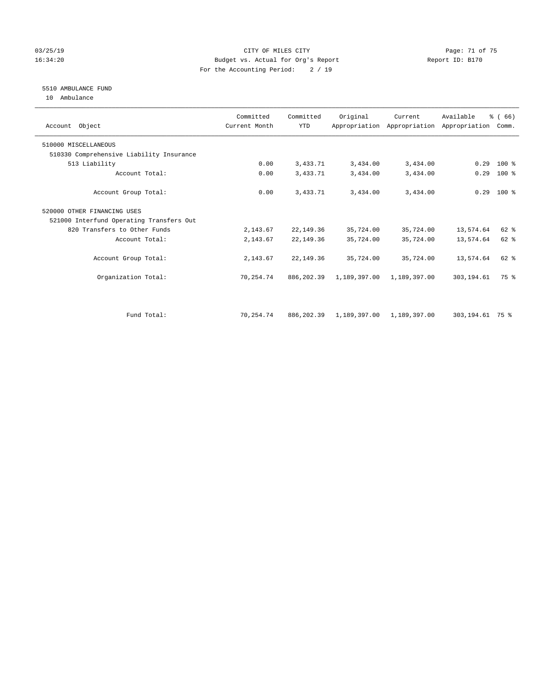#### 03/25/19 Page: 71 of 75 16:34:20 Budget vs. Actual for Org's Report Changer Report ID: B170 For the Accounting Period: 2 / 19

#### 5510 AMBULANCE FUND

10 Ambulance

| Account Object                           | Committed<br>Current Month | Committed<br><b>YTD</b> | Original     | Current      | Available<br>Appropriation Appropriation Appropriation | % (66)<br>Comm. |  |
|------------------------------------------|----------------------------|-------------------------|--------------|--------------|--------------------------------------------------------|-----------------|--|
| 510000 MISCELLANEOUS                     |                            |                         |              |              |                                                        |                 |  |
| 510330 Comprehensive Liability Insurance |                            |                         |              |              |                                                        |                 |  |
| 513 Liability                            | 0.00                       | 3,433.71                | 3,434.00     | 3,434.00     | 0.29                                                   | 100 %           |  |
| Account Total:                           | 0.00                       | 3,433.71                | 3,434.00     | 3,434.00     | 0.29                                                   | $100$ %         |  |
| Account Group Total:                     | 0.00                       | 3,433.71                | 3,434.00     | 3,434.00     |                                                        | $0.29$ 100 %    |  |
| 520000 OTHER FINANCING USES              |                            |                         |              |              |                                                        |                 |  |
| 521000 Interfund Operating Transfers Out |                            |                         |              |              |                                                        |                 |  |
| 820 Transfers to Other Funds             | 2,143.67                   | 22,149.36               | 35,724.00    | 35,724.00    | 13,574.64                                              | 62 %            |  |
| Account Total:                           | 2,143.67                   | 22,149.36               | 35,724.00    | 35,724.00    | 13,574.64                                              | 62 %            |  |
| Account Group Total:                     | 2,143.67                   | 22, 149.36              | 35,724.00    | 35,724.00    | 13,574.64                                              | 62 %            |  |
| Organization Total:                      | 70,254.74                  | 886,202.39              | 1,189,397.00 | 1,189,397.00 | 303, 194.61                                            | 75 %            |  |
|                                          |                            |                         |              |              |                                                        |                 |  |
| Fund Total:                              | 70,254.74                  | 886, 202.39             | 1,189,397.00 | 1,189,397.00 | 303,194.61 75 %                                        |                 |  |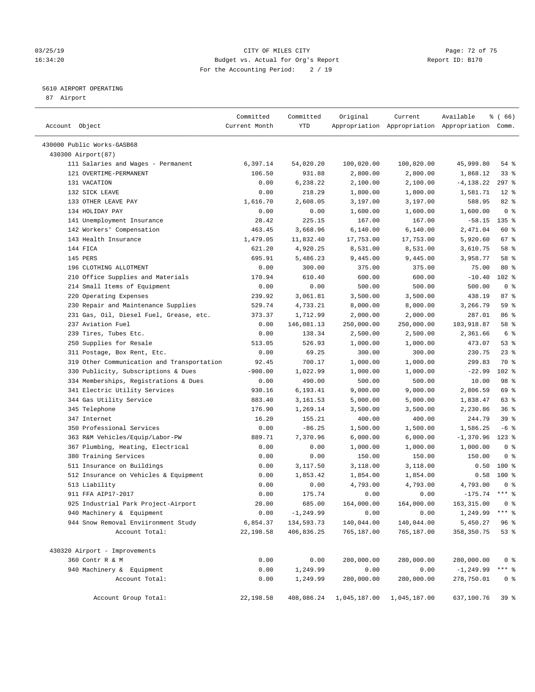#### 03/25/19 Page: 72 of 75 16:34:20 Budget vs. Actual for Org's Report Changer Report ID: B170 For the Accounting Period: 2 / 19

————————————————————————————————————————————————————————————————————————————————————————————————————————————————————————————————————

#### 5610 AIRPORT OPERATING

87 Airport

|                                            | Committed     | Committed    | Original     | Current      | Available                                       | % (66)          |
|--------------------------------------------|---------------|--------------|--------------|--------------|-------------------------------------------------|-----------------|
| Account Object                             | Current Month | YTD          |              |              | Appropriation Appropriation Appropriation Comm. |                 |
| 430000 Public Works-GASB68                 |               |              |              |              |                                                 |                 |
| 430300 Airport (87)                        |               |              |              |              |                                                 |                 |
| 111 Salaries and Wages - Permanent         | 6,397.14      | 54,020.20    | 100,020.00   | 100,020.00   | 45,999.80                                       | $54$ %          |
| 121 OVERTIME-PERMANENT                     | 106.50        | 931.88       | 2,800.00     | 2,800.00     | 1,868.12                                        | 33%             |
| 131 VACATION                               | 0.00          | 6,238.22     | 2,100.00     | 2,100.00     | $-4,138.22$                                     | $297$ %         |
| 132 SICK LEAVE                             | 0.00          | 218.29       | 1,800.00     | 1,800.00     | 1,581.71                                        | $12*$           |
| 133 OTHER LEAVE PAY                        | 1,616.70      | 2,608.05     | 3,197.00     | 3,197.00     | 588.95                                          | 82 %            |
| 134 HOLIDAY PAY                            | 0.00          | 0.00         | 1,600.00     | 1,600.00     | 1,600.00                                        | 0 <sup>8</sup>  |
| 141 Unemployment Insurance                 | 28.42         | 225.15       | 167.00       | 167.00       | $-58.15$                                        | $135$ %         |
| 142 Workers' Compensation                  | 463.45        | 3,668.96     | 6,140.00     | 6,140.00     | 2,471.04                                        | 60 %            |
| 143 Health Insurance                       | 1,479.05      | 11,832.40    | 17,753.00    | 17,753.00    | 5,920.60                                        | 67%             |
| 144 FICA                                   | 621.20        | 4,920.25     | 8,531.00     | 8,531.00     | 3,610.75                                        | 58 %            |
| 145 PERS                                   | 695.91        | 5,486.23     | 9,445.00     | 9,445.00     | 3,958.77                                        | 58 %            |
| 196 CLOTHING ALLOTMENT                     | 0.00          | 300.00       | 375.00       | 375.00       | 75.00                                           | $80*$           |
| 210 Office Supplies and Materials          | 170.94        | 610.40       | 600.00       | 600.00       | $-10.40$                                        | $102$ %         |
| 214 Small Items of Equipment               | 0.00          | 0.00         | 500.00       | 500.00       | 500.00                                          | 0 <sup>8</sup>  |
| 220 Operating Expenses                     | 239.92        | 3,061.81     | 3,500.00     | 3,500.00     | 438.19                                          | 87%             |
| 230 Repair and Maintenance Supplies        | 529.74        | 4,733.21     | 8,000.00     | 8,000.00     | 3,266.79                                        | 59 %            |
| 231 Gas, Oil, Diesel Fuel, Grease, etc.    | 373.37        | 1,712.99     | 2,000.00     | 2,000.00     | 287.01                                          | 86 %            |
| 237 Aviation Fuel                          | 0.00          | 146,081.13   | 250,000.00   | 250,000.00   | 103,918.87                                      | 58 %            |
| 239 Tires, Tubes Etc.                      | 0.00          | 138.34       | 2,500.00     | 2,500.00     | 2,361.66                                        | 6 %             |
| 250 Supplies for Resale                    | 513.05        | 526.93       | 1,000.00     | 1,000.00     | 473.07                                          | 53%             |
| 311 Postage, Box Rent, Etc.                | 0.00          | 69.25        | 300.00       | 300.00       | 230.75                                          | 23%             |
| 319 Other Communication and Transportation | 92.45         | 700.17       | 1,000.00     | 1,000.00     | 299.83                                          | 70 %            |
| 330 Publicity, Subscriptions & Dues        | $-900.00$     | 1,022.99     | 1,000.00     | 1,000.00     | $-22.99$                                        | $102$ %         |
| 334 Memberships, Registrations & Dues      | 0.00          | 490.00       | 500.00       | 500.00       | 10.00                                           | 98 %            |
| 341 Electric Utility Services              | 930.16        | 6,193.41     | 9,000.00     | 9,000.00     | 2,806.59                                        | 69 %            |
| 344 Gas Utility Service                    | 883.40        | 3,161.53     | 5,000.00     | 5,000.00     | 1,838.47                                        | 63 %            |
| 345 Telephone                              | 176.90        | 1,269.14     | 3,500.00     | 3,500.00     | 2,230.86                                        | 36%             |
| 347 Internet                               | 16.20         | 155.21       | 400.00       | 400.00       | 244.79                                          | 39%             |
| 350 Professional Services                  | 0.00          | $-86.25$     | 1,500.00     | 1,500.00     | 1,586.25                                        | $-6$ %          |
| 363 R&M Vehicles/Equip/Labor-PW            | 889.71        | 7,370.96     | 6,000.00     | 6,000.00     | $-1,370.96$                                     | $123$ %         |
| 367 Plumbing, Heating, Electrical          | 0.00          | 0.00         | 1,000.00     | 1,000.00     | 1,000.00                                        | 0 <sup>8</sup>  |
| 380 Training Services                      | 0.00          | 0.00         | 150.00       | 150.00       | 150.00                                          | 0 <sup>8</sup>  |
| 511 Insurance on Buildings                 | 0.00          | 3,117.50     | 3,118.00     | 3,118.00     | 0.50                                            | $100*$          |
| 512 Insurance on Vehicles & Equipment      | 0.00          | 1,853.42     | 1,854.00     | 1,854.00     | 0.58                                            | $100*$          |
| 513 Liability                              | 0.00          | 0.00         | 4,793.00     | 4,793.00     | 4,793.00                                        | 0 <sup>8</sup>  |
| 911 FFA AIP17-2017                         | 0.00          | 175.74       | 0.00         | 0.00         | $-175.74$ *** %                                 |                 |
| 925 Industrial Park Project-Airport        | 20.00         | 685.00       | 164,000.00   | 164,000.00   | 163,315.00 0 %                                  |                 |
| 940 Machinery & Equipment                  | 0.00          | $-1, 249.99$ | 0.00         | 0.00         | $1,249.99$ *** \$                               |                 |
| 944 Snow Removal Enviironment Study        | 6,854.37      | 134,593.73   | 140,044.00   | 140,044.00   | 5,450.27                                        | 96 <sup>°</sup> |
| Account Total:                             | 22,198.58     | 406,836.25   | 765,187.00   | 765,187.00   | 358, 350.75                                     | 53%             |
| 430320 Airport - Improvements              |               |              |              |              |                                                 |                 |
| 360 Contr R & M                            | 0.00          | 0.00         | 280,000.00   | 280,000.00   | 280,000.00                                      | 0 <sup>8</sup>  |
| 940 Machinery & Equipment                  | 0.00          | 1,249.99     | 0.00         | 0.00         | $-1, 249.99$                                    | *** 응           |
| Account Total:                             | 0.00          | 1,249.99     | 280,000.00   | 280,000.00   | 278,750.01                                      | 0 <sup>8</sup>  |
|                                            |               |              |              |              |                                                 |                 |
| Account Group Total:                       | 22,198.58     | 408,086.24   | 1,045,187.00 | 1,045,187.00 | 637,100.76                                      | 39 <sup>8</sup> |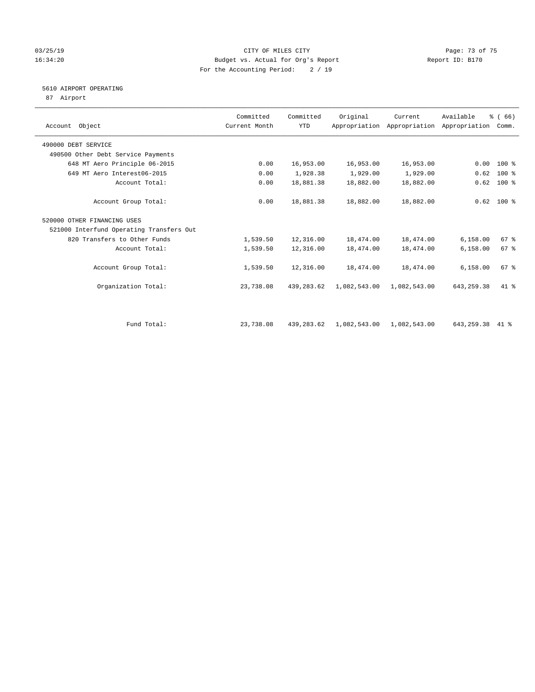## 03/25/19 Page: 73 of 75 16:34:20 Budget vs. Actual for Org's Report Changer Report ID: B170 For the Accounting Period: 2 / 19

## 5610 AIRPORT OPERATING

87 Airport

| Account Object                           | Committed<br>Current Month | Committed<br><b>YTD</b> | Original     | Current      | Available<br>Appropriation Appropriation Appropriation | % (66)<br>Comm. |  |
|------------------------------------------|----------------------------|-------------------------|--------------|--------------|--------------------------------------------------------|-----------------|--|
| 490000 DEBT SERVICE                      |                            |                         |              |              |                                                        |                 |  |
| 490500 Other Debt Service Payments       |                            |                         |              |              |                                                        |                 |  |
| 648 MT Aero Principle 06-2015            | 0.00                       | 16,953.00               | 16,953.00    | 16,953.00    | 0.00                                                   | $100*$          |  |
| 649 MT Aero Interest06-2015              | 0.00                       | 1,928.38                | 1,929.00     | 1,929.00     | 0.62                                                   | $100$ %         |  |
| Account Total:                           | 0.00                       | 18,881.38               | 18,882.00    | 18,882.00    | 0.62                                                   | $100*$          |  |
| Account Group Total:                     | 0.00                       | 18,881.38               | 18,882.00    | 18,882.00    |                                                        | $0.62$ 100 %    |  |
| 520000 OTHER FINANCING USES              |                            |                         |              |              |                                                        |                 |  |
| 521000 Interfund Operating Transfers Out |                            |                         |              |              |                                                        |                 |  |
| 820 Transfers to Other Funds             | 1,539.50                   | 12,316.00               | 18,474.00    | 18,474.00    | 6,158.00                                               | 67%             |  |
| Account Total:                           | 1,539.50                   | 12,316.00               | 18,474.00    | 18,474.00    | 6,158.00                                               | 67 <sup>8</sup> |  |
| Account Group Total:                     | 1,539.50                   | 12,316.00               | 18,474.00    | 18,474.00    | 6,158.00                                               | 67 %            |  |
| Organization Total:                      | 23,738.08                  | 439,283.62              | 1,082,543.00 | 1,082,543.00 | 643, 259. 38                                           | $41*$           |  |
|                                          |                            |                         |              |              |                                                        |                 |  |
| Fund Total:                              | 23,738.08                  | 439,283.62              | 1,082,543.00 | 1,082,543.00 | 643,259.38                                             | $41*$           |  |